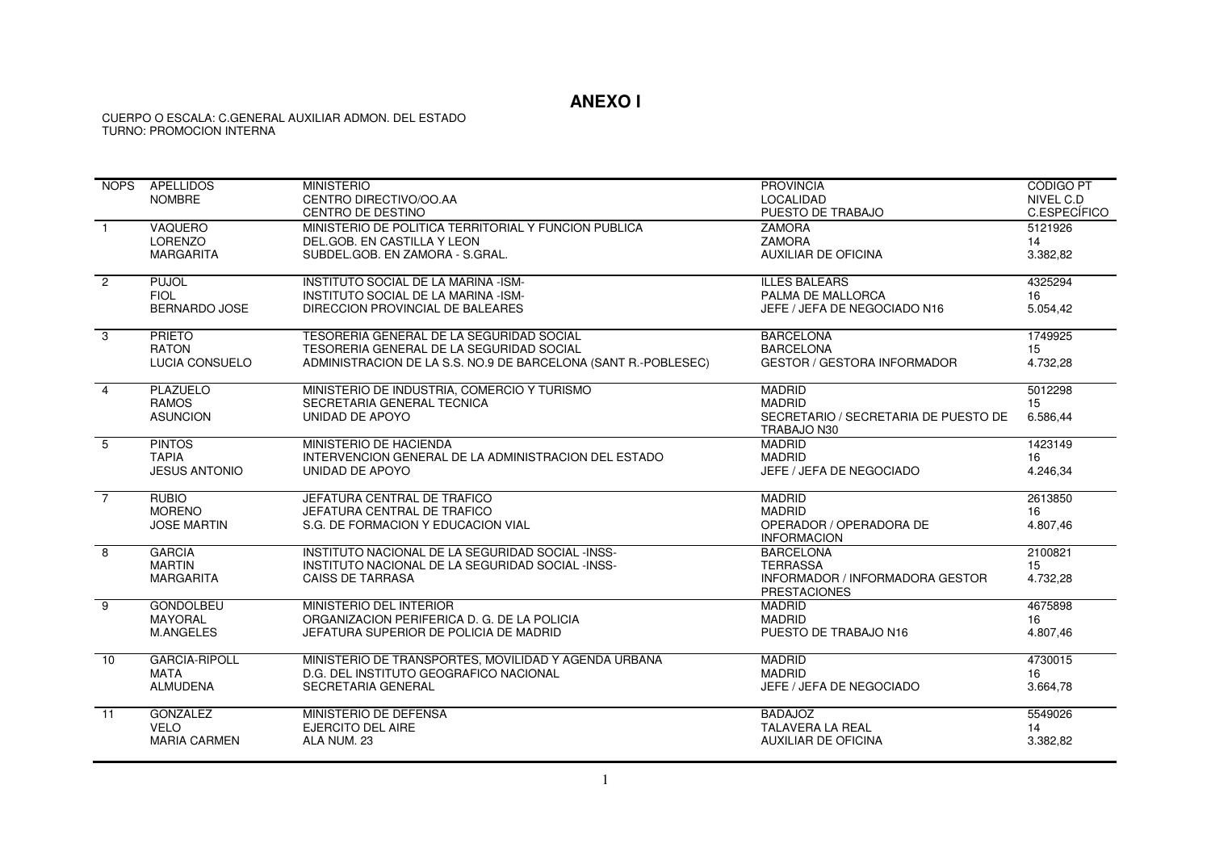## **ANEXO I**

## CUERPO O ESCALA: C.GENERAL AUXILIAR ADMON. DEL ESTADO TURNO: PROMOCION INTERNA

| <b>NOPS</b>    | <b>APELLIDOS</b>            | <b>MINISTERIO</b>                                                       | <b>PROVINCIA</b>                                       | <b>CÓDIGO PT</b> |
|----------------|-----------------------------|-------------------------------------------------------------------------|--------------------------------------------------------|------------------|
|                | <b>NOMBRE</b>               | CENTRO DIRECTIVO/OO.AA                                                  | <b>LOCALIDAD</b>                                       | NIVEL C.D        |
|                |                             | CENTRO DE DESTINO                                                       | PUESTO DE TRABAJO                                      | C.ESPECÍFICO     |
| $\overline{1}$ | VAQUERO                     | MINISTERIO DE POLITICA TERRITORIAL Y FUNCION PUBLICA                    | <b>ZAMORA</b>                                          | 5121926          |
|                | LORENZO                     | DEL.GOB. EN CASTILLA Y LEON                                             | <b>ZAMORA</b>                                          | 14               |
|                | <b>MARGARITA</b>            | SUBDEL.GOB. EN ZAMORA - S.GRAL.                                         | <b>AUXILIAR DE OFICINA</b>                             | 3.382,82         |
|                |                             |                                                                         |                                                        |                  |
| $\overline{2}$ | <b>PUJOL</b><br><b>FIOL</b> | INSTITUTO SOCIAL DE LA MARINA -ISM-                                     | <b>ILLES BALEARS</b><br>PALMA DE MALLORCA              | 4325294          |
|                | <b>BERNARDO JOSE</b>        | INSTITUTO SOCIAL DE LA MARINA -ISM-<br>DIRECCION PROVINCIAL DE BALEARES | JEFE / JEFA DE NEGOCIADO N16                           | 16<br>5.054,42   |
|                |                             |                                                                         |                                                        |                  |
| 3              | <b>PRIETO</b>               | TESORERIA GENERAL DE LA SEGURIDAD SOCIAL                                | <b>BARCELONA</b>                                       | 1749925          |
|                | <b>RATON</b>                | TESORERIA GENERAL DE LA SEGURIDAD SOCIAL                                | <b>BARCELONA</b>                                       | 15               |
|                | LUCIA CONSUELO              | ADMINISTRACION DE LA S.S. NO.9 DE BARCELONA (SANT R.-POBLESEC)          | <b>GESTOR / GESTORA INFORMADOR</b>                     | 4.732,28         |
| $\overline{4}$ | <b>PLAZUELO</b>             | MINISTERIO DE INDUSTRIA, COMERCIO Y TURISMO                             | <b>MADRID</b>                                          | 5012298          |
|                | <b>RAMOS</b>                | SECRETARIA GENERAL TECNICA                                              | <b>MADRID</b>                                          | 15               |
|                | <b>ASUNCION</b>             | UNIDAD DE APOYO                                                         | SECRETARIO / SECRETARIA DE PUESTO DE                   | 6.586,44         |
|                |                             |                                                                         | TRABAJO N30                                            |                  |
| 5              | <b>PINTOS</b>               | MINISTERIO DE HACIENDA                                                  | <b>MADRID</b>                                          | 1423149          |
|                | <b>TAPIA</b>                | INTERVENCION GENERAL DE LA ADMINISTRACION DEL ESTADO                    | <b>MADRID</b>                                          | 16               |
|                | <b>JESUS ANTONIO</b>        | UNIDAD DE APOYO                                                         | JEFE / JEFA DE NEGOCIADO                               | 4.246,34         |
| $\overline{7}$ | <b>RUBIO</b>                | JEFATURA CENTRAL DE TRAFICO                                             | <b>MADRID</b>                                          | 2613850          |
|                | <b>MORENO</b>               | JEFATURA CENTRAL DE TRAFICO                                             | <b>MADRID</b>                                          | 16               |
|                | <b>JOSE MARTIN</b>          | S.G. DE FORMACION Y EDUCACION VIAL                                      | OPERADOR / OPERADORA DE                                | 4.807,46         |
|                |                             |                                                                         | <b>INFORMACION</b>                                     |                  |
| 8              | <b>GARCIA</b>               | INSTITUTO NACIONAL DE LA SEGURIDAD SOCIAL -INSS-                        | <b>BARCELONA</b>                                       | 2100821          |
|                | <b>MARTIN</b>               | INSTITUTO NACIONAL DE LA SEGURIDAD SOCIAL -INSS-                        | <b>TERRASSA</b>                                        | 15               |
|                | <b>MARGARITA</b>            | <b>CAISS DE TARRASA</b>                                                 | INFORMADOR / INFORMADORA GESTOR<br><b>PRESTACIONES</b> | 4.732.28         |
| 9              | <b>GONDOLBEU</b>            | MINISTERIO DEL INTERIOR                                                 | <b>MADRID</b>                                          | 4675898          |
|                | <b>MAYORAL</b>              | ORGANIZACION PERIFERICA D. G. DE LA POLICIA                             | <b>MADRID</b>                                          | 16               |
|                | <b>M.ANGELES</b>            | JEFATURA SUPERIOR DE POLICIA DE MADRID                                  | PUESTO DE TRABAJO N16                                  | 4.807,46         |
| 10             | <b>GARCIA-RIPOLL</b>        | MINISTERIO DE TRANSPORTES, MOVILIDAD Y AGENDA URBANA                    | <b>MADRID</b>                                          | 4730015          |
|                | <b>MATA</b>                 | D.G. DEL INSTITUTO GEOGRAFICO NACIONAL                                  | <b>MADRID</b>                                          | 16               |
|                | <b>ALMUDENA</b>             | SECRETARIA GENERAL                                                      | JEFE / JEFA DE NEGOCIADO                               | 3.664,78         |
| 11             | <b>GONZALEZ</b>             | MINISTERIO DE DEFENSA                                                   | <b>BADAJOZ</b>                                         | 5549026          |
|                | <b>VELO</b>                 | <b>EJERCITO DEL AIRE</b>                                                | <b>TALAVERA LA REAL</b>                                | 14               |
|                | <b>MARIA CARMEN</b>         | ALA NUM. 23                                                             | AUXILIAR DE OFICINA                                    | 3.382,82         |
|                |                             |                                                                         |                                                        |                  |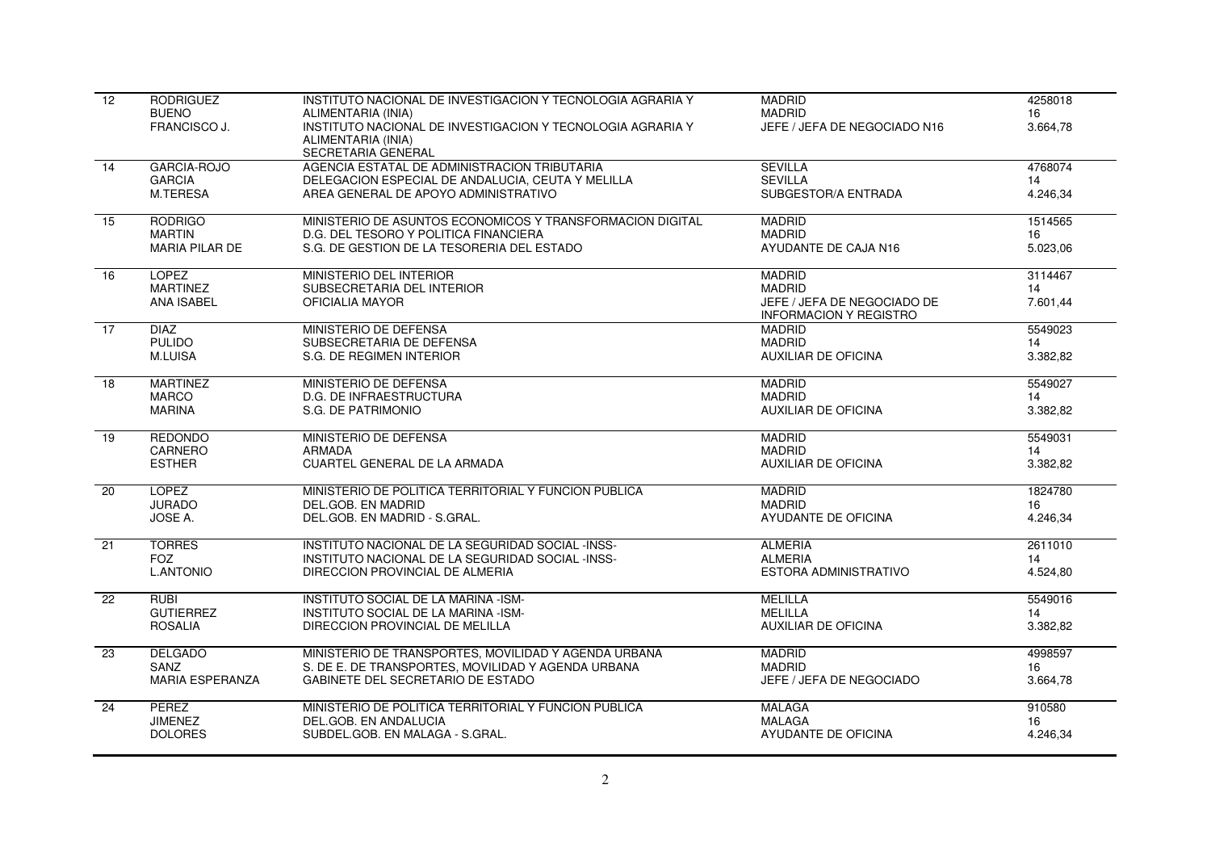| 12              | <b>RODRIGUEZ</b><br><b>BUENO</b><br>FRANCISCO J.     | INSTITUTO NACIONAL DE INVESTIGACION Y TECNOLOGIA AGRARIA Y<br>ALIMENTARIA (INIA)<br>INSTITUTO NACIONAL DE INVESTIGACION Y TECNOLOGIA AGRARIA Y<br>ALIMENTARIA (INIA) | <b>MADRID</b><br><b>MADRID</b><br>JEFE / JEFA DE NEGOCIADO N16                                 | 4258018<br>16<br>3.664,78 |
|-----------------|------------------------------------------------------|----------------------------------------------------------------------------------------------------------------------------------------------------------------------|------------------------------------------------------------------------------------------------|---------------------------|
| 14              | <b>GARCIA-ROJO</b><br><b>GARCIA</b><br>M.TERESA      | SECRETARIA GENERAL<br>AGENCIA ESTATAL DE ADMINISTRACION TRIBUTARIA<br>DELEGACION ESPECIAL DE ANDALUCIA, CEUTA Y MELILLA<br>AREA GENERAL DE APOYO ADMINISTRATIVO      | <b>SEVILLA</b><br><b>SEVILLA</b><br>SUBGESTOR/A ENTRADA                                        | 4768074<br>14<br>4.246.34 |
| 15              | <b>RODRIGO</b>                                       | MINISTERIO DE ASUNTOS ECONOMICOS Y TRANSFORMACION DIGITAL                                                                                                            | <b>MADRID</b>                                                                                  | 1514565                   |
|                 | <b>MARTIN</b>                                        | D.G. DEL TESORO Y POLITICA FINANCIERA                                                                                                                                | <b>MADRID</b>                                                                                  | 16                        |
|                 | <b>MARIA PILAR DE</b>                                | S.G. DE GESTION DE LA TESORERIA DEL ESTADO                                                                                                                           | AYUDANTE DE CAJA N16                                                                           | 5.023,06                  |
| 16              | <b>LOPEZ</b><br><b>MARTINEZ</b><br><b>ANA ISABEL</b> | MINISTERIO DEL INTERIOR<br>SUBSECRETARIA DEL INTERIOR<br>OFICIALIA MAYOR                                                                                             | <b>MADRID</b><br><b>MADRID</b><br>JEFE / JEFA DE NEGOCIADO DE<br><b>INFORMACION Y REGISTRO</b> | 3114467<br>14<br>7.601,44 |
| $\overline{17}$ | <b>DIAZ</b>                                          | MINISTERIO DE DEFENSA                                                                                                                                                | <b>MADRID</b>                                                                                  | 5549023                   |
|                 | <b>PULIDO</b>                                        | SUBSECRETARIA DE DEFENSA                                                                                                                                             | <b>MADRID</b>                                                                                  | 14                        |
|                 | M.LUISA                                              | S.G. DE REGIMEN INTERIOR                                                                                                                                             | <b>AUXILIAR DE OFICINA</b>                                                                     | 3.382,82                  |
| 18              | <b>MARTINEZ</b>                                      | MINISTERIO DE DEFENSA                                                                                                                                                | <b>MADRID</b>                                                                                  | 5549027                   |
|                 | <b>MARCO</b>                                         | D.G. DE INFRAESTRUCTURA                                                                                                                                              | <b>MADRID</b>                                                                                  | 14                        |
|                 | <b>MARINA</b>                                        | S.G. DE PATRIMONIO                                                                                                                                                   | <b>AUXILIAR DE OFICINA</b>                                                                     | 3.382,82                  |
| 19              | <b>REDONDO</b>                                       | <b>MINISTERIO DE DEFENSA</b>                                                                                                                                         | <b>MADRID</b>                                                                                  | 5549031                   |
|                 | CARNERO                                              | <b>ARMADA</b>                                                                                                                                                        | <b>MADRID</b>                                                                                  | 14                        |
|                 | <b>ESTHER</b>                                        | CUARTEL GENERAL DE LA ARMADA                                                                                                                                         | <b>AUXILIAR DE OFICINA</b>                                                                     | 3.382,82                  |
| 20              | <b>LOPEZ</b>                                         | MINISTERIO DE POLITICA TERRITORIAL Y FUNCION PUBLICA                                                                                                                 | <b>MADRID</b>                                                                                  | 1824780                   |
|                 | <b>JURADO</b>                                        | DEL.GOB. EN MADRID                                                                                                                                                   | <b>MADRID</b>                                                                                  | 16                        |
|                 | JOSE A.                                              | DEL.GOB. EN MADRID - S.GRAL.                                                                                                                                         | AYUDANTE DE OFICINA                                                                            | 4.246.34                  |
| $\overline{21}$ | <b>TORRES</b>                                        | INSTITUTO NACIONAL DE LA SEGURIDAD SOCIAL -INSS-                                                                                                                     | <b>ALMERIA</b>                                                                                 | 2611010                   |
|                 | <b>FOZ</b>                                           | INSTITUTO NACIONAL DE LA SEGURIDAD SOCIAL -INSS-                                                                                                                     | <b>ALMERIA</b>                                                                                 | 14                        |
|                 | <b>L.ANTONIO</b>                                     | DIRECCION PROVINCIAL DE ALMERIA                                                                                                                                      | ESTORA ADMINISTRATIVO                                                                          | 4.524,80                  |
| 22              | <b>RUBI</b>                                          | INSTITUTO SOCIAL DE LA MARINA -ISM-                                                                                                                                  | <b>MELILLA</b>                                                                                 | 5549016                   |
|                 | <b>GUTIERREZ</b>                                     | INSTITUTO SOCIAL DE LA MARINA -ISM-                                                                                                                                  | <b>MELILLA</b>                                                                                 | 14                        |
|                 | <b>ROSALIA</b>                                       | DIRECCION PROVINCIAL DE MELILLA                                                                                                                                      | <b>AUXILIAR DE OFICINA</b>                                                                     | 3.382,82                  |
| 23              | <b>DELGADO</b>                                       | MINISTERIO DE TRANSPORTES, MOVILIDAD Y AGENDA URBANA                                                                                                                 | <b>MADRID</b>                                                                                  | 4998597                   |
|                 | SANZ                                                 | S. DE E. DE TRANSPORTES, MOVILIDAD Y AGENDA URBANA                                                                                                                   | <b>MADRID</b>                                                                                  | 16                        |
|                 | MARIA ESPERANZA                                      | GABINETE DEL SECRETARIO DE ESTADO                                                                                                                                    | JEFE / JEFA DE NEGOCIADO                                                                       | 3.664,78                  |
| 24              | PEREZ                                                | MINISTERIO DE POLITICA TERRITORIAL Y FUNCION PUBLICA                                                                                                                 | <b>MALAGA</b>                                                                                  | 910580                    |
|                 | <b>JIMENEZ</b>                                       | DEL.GOB. EN ANDALUCIA                                                                                                                                                | <b>MALAGA</b>                                                                                  | 16                        |
|                 | <b>DOLORES</b>                                       | SUBDEL.GOB. EN MALAGA - S.GRAL.                                                                                                                                      | AYUDANTE DE OFICINA                                                                            | 4.246,34                  |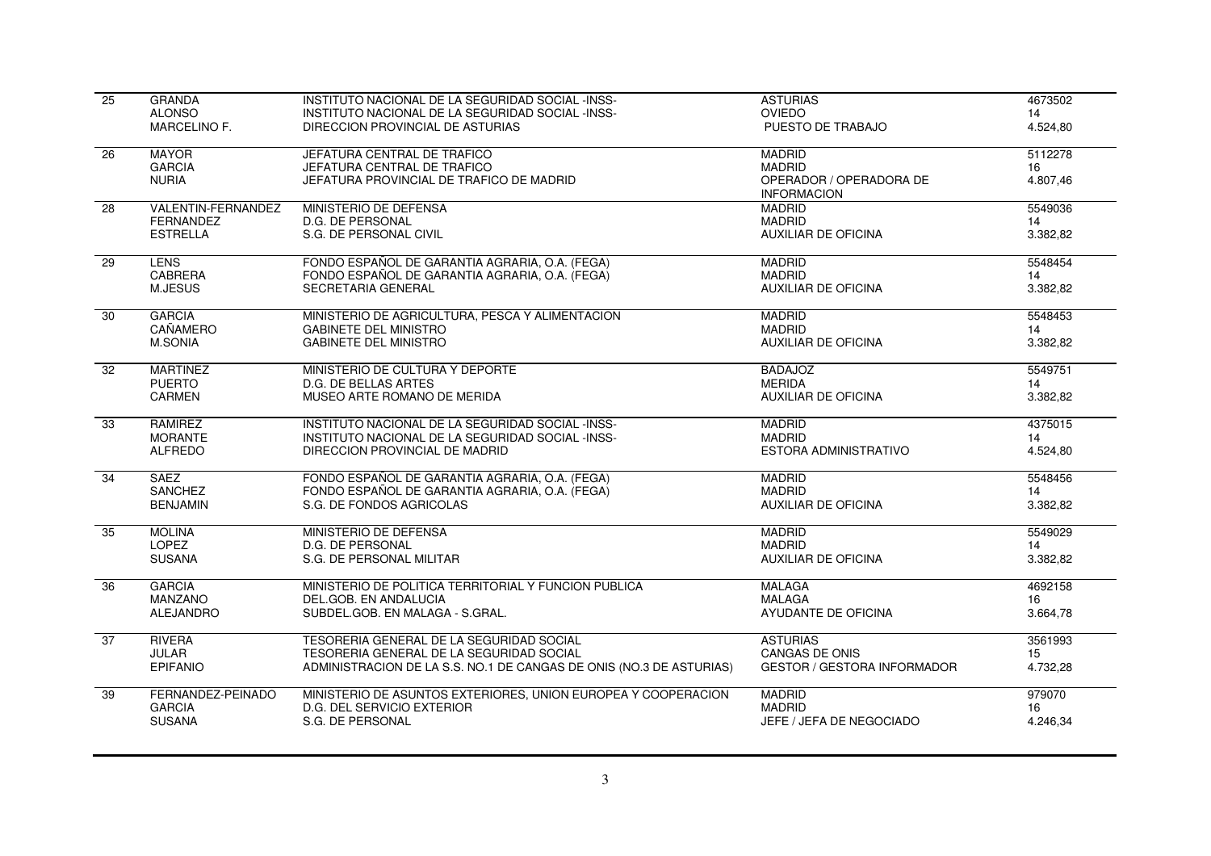| $\overline{25}$ | <b>GRANDA</b>             | INSTITUTO NACIONAL DE LA SEGURIDAD SOCIAL -INSS-                    | <b>ASTURIAS</b>                               | 4673502  |
|-----------------|---------------------------|---------------------------------------------------------------------|-----------------------------------------------|----------|
|                 | <b>ALONSO</b>             | INSTITUTO NACIONAL DE LA SEGURIDAD SOCIAL -INSS-                    | <b>OVIEDO</b>                                 | 14       |
|                 | MARCELINO F.              | DIRECCION PROVINCIAL DE ASTURIAS                                    | PUESTO DE TRABAJO                             | 4.524,80 |
| 26              | <b>MAYOR</b>              | JEFATURA CENTRAL DE TRAFICO                                         | <b>MADRID</b>                                 | 5112278  |
|                 | <b>GARCIA</b>             | JEFATURA CENTRAL DE TRAFICO                                         | <b>MADRID</b>                                 | 16       |
|                 | <b>NURIA</b>              | JEFATURA PROVINCIAL DE TRAFICO DE MADRID                            | OPERADOR / OPERADORA DE<br><b>INFORMACION</b> | 4.807,46 |
| 28              | <b>VALENTIN-FERNANDEZ</b> | MINISTERIO DE DEFENSA                                               | <b>MADRID</b>                                 | 5549036  |
|                 | <b>FERNANDEZ</b>          | <b>D.G. DE PERSONAL</b>                                             | <b>MADRID</b>                                 | 14       |
|                 | <b>ESTRELLA</b>           | S.G. DE PERSONAL CIVIL                                              | <b>AUXILIAR DE OFICINA</b>                    | 3.382,82 |
| 29              | <b>LENS</b>               | FONDO ESPAÑOL DE GARANTIA AGRARIA, O.A. (FEGA)                      | <b>MADRID</b>                                 | 5548454  |
|                 | <b>CABRERA</b>            | FONDO ESPAÑOL DE GARANTIA AGRARIA, O.A. (FEGA)                      | <b>MADRID</b>                                 | 14       |
|                 | M.JESUS                   | SECRETARIA GENERAL                                                  | <b>AUXILIAR DE OFICINA</b>                    | 3.382,82 |
| 30              | <b>GARCIA</b>             | MINISTERIO DE AGRICULTURA, PESCA Y ALIMENTACION                     | <b>MADRID</b>                                 | 5548453  |
|                 | CAÑAMERO                  | <b>GABINETE DEL MINISTRO</b>                                        | <b>MADRID</b>                                 | 14       |
|                 | <b>M.SONIA</b>            | <b>GABINETE DEL MINISTRO</b>                                        | <b>AUXILIAR DE OFICINA</b>                    | 3.382,82 |
| 32              | <b>MARTINEZ</b>           | MINISTERIO DE CULTURA Y DEPORTE                                     | <b>BADAJOZ</b>                                | 5549751  |
|                 | <b>PUERTO</b>             | D.G. DE BELLAS ARTES                                                | <b>MERIDA</b>                                 | 14       |
|                 | <b>CARMEN</b>             | MUSEO ARTE ROMANO DE MERIDA                                         | <b>AUXILIAR DE OFICINA</b>                    | 3.382,82 |
| 33              | RAMIREZ                   | INSTITUTO NACIONAL DE LA SEGURIDAD SOCIAL -INSS-                    | <b>MADRID</b>                                 | 4375015  |
|                 | <b>MORANTE</b>            | INSTITUTO NACIONAL DE LA SEGURIDAD SOCIAL -INSS-                    | <b>MADRID</b>                                 | 14       |
|                 | <b>ALFREDO</b>            | DIRECCION PROVINCIAL DE MADRID                                      | ESTORA ADMINISTRATIVO                         | 4.524,80 |
| 34              | <b>SAEZ</b>               | FONDO ESPAÑOL DE GARANTIA AGRARIA, O.A. (FEGA)                      | <b>MADRID</b>                                 | 5548456  |
|                 | <b>SANCHEZ</b>            | FONDO ESPAÑOL DE GARANTIA AGRARIA, O.A. (FEGA)                      | <b>MADRID</b>                                 | 14       |
|                 | <b>BENJAMIN</b>           | S.G. DE FONDOS AGRICOLAS                                            | <b>AUXILIAR DE OFICINA</b>                    | 3.382,82 |
| 35              | <b>MOLINA</b>             | MINISTERIO DE DEFENSA                                               | <b>MADRID</b>                                 | 5549029  |
|                 | <b>LOPEZ</b>              | <b>D.G. DE PERSONAL</b>                                             | <b>MADRID</b>                                 | 14       |
|                 | <b>SUSANA</b>             | S.G. DE PERSONAL MILITAR                                            | <b>AUXILIAR DE OFICINA</b>                    | 3.382,82 |
| $\overline{36}$ | <b>GARCIA</b>             | MINISTERIO DE POLITICA TERRITORIAL Y FUNCION PUBLICA                | <b>MALAGA</b>                                 | 4692158  |
|                 | <b>MANZANO</b>            | DEL.GOB. EN ANDALUCIA                                               | <b>MALAGA</b>                                 | 16       |
|                 | <b>ALEJANDRO</b>          | SUBDEL.GOB. EN MALAGA - S.GRAL.                                     | AYUDANTE DE OFICINA                           | 3.664,78 |
| 37              | <b>RIVERA</b>             | TESORERIA GENERAL DE LA SEGURIDAD SOCIAL                            | <b>ASTURIAS</b>                               | 3561993  |
|                 | <b>JULAR</b>              | TESORERIA GENERAL DE LA SEGURIDAD SOCIAL                            | <b>CANGAS DE ONIS</b>                         | 15       |
|                 | <b>EPIFANIO</b>           | ADMINISTRACION DE LA S.S. NO.1 DE CANGAS DE ONIS (NO.3 DE ASTURIAS) | <b>GESTOR / GESTORA INFORMADOR</b>            | 4.732,28 |
| $\overline{39}$ | FERNANDEZ-PEINADO         | MINISTERIO DE ASUNTOS EXTERIORES, UNION EUROPEA Y COOPERACION       | <b>MADRID</b>                                 | 979070   |
|                 | <b>GARCIA</b>             | D.G. DEL SERVICIO EXTERIOR                                          | <b>MADRID</b>                                 | 16       |
|                 | <b>SUSANA</b>             | S.G. DE PERSONAL                                                    | JEFE / JEFA DE NEGOCIADO                      | 4.246,34 |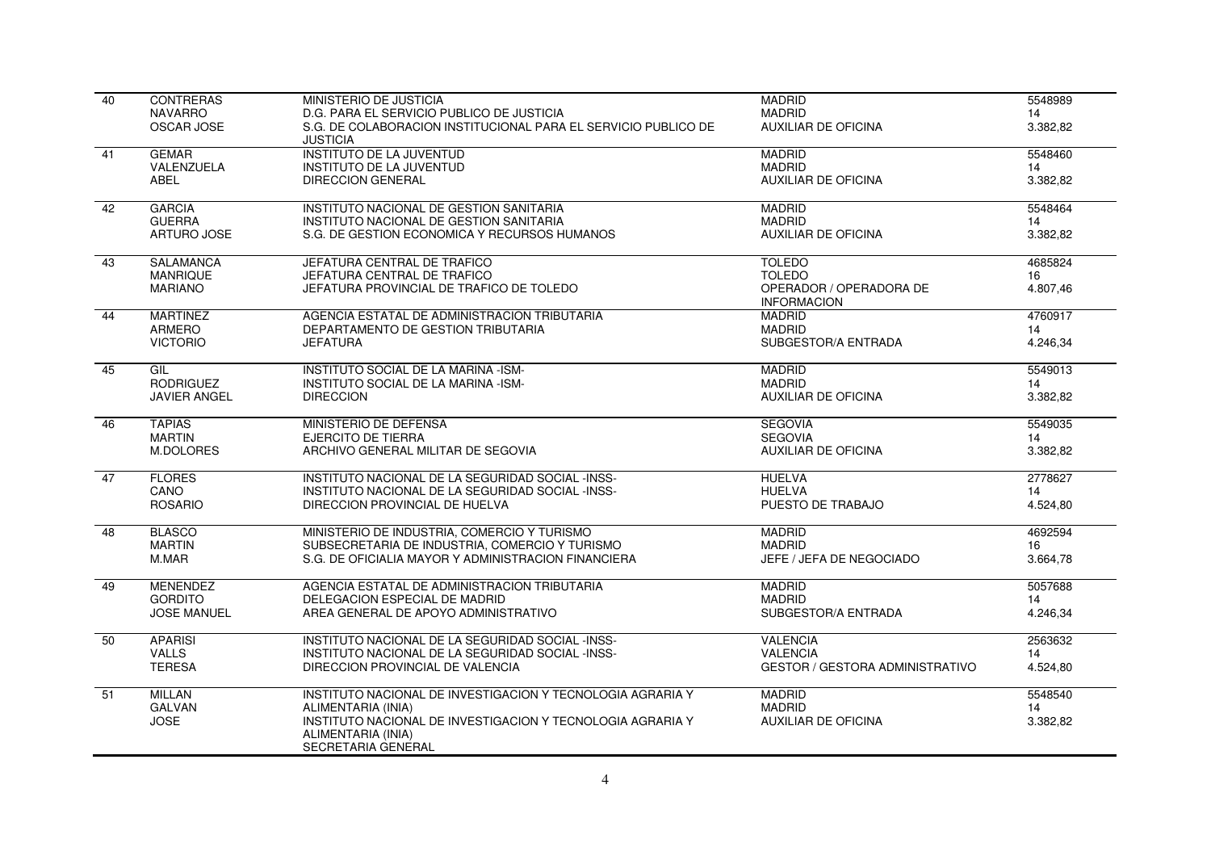| 40 | <b>CONTRERAS</b>    | MINISTERIO DE JUSTICIA                                                            | <b>MADRID</b>                                 | 5548989  |
|----|---------------------|-----------------------------------------------------------------------------------|-----------------------------------------------|----------|
|    | <b>NAVARRO</b>      | D.G. PARA EL SERVICIO PUBLICO DE JUSTICIA                                         | <b>MADRID</b>                                 | 14       |
|    | <b>OSCAR JOSE</b>   | S.G. DE COLABORACION INSTITUCIONAL PARA EL SERVICIO PUBLICO DE<br><b>JUSTICIA</b> | <b>AUXILIAR DE OFICINA</b>                    | 3.382,82 |
| 41 | <b>GEMAR</b>        | <b>INSTITUTO DE LA JUVENTUD</b>                                                   | <b>MADRID</b>                                 | 5548460  |
|    | VALENZUELA          | <b>INSTITUTO DE LA JUVENTUD</b>                                                   | <b>MADRID</b>                                 | 14       |
|    | <b>ABEL</b>         | <b>DIRECCION GENERAL</b>                                                          | <b>AUXILIAR DE OFICINA</b>                    | 3.382,82 |
| 42 | <b>GARCIA</b>       | INSTITUTO NACIONAL DE GESTION SANITARIA                                           | <b>MADRID</b>                                 | 5548464  |
|    | <b>GUERRA</b>       | INSTITUTO NACIONAL DE GESTION SANITARIA                                           | <b>MADRID</b>                                 | 14       |
|    | ARTURO JOSE         | S.G. DE GESTION ECONOMICA Y RECURSOS HUMANOS                                      | AUXILIAR DE OFICINA                           | 3.382,82 |
| 43 | <b>SALAMANCA</b>    | JEFATURA CENTRAL DE TRAFICO                                                       | <b>TOLEDO</b>                                 | 4685824  |
|    | <b>MANRIQUE</b>     | JEFATURA CENTRAL DE TRAFICO                                                       | <b>TOLEDO</b>                                 | 16       |
|    | <b>MARIANO</b>      | JEFATURA PROVINCIAL DE TRAFICO DE TOLEDO                                          | OPERADOR / OPERADORA DE<br><b>INFORMACION</b> | 4.807,46 |
| 44 | <b>MARTINEZ</b>     | AGENCIA ESTATAL DE ADMINISTRACION TRIBUTARIA                                      | <b>MADRID</b>                                 | 4760917  |
|    | ARMERO              | DEPARTAMENTO DE GESTION TRIBUTARIA                                                | <b>MADRID</b>                                 | 14       |
|    | <b>VICTORIO</b>     | <b>JEFATURA</b>                                                                   | SUBGESTOR/A ENTRADA                           | 4.246,34 |
| 45 | GIL                 | INSTITUTO SOCIAL DE LA MARINA -ISM-                                               | <b>MADRID</b>                                 | 5549013  |
|    | <b>RODRIGUEZ</b>    | INSTITUTO SOCIAL DE LA MARINA -ISM-                                               | <b>MADRID</b>                                 | 14       |
|    | <b>JAVIER ANGEL</b> | <b>DIRECCION</b>                                                                  | AUXILIAR DE OFICINA                           | 3.382,82 |
| 46 | <b>TAPIAS</b>       | MINISTERIO DE DEFENSA                                                             | <b>SEGOVIA</b>                                | 5549035  |
|    | <b>MARTIN</b>       | EJERCITO DE TIERRA                                                                | <b>SEGOVIA</b>                                | 14       |
|    | M.DOLORES           | ARCHIVO GENERAL MILITAR DE SEGOVIA                                                | <b>AUXILIAR DE OFICINA</b>                    | 3.382,82 |
| 47 | <b>FLORES</b>       | INSTITUTO NACIONAL DE LA SEGURIDAD SOCIAL -INSS-                                  | <b>HUELVA</b>                                 | 2778627  |
|    | CANO                | INSTITUTO NACIONAL DE LA SEGURIDAD SOCIAL -INSS-                                  | <b>HUELVA</b>                                 | 14       |
|    | <b>ROSARIO</b>      | DIRECCION PROVINCIAL DE HUELVA                                                    | PUESTO DE TRABAJO                             | 4.524,80 |
| 48 | <b>BLASCO</b>       | MINISTERIO DE INDUSTRIA, COMERCIO Y TURISMO                                       | <b>MADRID</b>                                 | 4692594  |
|    | <b>MARTIN</b>       | SUBSECRETARIA DE INDUSTRIA, COMERCIO Y TURISMO                                    | <b>MADRID</b>                                 | 16       |
|    | M.MAR               | S.G. DE OFICIALIA MAYOR Y ADMINISTRACION FINANCIERA                               | JEFE / JEFA DE NEGOCIADO                      | 3.664,78 |
| 49 | <b>MENENDEZ</b>     | AGENCIA ESTATAL DE ADMINISTRACION TRIBUTARIA                                      | <b>MADRID</b>                                 | 5057688  |
|    | <b>GORDITO</b>      | DELEGACION ESPECIAL DE MADRID                                                     | <b>MADRID</b>                                 | 14       |
|    | <b>JOSE MANUEL</b>  | AREA GENERAL DE APOYO ADMINISTRATIVO                                              | SUBGESTOR/A ENTRADA                           | 4.246,34 |
| 50 | <b>APARISI</b>      | INSTITUTO NACIONAL DE LA SEGURIDAD SOCIAL -INSS-                                  | <b>VALENCIA</b>                               | 2563632  |
|    | <b>VALLS</b>        | INSTITUTO NACIONAL DE LA SEGURIDAD SOCIAL -INSS-                                  | <b>VALENCIA</b>                               | 14       |
|    | <b>TERESA</b>       | DIRECCION PROVINCIAL DE VALENCIA                                                  | <b>GESTOR / GESTORA ADMINISTRATIVO</b>        | 4.524,80 |
| 51 | <b>MILLAN</b>       | INSTITUTO NACIONAL DE INVESTIGACION Y TECNOLOGIA AGRARIA Y                        | <b>MADRID</b>                                 | 5548540  |
|    | <b>GALVAN</b>       | ALIMENTARIA (INIA)                                                                | <b>MADRID</b>                                 | 14       |
|    | <b>JOSE</b>         | INSTITUTO NACIONAL DE INVESTIGACION Y TECNOLOGIA AGRARIA Y                        | <b>AUXILIAR DE OFICINA</b>                    | 3.382,82 |
|    |                     | ALIMENTARIA (INIA)                                                                |                                               |          |
|    |                     | SECRETARIA GENERAL                                                                |                                               |          |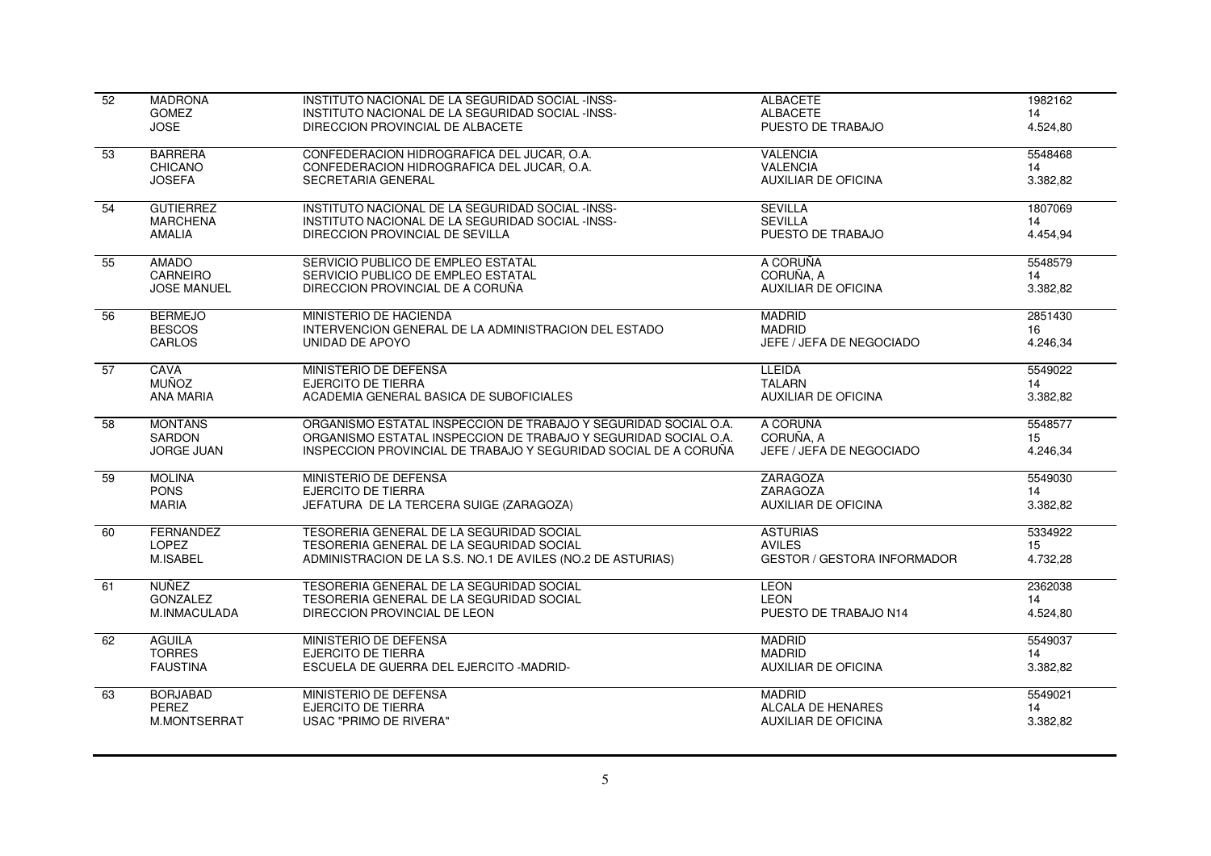| $\overline{52}$ | <b>MADRONA</b>     | INSTITUTO NACIONAL DE LA SEGURIDAD SOCIAL -INSS-                | <b>ALBACETE</b>                    | 1982162  |
|-----------------|--------------------|-----------------------------------------------------------------|------------------------------------|----------|
|                 | <b>GOMEZ</b>       | INSTITUTO NACIONAL DE LA SEGURIDAD SOCIAL -INSS-                | <b>ALBACETE</b>                    | 14       |
|                 | <b>JOSE</b>        | DIRECCION PROVINCIAL DE ALBACETE                                | PUESTO DE TRABAJO                  | 4.524,80 |
| 53              | <b>BARRERA</b>     | CONFEDERACION HIDROGRAFICA DEL JUCAR, O.A.                      | <b>VALENCIA</b>                    | 5548468  |
|                 | <b>CHICANO</b>     | CONFEDERACION HIDROGRAFICA DEL JUCAR, O.A.                      | <b>VALENCIA</b>                    | 14       |
|                 | <b>JOSEFA</b>      | <b>SECRETARIA GENERAL</b>                                       | <b>AUXILIAR DE OFICINA</b>         | 3.382,82 |
| 54              | <b>GUTIERREZ</b>   | INSTITUTO NACIONAL DE LA SEGURIDAD SOCIAL -INSS-                | <b>SEVILLA</b>                     | 1807069  |
|                 | <b>MARCHENA</b>    | INSTITUTO NACIONAL DE LA SEGURIDAD SOCIAL -INSS-                | <b>SEVILLA</b>                     | 14       |
|                 | <b>AMALIA</b>      | DIRECCION PROVINCIAL DE SEVILLA                                 | PUESTO DE TRABAJO                  | 4.454,94 |
| 55              | <b>AMADO</b>       | SERVICIO PUBLICO DE EMPLEO ESTATAL                              | A CORUÑA                           | 5548579  |
|                 | CARNEIRO           | SERVICIO PUBLICO DE EMPLEO ESTATAL                              | CORUÑA, A                          | 14       |
|                 | <b>JOSE MANUEL</b> | DIRECCION PROVINCIAL DE A CORUÑA                                | <b>AUXILIAR DE OFICINA</b>         | 3.382,82 |
| $\overline{56}$ | <b>BERMEJO</b>     | MINISTERIO DE HACIENDA                                          | <b>MADRID</b>                      | 2851430  |
|                 | <b>BESCOS</b>      | INTERVENCION GENERAL DE LA ADMINISTRACION DEL ESTADO            | <b>MADRID</b>                      | 16       |
|                 | <b>CARLOS</b>      | UNIDAD DE APOYO                                                 | JEFE / JEFA DE NEGOCIADO           | 4.246,34 |
| 57              | CAVA               | MINISTERIO DE DEFENSA                                           | <b>LLEIDA</b>                      | 5549022  |
|                 | <b>MUÑOZ</b>       | <b>EJERCITO DE TIERRA</b>                                       | <b>TALARN</b>                      | 14       |
|                 | <b>ANA MARIA</b>   | ACADEMIA GENERAL BASICA DE SUBOFICIALES                         | <b>AUXILIAR DE OFICINA</b>         | 3.382,82 |
| 58              | <b>MONTANS</b>     | ORGANISMO ESTATAL INSPECCION DE TRABAJO Y SEGURIDAD SOCIAL O.A. | A CORUÑA                           | 5548577  |
|                 | <b>SARDON</b>      | ORGANISMO ESTATAL INSPECCION DE TRABAJO Y SEGURIDAD SOCIAL O.A. | CORUÑA, A                          | 15       |
|                 | <b>JORGE JUAN</b>  | INSPECCION PROVINCIAL DE TRABAJO Y SEGURIDAD SOCIAL DE A CORUÑA | JEFE / JEFA DE NEGOCIADO           | 4.246,34 |
| 59              | <b>MOLINA</b>      | MINISTERIO DE DEFENSA                                           | <b>ZARAGOZA</b>                    | 5549030  |
|                 | <b>PONS</b>        | <b>EJERCITO DE TIERRA</b>                                       | ZARAGOZA                           | 14       |
|                 | <b>MARIA</b>       | JEFATURA DE LA TERCERA SUIGE (ZARAGOZA)                         | <b>AUXILIAR DE OFICINA</b>         | 3.382,82 |
| 60              | FERNANDEZ          | TESORERIA GENERAL DE LA SEGURIDAD SOCIAL                        | <b>ASTURIAS</b>                    | 5334922  |
|                 | <b>LOPEZ</b>       | TESORERIA GENERAL DE LA SEGURIDAD SOCIAL                        | <b>AVILES</b>                      | 15       |
|                 | M.ISABEL           | ADMINISTRACION DE LA S.S. NO.1 DE AVILES (NO.2 DE ASTURIAS)     | <b>GESTOR / GESTORA INFORMADOR</b> | 4.732,28 |
| 61              | <b>NUÑEZ</b>       | TESORERIA GENERAL DE LA SEGURIDAD SOCIAL                        | <b>LEON</b>                        | 2362038  |
|                 | <b>GONZALEZ</b>    | TESORERIA GENERAL DE LA SEGURIDAD SOCIAL                        | <b>LEON</b>                        | 14       |
|                 | M.INMACULADA       | DIRECCION PROVINCIAL DE LEON                                    | PUESTO DE TRABAJO N14              | 4.524,80 |
| 62              | <b>AGUILA</b>      | MINISTERIO DE DEFENSA                                           | <b>MADRID</b>                      | 5549037  |
|                 | <b>TORRES</b>      | <b>EJERCITO DE TIERRA</b>                                       | <b>MADRID</b>                      | 14       |
|                 | <b>FAUSTINA</b>    | ESCUELA DE GUERRA DEL EJERCITO -MADRID-                         | <b>AUXILIAR DE OFICINA</b>         | 3.382,82 |
| 63              | <b>BORJABAD</b>    | MINISTERIO DE DEFENSA                                           | <b>MADRID</b>                      | 5549021  |
|                 | PEREZ              | <b>EJERCITO DE TIERRA</b>                                       | ALCALA DE HENARES                  | 14       |
|                 | M.MONTSERRAT       | USAC "PRIMO DE RIVERA"                                          | <b>AUXILIAR DE OFICINA</b>         | 3.382,82 |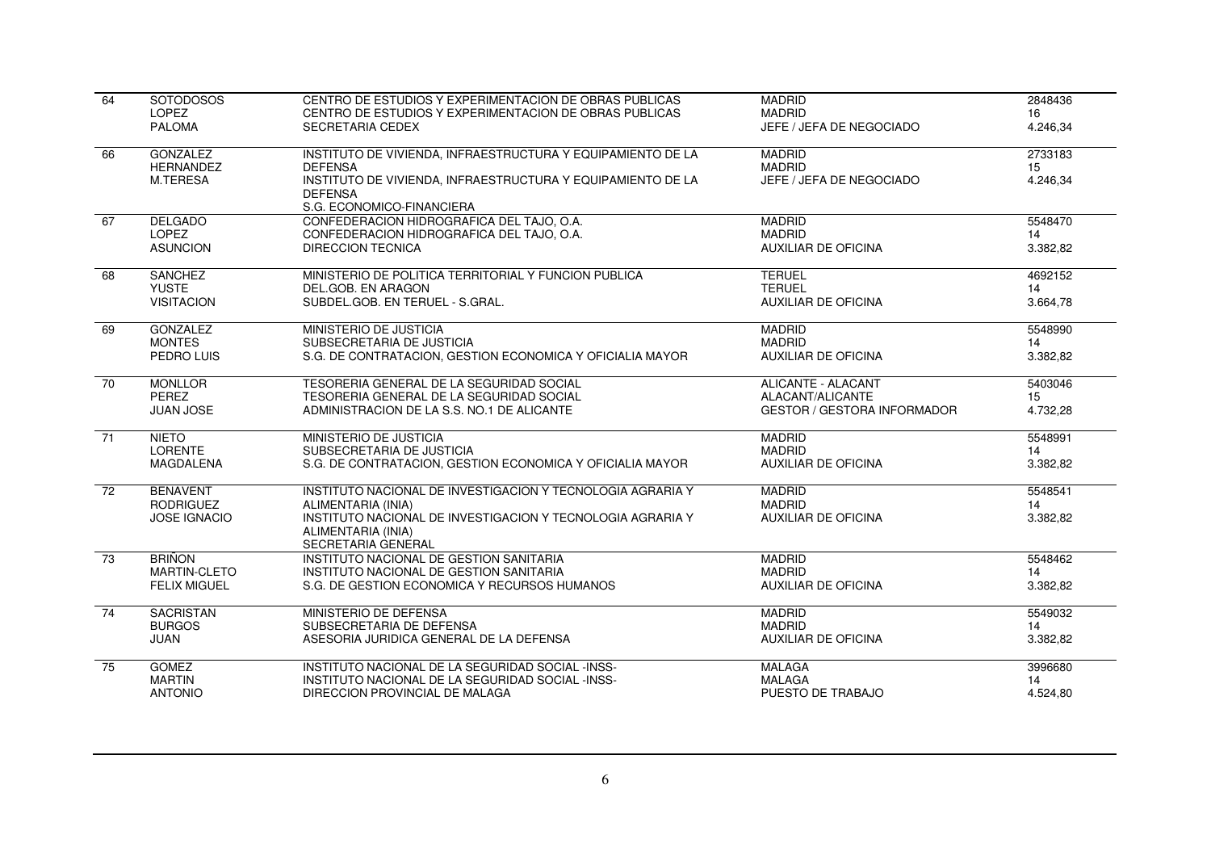| 64              | <b>SOTODOSOS</b>                                           | CENTRO DE ESTUDIOS Y EXPERIMENTACION DE OBRAS PUBLICAS                                                                                                                                      | <b>MADRID</b>                                                | 2848436                   |
|-----------------|------------------------------------------------------------|---------------------------------------------------------------------------------------------------------------------------------------------------------------------------------------------|--------------------------------------------------------------|---------------------------|
|                 | LOPEZ                                                      | CENTRO DE ESTUDIOS Y EXPERIMENTACION DE OBRAS PUBLICAS                                                                                                                                      | <b>MADRID</b>                                                | 16                        |
|                 | <b>PALOMA</b>                                              | <b>SECRETARIA CEDEX</b>                                                                                                                                                                     | JEFE / JEFA DE NEGOCIADO                                     | 4.246,34                  |
| 66              | <b>GONZALEZ</b><br><b>HERNANDEZ</b><br>M.TERESA            | INSTITUTO DE VIVIENDA, INFRAESTRUCTURA Y EQUIPAMIENTO DE LA<br><b>DEFENSA</b><br>INSTITUTO DE VIVIENDA, INFRAESTRUCTURA Y EQUIPAMIENTO DE LA<br><b>DEFENSA</b><br>S.G. ECONOMICO-FINANCIERA | <b>MADRID</b><br><b>MADRID</b><br>JEFE / JEFA DE NEGOCIADO   | 2733183<br>15<br>4.246,34 |
| 67              | <b>DELGADO</b>                                             | CONFEDERACION HIDROGRAFICA DEL TAJO, O.A.                                                                                                                                                   | <b>MADRID</b>                                                | 5548470                   |
|                 | <b>LOPEZ</b>                                               | CONFEDERACION HIDROGRAFICA DEL TAJO, O.A.                                                                                                                                                   | <b>MADRID</b>                                                | 14                        |
|                 | <b>ASUNCION</b>                                            | <b>DIRECCION TECNICA</b>                                                                                                                                                                    | <b>AUXILIAR DE OFICINA</b>                                   | 3.382,82                  |
| 68              | <b>SANCHEZ</b>                                             | MINISTERIO DE POLITICA TERRITORIAL Y FUNCION PUBLICA                                                                                                                                        | <b>TERUEL</b>                                                | 4692152                   |
|                 | <b>YUSTE</b>                                               | DEL.GOB. EN ARAGON                                                                                                                                                                          | <b>TERUEL</b>                                                | 14                        |
|                 | <b>VISITACION</b>                                          | SUBDEL.GOB. EN TERUEL - S.GRAL.                                                                                                                                                             | <b>AUXILIAR DE OFICINA</b>                                   | 3.664,78                  |
| 69              | <b>GONZALEZ</b>                                            | MINISTERIO DE JUSTICIA                                                                                                                                                                      | <b>MADRID</b>                                                | 5548990                   |
|                 | <b>MONTES</b>                                              | SUBSECRETARIA DE JUSTICIA                                                                                                                                                                   | <b>MADRID</b>                                                | 14                        |
|                 | PEDRO LUIS                                                 | S.G. DE CONTRATACION. GESTION ECONOMICA Y OFICIALIA MAYOR                                                                                                                                   | <b>AUXILIAR DE OFICINA</b>                                   | 3.382,82                  |
| $\overline{70}$ | <b>MONLLOR</b>                                             | TESORERIA GENERAL DE LA SEGURIDAD SOCIAL                                                                                                                                                    | ALICANTE - ALACANT                                           | 5403046                   |
|                 | PFRF7                                                      | TESORERIA GENERAL DE LA SEGURIDAD SOCIAL                                                                                                                                                    | ALACANT/ALICANTE                                             | 15                        |
|                 | <b>JUAN JOSE</b>                                           | ADMINISTRACION DE LA S.S. NO.1 DE ALICANTE                                                                                                                                                  | <b>GESTOR / GESTORA INFORMADOR</b>                           | 4.732,28                  |
| 71              | <b>NIETO</b>                                               | MINISTERIO DE JUSTICIA                                                                                                                                                                      | <b>MADRID</b>                                                | 5548991                   |
|                 | <b>LORENTE</b>                                             | SUBSECRETARIA DE JUSTICIA                                                                                                                                                                   | <b>MADRID</b>                                                | 14                        |
|                 | MAGDALENA                                                  | S.G. DE CONTRATACION, GESTION ECONOMICA Y OFICIALIA MAYOR                                                                                                                                   | <b>AUXILIAR DE OFICINA</b>                                   | 3.382,82                  |
| $\overline{72}$ | <b>BENAVENT</b><br><b>RODRIGUEZ</b><br><b>JOSE IGNACIO</b> | INSTITUTO NACIONAL DE INVESTIGACION Y TECNOLOGIA AGRARIA Y<br>ALIMENTARIA (INIA)<br>INSTITUTO NACIONAL DE INVESTIGACION Y TECNOLOGIA AGRARIA Y<br>ALIMENTARIA (INIA)<br>SECRETARIA GENERAL  | <b>MADRID</b><br><b>MADRID</b><br><b>AUXILIAR DE OFICINA</b> | 5548541<br>14<br>3.382,82 |
| 73              | <b>BRINON</b>                                              | INSTITUTO NACIONAL DE GESTION SANITARIA                                                                                                                                                     | <b>MADRID</b>                                                | 5548462                   |
|                 | MARTIN-CLETO                                               | INSTITUTO NACIONAL DE GESTION SANITARIA                                                                                                                                                     | <b>MADRID</b>                                                | 14                        |
|                 | <b>FELIX MIGUEL</b>                                        | S.G. DE GESTION ECONOMICA Y RECURSOS HUMANOS                                                                                                                                                | <b>AUXILIAR DE OFICINA</b>                                   | 3.382,82                  |
| 74              | <b>SACRISTAN</b>                                           | MINISTERIO DE DEFENSA                                                                                                                                                                       | <b>MADRID</b>                                                | 5549032                   |
|                 | <b>BURGOS</b>                                              | SUBSECRETARIA DE DEFENSA                                                                                                                                                                    | <b>MADRID</b>                                                | 14                        |
|                 | <b>JUAN</b>                                                | ASESORIA JURIDICA GENERAL DE LA DEFENSA                                                                                                                                                     | <b>AUXILIAR DE OFICINA</b>                                   | 3.382,82                  |
| 75              | <b>GOMEZ</b>                                               | INSTITUTO NACIONAL DE LA SEGURIDAD SOCIAL -INSS-                                                                                                                                            | <b>MALAGA</b>                                                | 3996680                   |
|                 | <b>MARTIN</b>                                              | INSTITUTO NACIONAL DE LA SEGURIDAD SOCIAL -INSS-                                                                                                                                            | <b>MALAGA</b>                                                | 14                        |
|                 | <b>ANTONIO</b>                                             | DIRECCION PROVINCIAL DE MALAGA                                                                                                                                                              | PUESTO DE TRABAJO                                            | 4.524,80                  |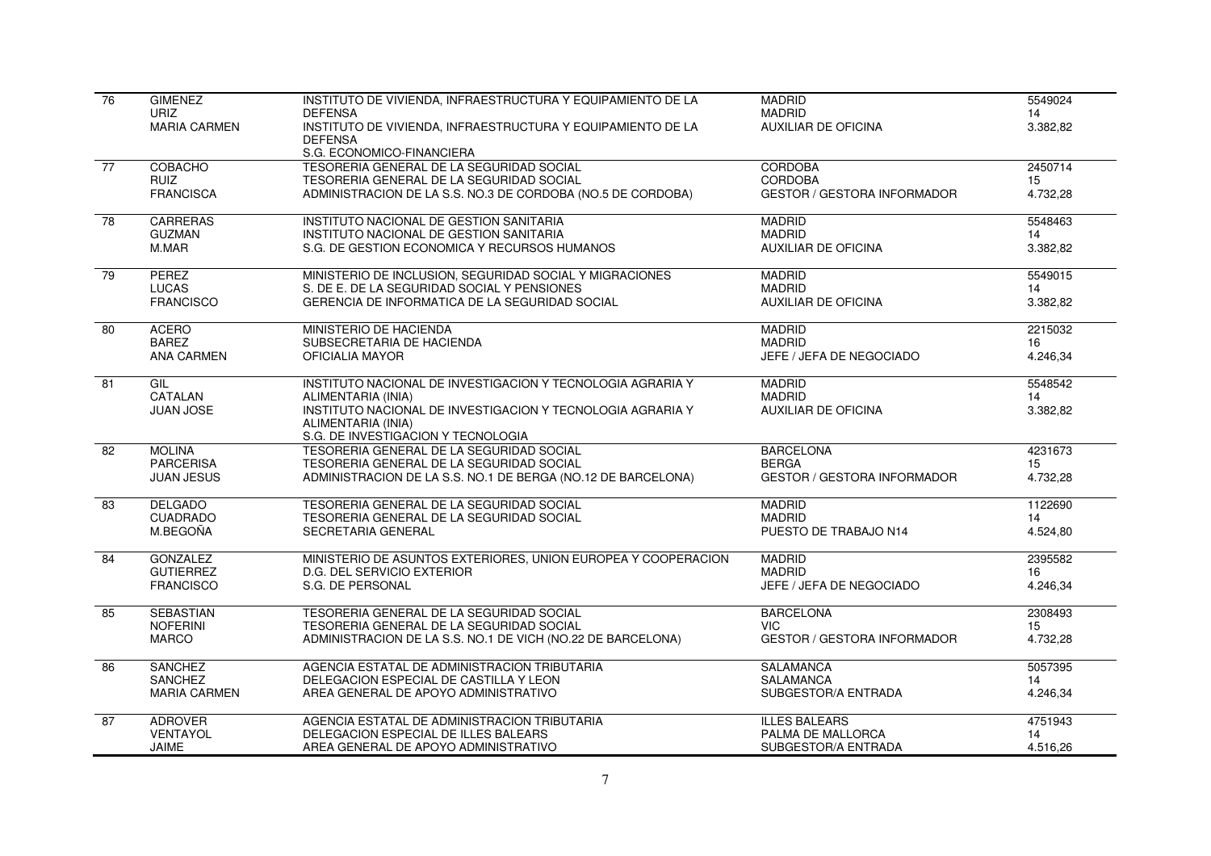| 76 | <b>GIMENEZ</b>                     | INSTITUTO DE VIVIENDA, INFRAESTRUCTURA Y EQUIPAMIENTO DE LA                                             | <b>MADRID</b>                                 | 5549024        |
|----|------------------------------------|---------------------------------------------------------------------------------------------------------|-----------------------------------------------|----------------|
|    | <b>URIZ</b><br><b>MARIA CARMEN</b> | <b>DEFENSA</b><br>INSTITUTO DE VIVIENDA, INFRAESTRUCTURA Y EQUIPAMIENTO DE LA                           | <b>MADRID</b><br><b>AUXILIAR DE OFICINA</b>   | 14<br>3.382,82 |
|    |                                    | <b>DEFENSA</b>                                                                                          |                                               |                |
|    |                                    | S.G. ECONOMICO-FINANCIERA                                                                               |                                               |                |
| 77 | COBACHO                            | TESORERIA GENERAL DE LA SEGURIDAD SOCIAL                                                                | <b>CORDOBA</b>                                | 2450714        |
|    | <b>RUIZ</b><br><b>FRANCISCA</b>    | TESORERIA GENERAL DE LA SEGURIDAD SOCIAL<br>ADMINISTRACION DE LA S.S. NO.3 DE CORDOBA (NO.5 DE CORDOBA) | CORDOBA<br><b>GESTOR / GESTORA INFORMADOR</b> | 15<br>4.732,28 |
|    |                                    |                                                                                                         |                                               |                |
| 78 | <b>CARRERAS</b>                    | INSTITUTO NACIONAL DE GESTION SANITARIA                                                                 | <b>MADRID</b>                                 | 5548463        |
|    | <b>GUZMAN</b>                      | INSTITUTO NACIONAL DE GESTION SANITARIA                                                                 | <b>MADRID</b>                                 | 14             |
|    | M.MAR                              | S.G. DE GESTION ECONOMICA Y RECURSOS HUMANOS                                                            | <b>AUXILIAR DE OFICINA</b>                    | 3.382,82       |
| 79 | <b>PEREZ</b>                       | MINISTERIO DE INCLUSION, SEGURIDAD SOCIAL Y MIGRACIONES                                                 | <b>MADRID</b>                                 | 5549015        |
|    | <b>LUCAS</b>                       | S. DE E. DE LA SEGURIDAD SOCIAL Y PENSIONES                                                             | <b>MADRID</b>                                 | 14             |
|    | <b>FRANCISCO</b>                   | GERENCIA DE INFORMATICA DE LA SEGURIDAD SOCIAL                                                          | <b>AUXILIAR DE OFICINA</b>                    | 3.382,82       |
| 80 | <b>ACERO</b>                       | MINISTERIO DE HACIENDA                                                                                  | <b>MADRID</b>                                 | 2215032        |
|    | <b>BAREZ</b>                       | SUBSECRETARIA DE HACIENDA                                                                               | <b>MADRID</b>                                 | 16             |
|    | <b>ANA CARMEN</b>                  | OFICIALIA MAYOR                                                                                         | JEFE / JEFA DE NEGOCIADO                      | 4.246,34       |
| 81 | GIL                                | INSTITUTO NACIONAL DE INVESTIGACION Y TECNOLOGIA AGRARIA Y                                              | <b>MADRID</b>                                 | 5548542        |
|    | CATALAN                            | ALIMENTARIA (INIA)                                                                                      | <b>MADRID</b>                                 | 14             |
|    | JUAN JOSE                          | INSTITUTO NACIONAL DE INVESTIGACION Y TECNOLOGIA AGRARIA Y                                              | <b>AUXILIAR DE OFICINA</b>                    | 3.382,82       |
|    |                                    | ALIMENTARIA (INIA)<br>S.G. DE INVESTIGACION Y TECNOLOGIA                                                |                                               |                |
| 82 | <b>MOLINA</b>                      | TESORERIA GENERAL DE LA SEGURIDAD SOCIAL                                                                | <b>BARCELONA</b>                              | 4231673        |
|    | <b>PARCERISA</b>                   | TESORERIA GENERAL DE LA SEGURIDAD SOCIAL                                                                | <b>BERGA</b>                                  | 15             |
|    | <b>JUAN JESUS</b>                  | ADMINISTRACION DE LA S.S. NO.1 DE BERGA (NO.12 DE BARCELONA)                                            | <b>GESTOR / GESTORA INFORMADOR</b>            | 4.732,28       |
| 83 | <b>DELGADO</b>                     | TESORERIA GENERAL DE LA SEGURIDAD SOCIAL                                                                | <b>MADRID</b>                                 | 1122690        |
|    | <b>CUADRADO</b>                    | TESORERIA GENERAL DE LA SEGURIDAD SOCIAL                                                                | <b>MADRID</b>                                 | 14             |
|    | M.BEGOÑA                           | SECRETARIA GENERAL                                                                                      | PUESTO DE TRABAJO N14                         | 4.524,80       |
|    |                                    |                                                                                                         |                                               |                |
| 84 | <b>GONZALEZ</b>                    | MINISTERIO DE ASUNTOS EXTERIORES, UNION EUROPEA Y COOPERACION                                           | <b>MADRID</b>                                 | 2395582        |
|    | <b>GUTIERREZ</b>                   | D.G. DEL SERVICIO EXTERIOR                                                                              | <b>MADRID</b>                                 | 16             |
|    | <b>FRANCISCO</b>                   | S.G. DE PERSONAL                                                                                        | JEFE / JEFA DE NEGOCIADO                      | 4.246,34       |
| 85 | <b>SEBASTIAN</b>                   | TESORERIA GENERAL DE LA SEGURIDAD SOCIAL                                                                | <b>BARCELONA</b>                              | 2308493        |
|    | <b>NOFERINI</b>                    | TESORERIA GENERAL DE LA SEGURIDAD SOCIAL                                                                | <b>VIC</b>                                    | 15             |
|    | <b>MARCO</b>                       | ADMINISTRACION DE LA S.S. NO.1 DE VICH (NO.22 DE BARCELONA)                                             | <b>GESTOR / GESTORA INFORMADOR</b>            | 4.732,28       |
| 86 | <b>SANCHEZ</b>                     | AGENCIA ESTATAL DE ADMINISTRACION TRIBUTARIA                                                            | <b>SALAMANCA</b>                              | 5057395        |
|    | <b>SANCHEZ</b>                     | DELEGACION ESPECIAL DE CASTILLA Y LEON                                                                  | SALAMANCA                                     | 14             |
|    | <b>MARIA CARMEN</b>                | AREA GENERAL DE APOYO ADMINISTRATIVO                                                                    | SUBGESTOR/A ENTRADA                           | 4.246,34       |
| 87 | <b>ADROVER</b>                     | AGENCIA ESTATAL DE ADMINISTRACION TRIBUTARIA                                                            | <b>ILLES BALEARS</b>                          | 4751943        |
|    | <b>VENTAYOL</b>                    | DELEGACION ESPECIAL DE ILLES BALEARS                                                                    | PALMA DE MALLORCA                             | 14             |
|    | <b>JAIME</b>                       | AREA GENERAL DE APOYO ADMINISTRATIVO                                                                    | SUBGESTOR/A ENTRADA                           | 4.516,26       |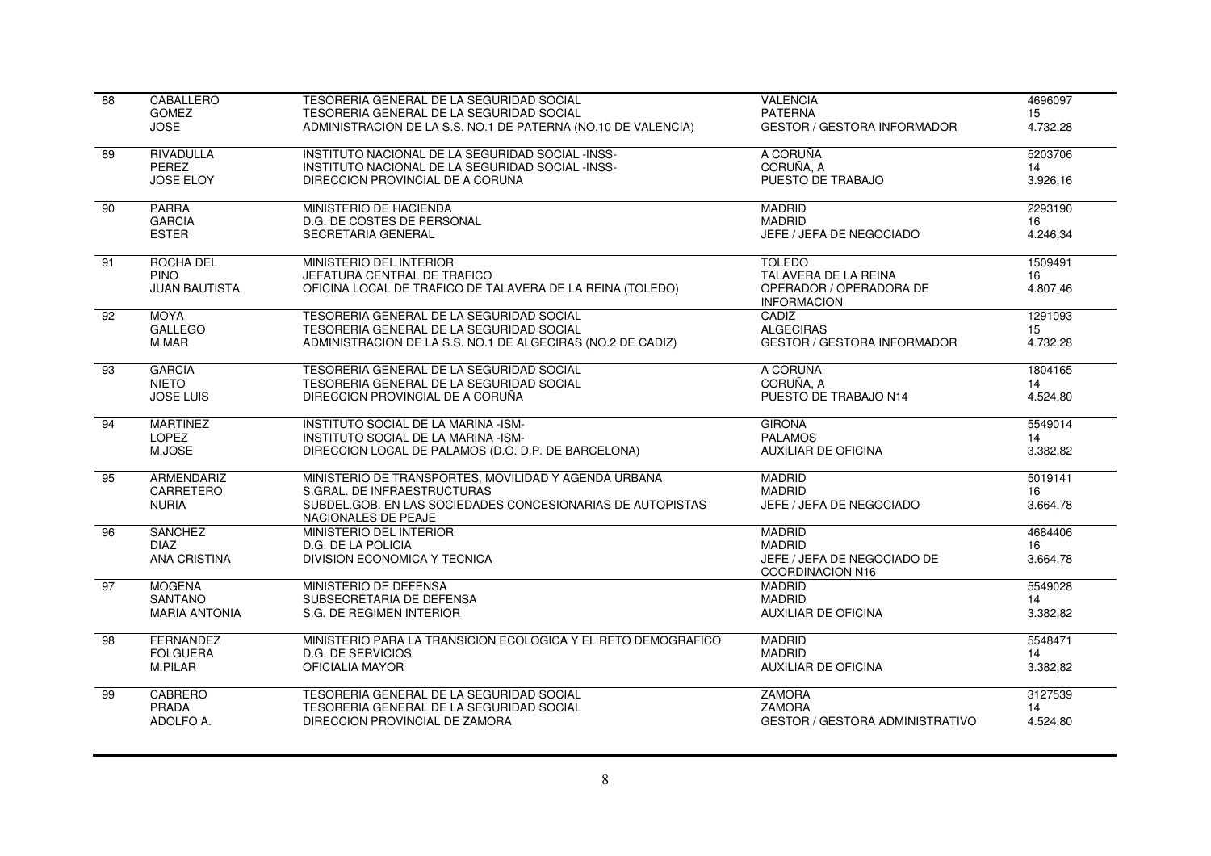| $\overline{88}$ | CABALLERO            | TESORERIA GENERAL DE LA SEGURIDAD SOCIAL                                          | <b>VALENCIA</b>                                 | 4696097  |
|-----------------|----------------------|-----------------------------------------------------------------------------------|-------------------------------------------------|----------|
|                 | <b>GOMEZ</b>         | TESORERIA GENERAL DE LA SEGURIDAD SOCIAL                                          | <b>PATERNA</b>                                  | 15       |
|                 | <b>JOSE</b>          | ADMINISTRACION DE LA S.S. NO.1 DE PATERNA (NO.10 DE VALENCIA)                     | <b>GESTOR / GESTORA INFORMADOR</b>              | 4.732.28 |
| 89              | <b>RIVADULLA</b>     | INSTITUTO NACIONAL DE LA SEGURIDAD SOCIAL -INSS-                                  | A CORUÑA                                        | 5203706  |
|                 | PEREZ                | INSTITUTO NACIONAL DE LA SEGURIDAD SOCIAL -INSS-                                  | CORUÑA, A                                       | 14       |
|                 | <b>JOSE ELOY</b>     | DIRECCION PROVINCIAL DE A CORUÑA                                                  | PUESTO DE TRABAJO                               | 3.926,16 |
| 90              | <b>PARRA</b>         | MINISTERIO DE HACIENDA                                                            | <b>MADRID</b>                                   | 2293190  |
|                 | <b>GARCIA</b>        | D.G. DE COSTES DE PERSONAL                                                        | <b>MADRID</b>                                   | 16       |
|                 | <b>ESTER</b>         | SECRETARIA GENERAL                                                                | JEFE / JEFA DE NEGOCIADO                        | 4.246,34 |
| $\overline{91}$ | ROCHA DEL            | MINISTERIO DEL INTERIOR                                                           | <b>TOLEDO</b>                                   | 1509491  |
|                 | <b>PINO</b>          | JEFATURA CENTRAL DE TRAFICO                                                       | TALAVERA DE LA REINA                            | 16       |
|                 | <b>JUAN BAUTISTA</b> | OFICINA LOCAL DE TRAFICO DE TALAVERA DE LA REINA (TOLEDO)                         | OPERADOR / OPERADORA DE<br><b>INFORMACION</b>   | 4.807,46 |
| 92              | <b>MOYA</b>          | TESORERIA GENERAL DE LA SEGURIDAD SOCIAL                                          | CADIZ                                           | 1291093  |
|                 | <b>GALLEGO</b>       | TESORERIA GENERAL DE LA SEGURIDAD SOCIAL                                          | <b>ALGECIRAS</b>                                | 15       |
|                 | M.MAR                | ADMINISTRACION DE LA S.S. NO.1 DE ALGECIRAS (NO.2 DE CADIZ)                       | <b>GESTOR / GESTORA INFORMADOR</b>              | 4.732,28 |
| 93              | <b>GARCIA</b>        | TESORERIA GENERAL DE LA SEGURIDAD SOCIAL                                          | A CORUÑA                                        | 1804165  |
|                 | <b>NIETO</b>         | TESORERIA GENERAL DE LA SEGURIDAD SOCIAL                                          | CORUÑA, A                                       | 14       |
|                 | <b>JOSE LUIS</b>     | DIRECCION PROVINCIAL DE A CORUÑA                                                  | PUESTO DE TRABAJO N14                           | 4.524,80 |
| 94              | <b>MARTINEZ</b>      | INSTITUTO SOCIAL DE LA MARINA -ISM-                                               | <b>GIRONA</b>                                   | 5549014  |
|                 | LOPEZ                | INSTITUTO SOCIAL DE LA MARINA -ISM-                                               | <b>PALAMOS</b>                                  | 14       |
|                 | M.JOSE               | DIRECCION LOCAL DE PALAMOS (D.O. D.P. DE BARCELONA)                               | <b>AUXILIAR DE OFICINA</b>                      | 3.382,82 |
| 95              | ARMENDARIZ           | MINISTERIO DE TRANSPORTES, MOVILIDAD Y AGENDA URBANA                              | <b>MADRID</b>                                   | 5019141  |
|                 | CARRETERO            | S.GRAL. DE INFRAESTRUCTURAS                                                       | <b>MADRID</b>                                   | 16       |
|                 | <b>NURIA</b>         | SUBDEL.GOB. EN LAS SOCIEDADES CONCESIONARIAS DE AUTOPISTAS<br>NACIONALES DE PEAJE | JEFE / JEFA DE NEGOCIADO                        | 3.664,78 |
| 96              | <b>SANCHEZ</b>       | MINISTERIO DEL INTERIOR                                                           | <b>MADRID</b>                                   | 4684406  |
|                 | <b>DIAZ</b>          | D.G. DE LA POLICIA                                                                | <b>MADRID</b>                                   | 16       |
|                 | <b>ANA CRISTINA</b>  | DIVISION ECONOMICA Y TECNICA                                                      | JEFE / JEFA DE NEGOCIADO DE<br>COORDINACION N16 | 3.664,78 |
| 97              | <b>MOGENA</b>        | MINISTERIO DE DEFENSA                                                             | <b>MADRID</b>                                   | 5549028  |
|                 | <b>SANTANO</b>       | SUBSECRETARIA DE DEFENSA                                                          | <b>MADRID</b>                                   | 14       |
|                 | <b>MARIA ANTONIA</b> | S.G. DE REGIMEN INTERIOR                                                          | <b>AUXILIAR DE OFICINA</b>                      | 3.382,82 |
| $\overline{98}$ | <b>FERNANDEZ</b>     | MINISTERIO PARA LA TRANSICION ECOLOGICA Y EL RETO DEMOGRAFICO                     | <b>MADRID</b>                                   | 5548471  |
|                 | <b>FOLGUERA</b>      | <b>D.G. DE SERVICIOS</b>                                                          | <b>MADRID</b>                                   | 14       |
|                 | M.PILAR              | OFICIALIA MAYOR                                                                   | <b>AUXILIAR DE OFICINA</b>                      | 3.382,82 |
| 99              | <b>CABRERO</b>       | TESORERIA GENERAL DE LA SEGURIDAD SOCIAL                                          | <b>ZAMORA</b>                                   | 3127539  |
|                 | PRADA                | TESORERIA GENERAL DE LA SEGURIDAD SOCIAL                                          | <b>ZAMORA</b>                                   | 14       |
|                 | ADOLFO A.            | DIRECCION PROVINCIAL DE ZAMORA                                                    | <b>GESTOR / GESTORA ADMINISTRATIVO</b>          | 4.524,80 |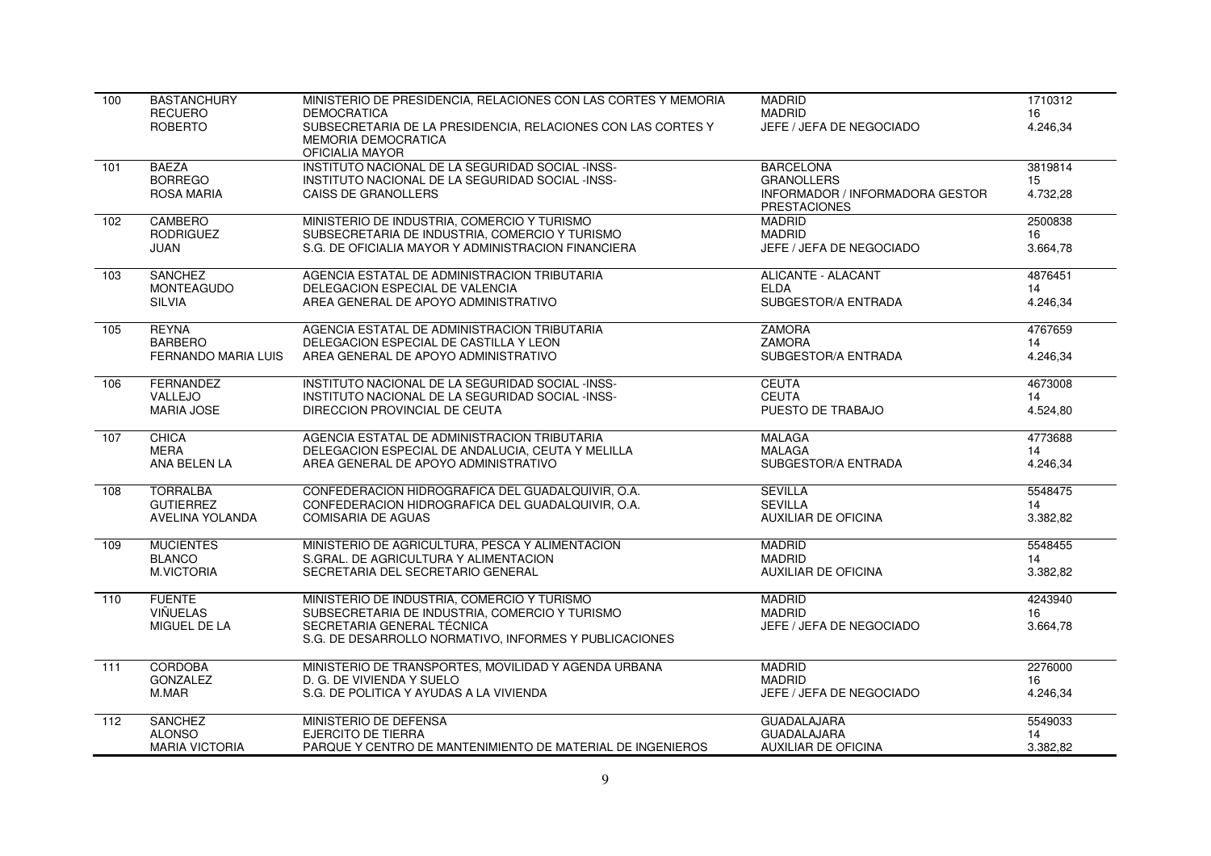| 100              | <b>BASTANCHURY</b><br><b>RECUERO</b><br><b>ROBERTO</b> | MINISTERIO DE PRESIDENCIA. RELACIONES CON LAS CORTES Y MEMORIA<br><b>DEMOCRATICA</b><br>SUBSECRETARIA DE LA PRESIDENCIA, RELACIONES CON LAS CORTES Y<br><b>MEMORIA DEMOCRATICA</b>    | <b>MADRID</b><br><b>MADRID</b><br>JEFE / JEFA DE NEGOCIADO                                      | 1710312<br>16<br>4.246,34 |
|------------------|--------------------------------------------------------|---------------------------------------------------------------------------------------------------------------------------------------------------------------------------------------|-------------------------------------------------------------------------------------------------|---------------------------|
|                  |                                                        | OFICIALIA MAYOR                                                                                                                                                                       |                                                                                                 |                           |
| 101              | <b>BAEZA</b><br><b>BORREGO</b><br><b>ROSA MARIA</b>    | INSTITUTO NACIONAL DE LA SEGURIDAD SOCIAL -INSS-<br>INSTITUTO NACIONAL DE LA SEGURIDAD SOCIAL -INSS-<br><b>CAISS DE GRANOLLERS</b>                                                    | <b>BARCELONA</b><br><b>GRANOLLERS</b><br>INFORMADOR / INFORMADORA GESTOR<br><b>PRESTACIONES</b> | 3819814<br>15<br>4.732,28 |
| 102              | CAMBERO                                                | MINISTERIO DE INDUSTRIA, COMERCIO Y TURISMO                                                                                                                                           | <b>MADRID</b>                                                                                   | 2500838                   |
|                  | <b>RODRIGUEZ</b>                                       | SUBSECRETARIA DE INDUSTRIA, COMERCIO Y TURISMO                                                                                                                                        | <b>MADRID</b>                                                                                   | 16                        |
|                  | JUAN                                                   | S.G. DE OFICIALIA MAYOR Y ADMINISTRACION FINANCIERA                                                                                                                                   | JEFE / JEFA DE NEGOCIADO                                                                        | 3.664,78                  |
| 103              | <b>SANCHEZ</b>                                         | AGENCIA ESTATAL DE ADMINISTRACION TRIBUTARIA                                                                                                                                          | <b>ALICANTE - ALACANT</b>                                                                       | 4876451                   |
|                  | <b>MONTEAGUDO</b>                                      | DELEGACION ESPECIAL DE VALENCIA                                                                                                                                                       | <b>ELDA</b>                                                                                     | 14                        |
|                  | <b>SILVIA</b>                                          | AREA GENERAL DE APOYO ADMINISTRATIVO                                                                                                                                                  | SUBGESTOR/A ENTRADA                                                                             | 4.246,34                  |
| 105              | <b>REYNA</b>                                           | AGENCIA ESTATAL DE ADMINISTRACION TRIBUTARIA                                                                                                                                          | <b>ZAMORA</b>                                                                                   | 4767659                   |
|                  | <b>BARBERO</b>                                         | DELEGACION ESPECIAL DE CASTILLA Y LEON                                                                                                                                                | <b>ZAMORA</b>                                                                                   | 14                        |
|                  | <b>FERNANDO MARIA LUIS</b>                             | AREA GENERAL DE APOYO ADMINISTRATIVO                                                                                                                                                  | SUBGESTOR/A ENTRADA                                                                             | 4.246,34                  |
| 106              | FERNANDEZ                                              | INSTITUTO NACIONAL DE LA SEGURIDAD SOCIAL -INSS-                                                                                                                                      | <b>CEUTA</b>                                                                                    | 4673008                   |
|                  | VALLEJO                                                | INSTITUTO NACIONAL DE LA SEGURIDAD SOCIAL -INSS-                                                                                                                                      | <b>CEUTA</b>                                                                                    | 14                        |
|                  | <b>MARIA JOSE</b>                                      | DIRECCION PROVINCIAL DE CEUTA                                                                                                                                                         | PUESTO DE TRABAJO                                                                               | 4.524,80                  |
| 107              | CHICA                                                  | AGENCIA ESTATAL DE ADMINISTRACION TRIBUTARIA                                                                                                                                          | <b>MALAGA</b>                                                                                   | 4773688                   |
|                  | MERA                                                   | DELEGACION ESPECIAL DE ANDALUCIA, CEUTA Y MELILLA                                                                                                                                     | <b>MALAGA</b>                                                                                   | 14                        |
|                  | ANA BELEN LA                                           | AREA GENERAL DE APOYO ADMINISTRATIVO                                                                                                                                                  | SUBGESTOR/A ENTRADA                                                                             | 4.246,34                  |
| 108              | <b>TORRALBA</b>                                        | CONFEDERACION HIDROGRAFICA DEL GUADALQUIVIR, O.A.                                                                                                                                     | <b>SEVILLA</b>                                                                                  | 5548475                   |
|                  | <b>GUTIERREZ</b>                                       | CONFEDERACION HIDROGRAFICA DEL GUADALQUIVIR, O.A.                                                                                                                                     | <b>SEVILLA</b>                                                                                  | 14                        |
|                  | AVELINA YOLANDA                                        | <b>COMISARIA DE AGUAS</b>                                                                                                                                                             | <b>AUXILIAR DE OFICINA</b>                                                                      | 3.382,82                  |
| 109              | <b>MUCIENTES</b>                                       | MINISTERIO DE AGRICULTURA, PESCA Y ALIMENTACION                                                                                                                                       | <b>MADRID</b>                                                                                   | 5548455                   |
|                  | <b>BLANCO</b>                                          | S.GRAL, DE AGRICULTURA Y ALIMENTACION                                                                                                                                                 | <b>MADRID</b>                                                                                   | 14                        |
|                  | <b>M.VICTORIA</b>                                      | SECRETARIA DEL SECRETARIO GENERAL                                                                                                                                                     | <b>AUXILIAR DE OFICINA</b>                                                                      | 3.382,82                  |
| 110              | <b>FUENTE</b><br>VIÑUELAS<br>MIGUEL DE LA              | MINISTERIO DE INDUSTRIA, COMERCIO Y TURISMO<br>SUBSECRETARIA DE INDUSTRIA, COMERCIO Y TURISMO<br>SECRETARIA GENERAL TÉCNICA<br>S.G. DE DESARROLLO NORMATIVO, INFORMES Y PUBLICACIONES | <b>MADRID</b><br><b>MADRID</b><br>JEFE / JEFA DE NEGOCIADO                                      | 4243940<br>16<br>3.664,78 |
| $\overline{111}$ | <b>CORDOBA</b>                                         | MINISTERIO DE TRANSPORTES, MOVILIDAD Y AGENDA URBANA                                                                                                                                  | <b>MADRID</b>                                                                                   | 2276000                   |
|                  | <b>GONZALEZ</b>                                        | D. G. DE VIVIENDA Y SUELO                                                                                                                                                             | <b>MADRID</b>                                                                                   | 16                        |
|                  | M.MAR                                                  | S.G. DE POLITICA Y AYUDAS A LA VIVIENDA                                                                                                                                               | JEFE / JEFA DE NEGOCIADO                                                                        | 4.246,34                  |
| 112              | <b>SANCHEZ</b>                                         | MINISTERIO DE DEFENSA                                                                                                                                                                 | <b>GUADALAJARA</b>                                                                              | 5549033                   |
|                  | <b>ALONSO</b>                                          | <b>EJERCITO DE TIERRA</b>                                                                                                                                                             | <b>GUADALAJARA</b>                                                                              | 14                        |
|                  | <b>MARIA VICTORIA</b>                                  | PARQUE Y CENTRO DE MANTENIMIENTO DE MATERIAL DE INGENIEROS                                                                                                                            | <b>AUXILIAR DE OFICINA</b>                                                                      | 3.382.82                  |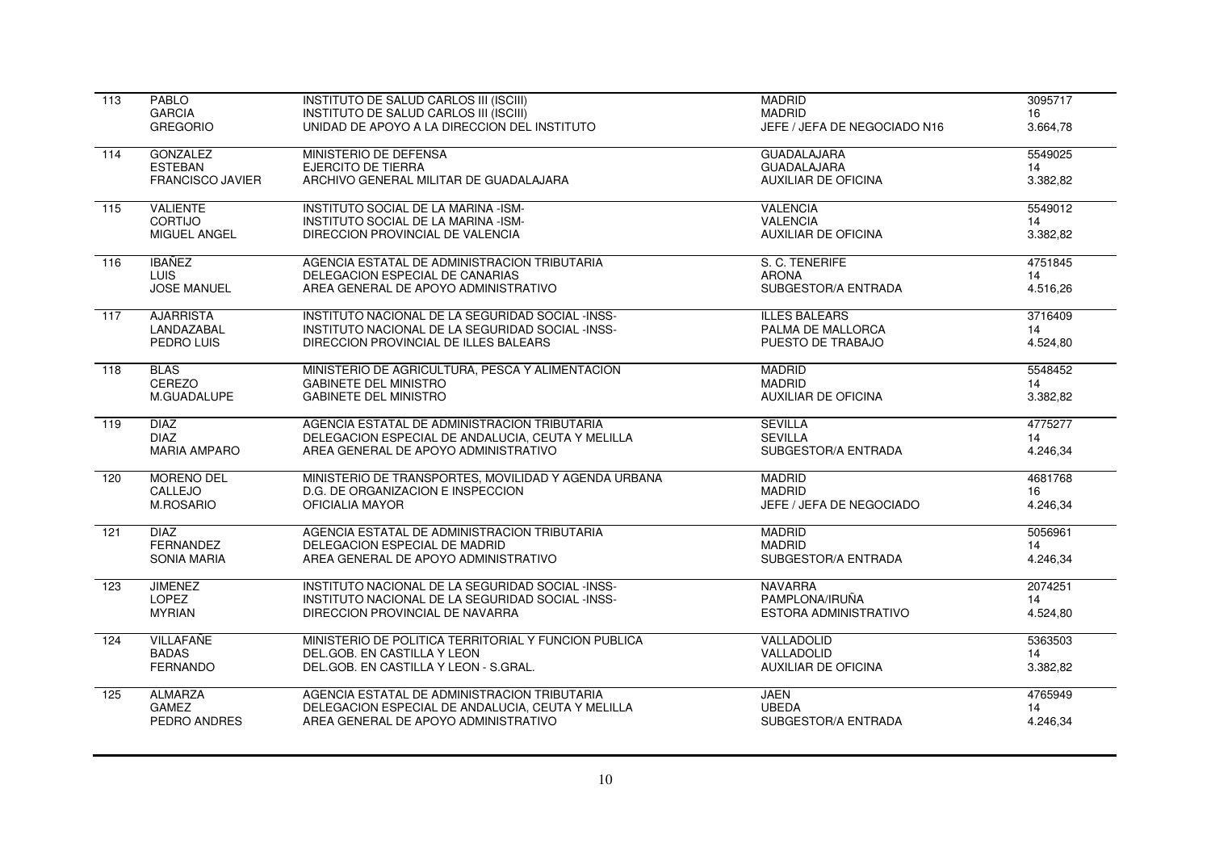| $\overline{113}$ | PABLO                   | INSTITUTO DE SALUD CARLOS III (ISCIII)               | <b>MADRID</b>                | 3095717  |
|------------------|-------------------------|------------------------------------------------------|------------------------------|----------|
|                  | <b>GARCIA</b>           | INSTITUTO DE SALUD CARLOS III (ISCIII)               | <b>MADRID</b>                | 16       |
|                  | <b>GREGORIO</b>         | UNIDAD DE APOYO A LA DIRECCION DEL INSTITUTO         | JEFE / JEFA DE NEGOCIADO N16 | 3.664,78 |
| 114              | <b>GONZALEZ</b>         | MINISTERIO DE DEFENSA                                | <b>GUADALAJARA</b>           | 5549025  |
|                  | <b>ESTEBAN</b>          | <b>EJERCITO DE TIERRA</b>                            | <b>GUADALAJARA</b>           | 14       |
|                  | <b>FRANCISCO JAVIER</b> | ARCHIVO GENERAL MILITAR DE GUADALAJARA               | <b>AUXILIAR DE OFICINA</b>   | 3.382,82 |
| $\overline{115}$ | <b>VALIENTE</b>         | INSTITUTO SOCIAL DE LA MARINA -ISM-                  | <b>VALENCIA</b>              | 5549012  |
|                  | <b>CORTIJO</b>          | INSTITUTO SOCIAL DE LA MARINA -ISM-                  | <b>VALENCIA</b>              | 14       |
|                  | MIGUEL ANGEL            | DIRECCION PROVINCIAL DE VALENCIA                     | <b>AUXILIAR DE OFICINA</b>   | 3.382,82 |
| 116              | <b>IBAÑEZ</b>           | AGENCIA ESTATAL DE ADMINISTRACION TRIBUTARIA         | S. C. TENERIFE               | 4751845  |
|                  | <b>LUIS</b>             | DELEGACION ESPECIAL DE CANARIAS                      | <b>ARONA</b>                 | 14       |
|                  | <b>JOSE MANUEL</b>      | AREA GENERAL DE APOYO ADMINISTRATIVO                 | SUBGESTOR/A ENTRADA          | 4.516,26 |
| $\overline{117}$ | <b>AJARRISTA</b>        | INSTITUTO NACIONAL DE LA SEGURIDAD SOCIAL -INSS-     | <b>ILLES BALEARS</b>         | 3716409  |
|                  | LANDAZABAL              | INSTITUTO NACIONAL DE LA SEGURIDAD SOCIAL -INSS-     | PALMA DE MALLORCA            | 14       |
|                  | PEDRO LUIS              | DIRECCION PROVINCIAL DE ILLES BALEARS                | PUESTO DE TRABAJO            | 4.524,80 |
| 118              | <b>BLAS</b>             | MINISTERIO DE AGRICULTURA, PESCA Y ALIMENTACION      | <b>MADRID</b>                | 5548452  |
|                  | CEREZO                  | <b>GABINETE DEL MINISTRO</b>                         | <b>MADRID</b>                | 14       |
|                  | M.GUADALUPE             | <b>GABINETE DEL MINISTRO</b>                         | <b>AUXILIAR DE OFICINA</b>   | 3.382,82 |
| 119              | <b>DIAZ</b>             | AGENCIA ESTATAL DE ADMINISTRACION TRIBUTARIA         | <b>SEVILLA</b>               | 4775277  |
|                  | <b>DIAZ</b>             | DELEGACION ESPECIAL DE ANDALUCIA, CEUTA Y MELILLA    | <b>SEVILLA</b>               | 14       |
|                  | <b>MARIA AMPARO</b>     | AREA GENERAL DE APOYO ADMINISTRATIVO                 | SUBGESTOR/A ENTRADA          | 4.246,34 |
| 120              | MORENO DEL              | MINISTERIO DE TRANSPORTES, MOVILIDAD Y AGENDA URBANA | <b>MADRID</b>                | 4681768  |
|                  | CALLEJO                 | D.G. DE ORGANIZACION E INSPECCION                    | <b>MADRID</b>                | 16       |
|                  | <b>M.ROSARIO</b>        | OFICIALIA MAYOR                                      | JEFE / JEFA DE NEGOCIADO     | 4.246,34 |
| 121              | <b>DIAZ</b>             | AGENCIA ESTATAL DE ADMINISTRACION TRIBUTARIA         | <b>MADRID</b>                | 5056961  |
|                  | <b>FERNANDEZ</b>        | DELEGACION ESPECIAL DE MADRID                        | <b>MADRID</b>                | 14       |
|                  | <b>SONIA MARIA</b>      | AREA GENERAL DE APOYO ADMINISTRATIVO                 | SUBGESTOR/A ENTRADA          | 4.246,34 |
| 123              | <b>JIMENEZ</b>          | INSTITUTO NACIONAL DE LA SEGURIDAD SOCIAL -INSS-     | <b>NAVARRA</b>               | 2074251  |
|                  | LOPEZ                   | INSTITUTO NACIONAL DE LA SEGURIDAD SOCIAL -INSS-     | PAMPLONA/IRUÑA               | 14       |
|                  | <b>MYRIAN</b>           | DIRECCION PROVINCIAL DE NAVARRA                      | ESTORA ADMINISTRATIVO        | 4.524,80 |
| 124              | <b>VILLAFAÑE</b>        | MINISTERIO DE POLITICA TERRITORIAL Y FUNCION PUBLICA | VALLADOLID                   | 5363503  |
|                  | <b>BADAS</b>            | DEL.GOB. EN CASTILLA Y LEON                          | VALLADOLID                   | 14       |
|                  | <b>FERNANDO</b>         | DEL.GOB. EN CASTILLA Y LEON - S.GRAL.                | <b>AUXILIAR DE OFICINA</b>   | 3.382,82 |
| 125              | <b>ALMARZA</b>          | AGENCIA ESTATAL DE ADMINISTRACION TRIBUTARIA         | JAEN                         | 4765949  |
|                  | <b>GAMEZ</b>            | DELEGACION ESPECIAL DE ANDALUCIA, CEUTA Y MELILLA    | <b>UBEDA</b>                 | 14       |
|                  | PEDRO ANDRES            | AREA GENERAL DE APOYO ADMINISTRATIVO                 | SUBGESTOR/A ENTRADA          | 4.246,34 |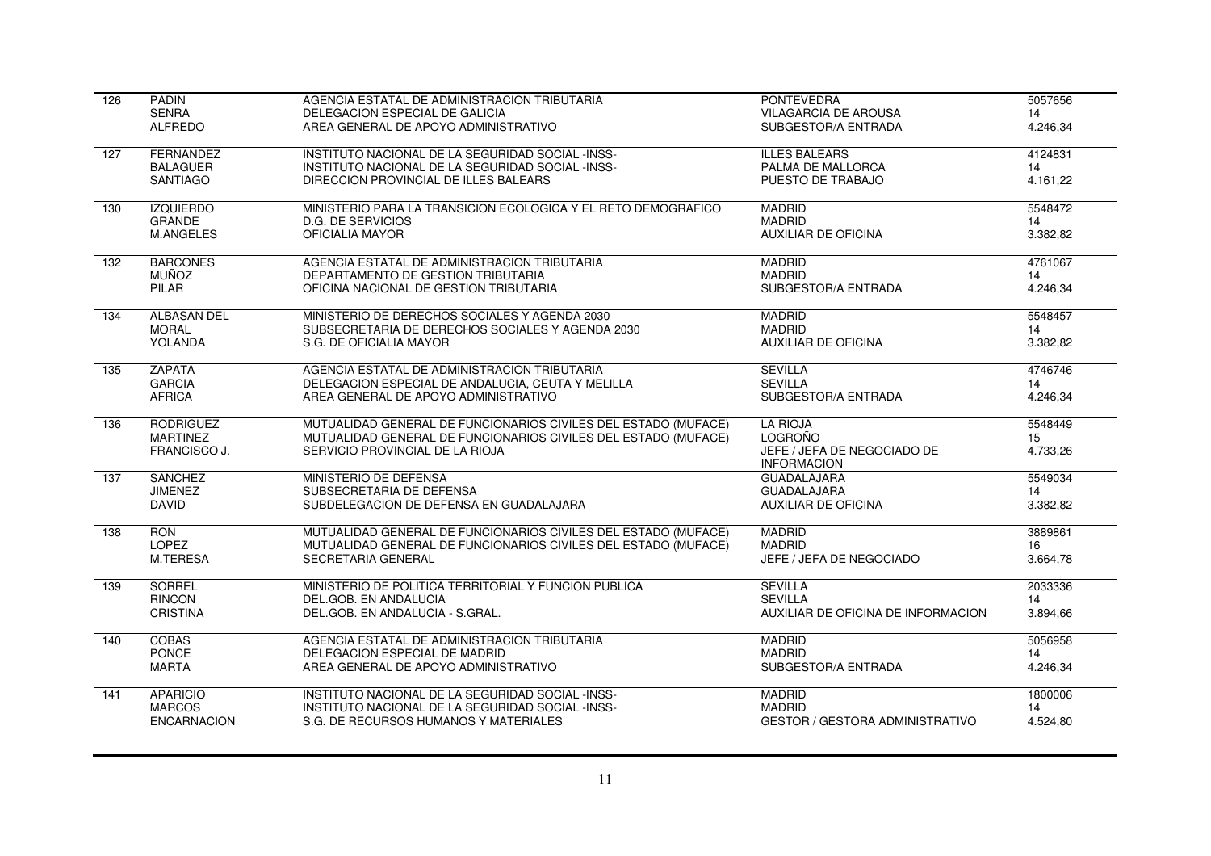| 126              | <b>PADIN</b>       | AGENCIA ESTATAL DE ADMINISTRACION TRIBUTARIA                   | <b>PONTEVEDRA</b>                                 | 5057656  |
|------------------|--------------------|----------------------------------------------------------------|---------------------------------------------------|----------|
|                  | <b>SENRA</b>       | DELEGACION ESPECIAL DE GALICIA                                 | <b>VILAGARCIA DE AROUSA</b>                       | 14       |
|                  | <b>ALFREDO</b>     | AREA GENERAL DE APOYO ADMINISTRATIVO                           | SUBGESTOR/A ENTRADA                               | 4.246,34 |
| 127              | FERNANDEZ          | INSTITUTO NACIONAL DE LA SEGURIDAD SOCIAL -INSS-               | <b>ILLES BALEARS</b>                              | 4124831  |
|                  | <b>BALAGUER</b>    | INSTITUTO NACIONAL DE LA SEGURIDAD SOCIAL -INSS-               | PALMA DE MALLORCA                                 | 14       |
|                  | <b>SANTIAGO</b>    | DIRECCION PROVINCIAL DE ILLES BALEARS                          | PUESTO DE TRABAJO                                 | 4.161,22 |
|                  |                    |                                                                |                                                   |          |
| 130              | <b>IZQUIERDO</b>   | MINISTERIO PARA LA TRANSICION ECOLOGICA Y EL RETO DEMOGRAFICO  | <b>MADRID</b>                                     | 5548472  |
|                  | <b>GRANDE</b>      | <b>D.G. DE SERVICIOS</b>                                       | <b>MADRID</b>                                     | 14       |
|                  | <b>M.ANGELES</b>   | OFICIALIA MAYOR                                                | <b>AUXILIAR DE OFICINA</b>                        | 3.382,82 |
| $\overline{132}$ | <b>BARCONES</b>    | AGENCIA ESTATAL DE ADMINISTRACION TRIBUTARIA                   | <b>MADRID</b>                                     | 4761067  |
|                  | MUÑOZ              | DEPARTAMENTO DE GESTION TRIBUTARIA                             | <b>MADRID</b>                                     | 14       |
|                  | PILAR              | OFICINA NACIONAL DE GESTION TRIBUTARIA                         | SUBGESTOR/A ENTRADA                               | 4.246,34 |
| 134              | <b>ALBASAN DEL</b> | MINISTERIO DE DERECHOS SOCIALES Y AGENDA 2030                  | <b>MADRID</b>                                     | 5548457  |
|                  | <b>MORAL</b>       | SUBSECRETARIA DE DERECHOS SOCIALES Y AGENDA 2030               | <b>MADRID</b>                                     | 14       |
|                  | YOLANDA            | S.G. DE OFICIALIA MAYOR                                        | <b>AUXILIAR DE OFICINA</b>                        | 3.382,82 |
|                  |                    |                                                                |                                                   |          |
| 135              | <b>ZAPATA</b>      | AGENCIA ESTATAL DE ADMINISTRACION TRIBUTARIA                   | <b>SEVILLA</b>                                    | 4746746  |
|                  | <b>GARCIA</b>      | DELEGACION ESPECIAL DE ANDALUCIA, CEUTA Y MELILLA              | <b>SEVILLA</b>                                    | 14       |
|                  | <b>AFRICA</b>      | AREA GENERAL DE APOYO ADMINISTRATIVO                           | SUBGESTOR/A ENTRADA                               | 4.246,34 |
| 136              | <b>RODRIGUEZ</b>   | MUTUALIDAD GENERAL DE FUNCIONARIOS CIVILES DEL ESTADO (MUFACE) | <b>LA RIOJA</b>                                   | 5548449  |
|                  | <b>MARTINEZ</b>    | MUTUALIDAD GENERAL DE FUNCIONARIOS CIVILES DEL ESTADO (MUFACE) | LOGROÑO                                           | 15       |
|                  | FRANCISCO J.       | SERVICIO PROVINCIAL DE LA RIOJA                                | JEFE / JEFA DE NEGOCIADO DE<br><b>INFORMACION</b> | 4.733,26 |
| 137              | <b>SANCHEZ</b>     | MINISTERIO DE DEFENSA                                          | <b>GUADALAJARA</b>                                | 5549034  |
|                  | <b>JIMENEZ</b>     | SUBSECRETARIA DE DEFENSA                                       | <b>GUADALAJARA</b>                                | 14       |
|                  | <b>DAVID</b>       | SUBDELEGACION DE DEFENSA EN GUADALAJARA                        | AUXILIAR DE OFICINA                               | 3.382,82 |
| 138              | <b>RON</b>         | MUTUALIDAD GENERAL DE FUNCIONARIOS CIVILES DEL ESTADO (MUFACE) | <b>MADRID</b>                                     | 3889861  |
|                  | LOPEZ              | MUTUALIDAD GENERAL DE FUNCIONARIOS CIVILES DEL ESTADO (MUFACE) | <b>MADRID</b>                                     | 16       |
|                  | M.TERESA           | <b>SECRETARIA GENERAL</b>                                      | JEFE / JEFA DE NEGOCIADO                          | 3.664,78 |
|                  |                    |                                                                |                                                   |          |
| 139              | <b>SORREL</b>      | MINISTERIO DE POLITICA TERRITORIAL Y FUNCION PUBLICA           | <b>SEVILLA</b>                                    | 2033336  |
|                  | <b>RINCON</b>      | DEL.GOB. EN ANDALUCIA                                          | <b>SEVILLA</b>                                    | 14       |
|                  | <b>CRISTINA</b>    | DEL.GOB. EN ANDALUCIA - S.GRAL.                                | AUXILIAR DE OFICINA DE INFORMACION                | 3.894,66 |
| $\overline{140}$ | <b>COBAS</b>       | AGENCIA ESTATAL DE ADMINISTRACION TRIBUTARIA                   | <b>MADRID</b>                                     | 5056958  |
|                  | <b>PONCE</b>       | DELEGACION ESPECIAL DE MADRID                                  | <b>MADRID</b>                                     | 14       |
|                  | <b>MARTA</b>       | AREA GENERAL DE APOYO ADMINISTRATIVO                           | SUBGESTOR/A ENTRADA                               | 4.246,34 |
| 141              | <b>APARICIO</b>    | INSTITUTO NACIONAL DE LA SEGURIDAD SOCIAL -INSS-               | <b>MADRID</b>                                     | 1800006  |
|                  | <b>MARCOS</b>      | INSTITUTO NACIONAL DE LA SEGURIDAD SOCIAL -INSS-               | <b>MADRID</b>                                     | 14       |
|                  | <b>ENCARNACION</b> | S.G. DE RECURSOS HUMANOS Y MATERIALES                          | <b>GESTOR / GESTORA ADMINISTRATIVO</b>            | 4.524,80 |
|                  |                    |                                                                |                                                   |          |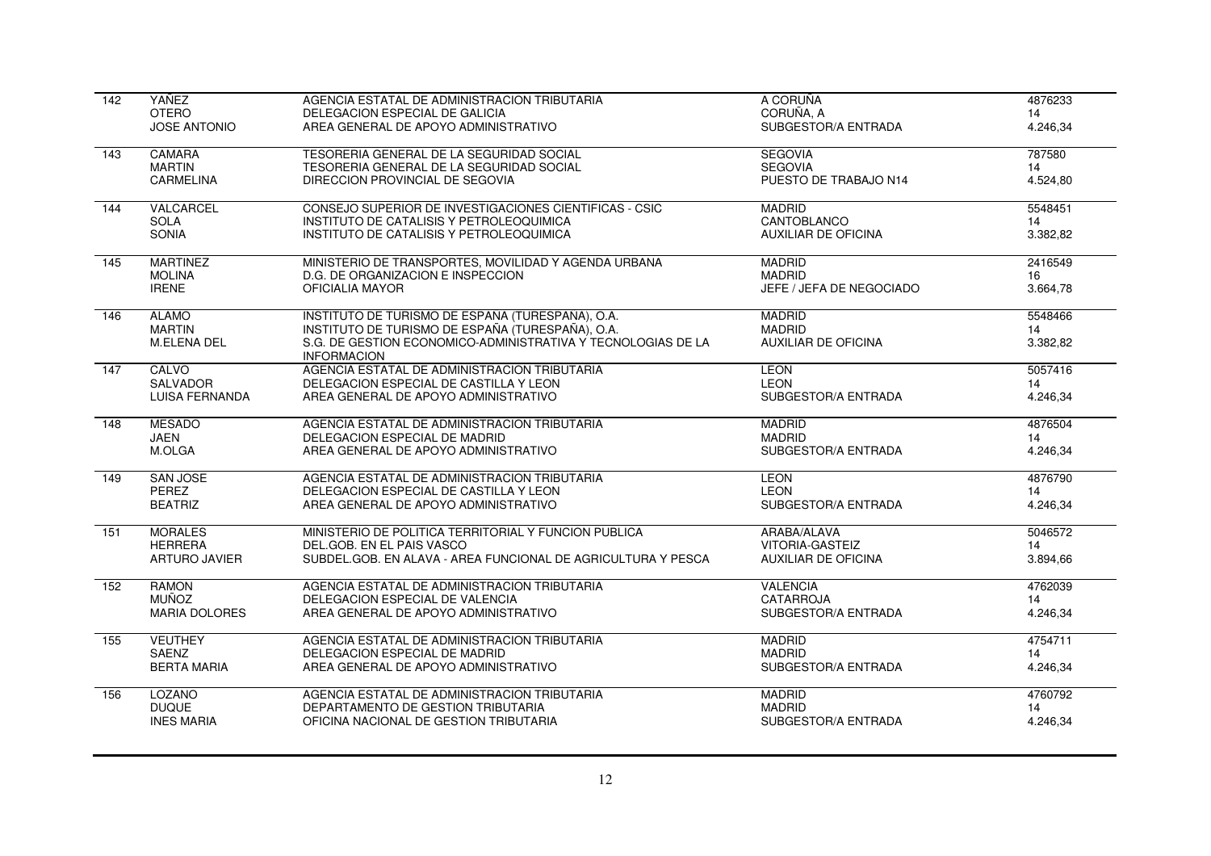| 142              | YAÑEZ                 | AGENCIA ESTATAL DE ADMINISTRACION TRIBUTARIA                                       | A CORUÑA                   | 4876233  |
|------------------|-----------------------|------------------------------------------------------------------------------------|----------------------------|----------|
|                  | <b>OTERO</b>          | DELEGACION ESPECIAL DE GALICIA                                                     | CORUÑA, A                  | 14       |
|                  | <b>JOSE ANTONIO</b>   | AREA GENERAL DE APOYO ADMINISTRATIVO                                               | SUBGESTOR/A ENTRADA        | 4.246,34 |
| 143              | <b>CAMARA</b>         | TESORERIA GENERAL DE LA SEGURIDAD SOCIAL                                           | <b>SEGOVIA</b>             | 787580   |
|                  | <b>MARTIN</b>         | TESORERIA GENERAL DE LA SEGURIDAD SOCIAL                                           | <b>SEGOVIA</b>             | 14       |
|                  | <b>CARMELINA</b>      | DIRECCION PROVINCIAL DE SEGOVIA                                                    | PUESTO DE TRABAJO N14      | 4.524,80 |
| 144              | VALCARCEL             | CONSEJO SUPERIOR DE INVESTIGACIONES CIENTIFICAS - CSIC                             | <b>MADRID</b>              | 5548451  |
|                  | <b>SOLA</b>           | INSTITUTO DE CATALISIS Y PETROLEOQUIMICA                                           | CANTOBLANCO                | 14       |
|                  | SONIA                 | INSTITUTO DE CATALISIS Y PETROLEOQUIMICA                                           | AUXILIAR DE OFICINA        | 3.382,82 |
| $\overline{145}$ | <b>MARTINEZ</b>       | MINISTERIO DE TRANSPORTES, MOVILIDAD Y AGENDA URBANA                               | <b>MADRID</b>              | 2416549  |
|                  | <b>MOLINA</b>         | D.G. DE ORGANIZACION E INSPECCION                                                  | <b>MADRID</b>              | 16       |
|                  | <b>IRENE</b>          | OFICIALIA MAYOR                                                                    | JEFE / JEFA DE NEGOCIADO   | 3.664,78 |
| $\overline{146}$ | <b>ALAMO</b>          | INSTITUTO DE TURISMO DE ESPAÑA (TURESPAÑA), O.A.                                   | <b>MADRID</b>              | 5548466  |
|                  | <b>MARTIN</b>         | INSTITUTO DE TURISMO DE ESPAÑA (TURESPAÑA), O.A.                                   | <b>MADRID</b>              | 14       |
|                  | <b>M.ELENA DEL</b>    | S.G. DE GESTION ECONOMICO-ADMINISTRATIVA Y TECNOLOGIAS DE LA<br><b>INFORMACION</b> | <b>AUXILIAR DE OFICINA</b> | 3.382,82 |
| 147              | CALVO                 | AGENCIA ESTATAL DE ADMINISTRACION TRIBUTARIA                                       | <b>LEON</b>                | 5057416  |
|                  | SALVADOR              | DELEGACION ESPECIAL DE CASTILLA Y LEON                                             | <b>LEON</b>                | 14       |
|                  | <b>LUISA FERNANDA</b> | AREA GENERAL DE APOYO ADMINISTRATIVO                                               | SUBGESTOR/A ENTRADA        | 4.246,34 |
| 148              | <b>MESADO</b>         | AGENCIA ESTATAL DE ADMINISTRACION TRIBUTARIA                                       | <b>MADRID</b>              | 4876504  |
|                  | <b>JAEN</b>           | DELEGACION ESPECIAL DE MADRID                                                      | <b>MADRID</b>              | 14       |
|                  | M.OLGA                | AREA GENERAL DE APOYO ADMINISTRATIVO                                               | SUBGESTOR/A ENTRADA        | 4.246,34 |
| 149              | SAN JOSE              | AGENCIA ESTATAL DE ADMINISTRACION TRIBUTARIA                                       | <b>LEON</b>                | 4876790  |
|                  | PEREZ                 | DELEGACION ESPECIAL DE CASTILLA Y LEON                                             | <b>LEON</b>                | 14       |
|                  | <b>BEATRIZ</b>        | AREA GENERAL DE APOYO ADMINISTRATIVO                                               | SUBGESTOR/A ENTRADA        | 4.246,34 |
| 151              | <b>MORALES</b>        | MINISTERIO DE POLITICA TERRITORIAL Y FUNCION PUBLICA                               | ARABA/ALAVA                | 5046572  |
|                  | <b>HERRERA</b>        | DEL.GOB. EN EL PAIS VASCO                                                          | <b>VITORIA-GASTEIZ</b>     | 14       |
|                  | <b>ARTURO JAVIER</b>  | SUBDEL.GOB. EN ALAVA - AREA FUNCIONAL DE AGRICULTURA Y PESCA                       | <b>AUXILIAR DE OFICINA</b> | 3.894,66 |
| 152              | <b>RAMON</b>          | AGENCIA ESTATAL DE ADMINISTRACION TRIBUTARIA                                       | <b>VALENCIA</b>            | 4762039  |
|                  | <b>MUÑOZ</b>          | DELEGACION ESPECIAL DE VALENCIA                                                    | <b>CATARROJA</b>           | 14       |
|                  | <b>MARIA DOLORES</b>  | AREA GENERAL DE APOYO ADMINISTRATIVO                                               | SUBGESTOR/A ENTRADA        | 4.246,34 |
| 155              | <b>VEUTHEY</b>        | AGENCIA ESTATAL DE ADMINISTRACION TRIBUTARIA                                       | <b>MADRID</b>              | 4754711  |
|                  | SAENZ                 | DELEGACION ESPECIAL DE MADRID                                                      | <b>MADRID</b>              | 14       |
|                  | <b>BERTA MARIA</b>    | AREA GENERAL DE APOYO ADMINISTRATIVO                                               | SUBGESTOR/A ENTRADA        | 4.246,34 |
| 156              | <b>LOZANO</b>         | AGENCIA ESTATAL DE ADMINISTRACION TRIBUTARIA                                       | <b>MADRID</b>              | 4760792  |
|                  | <b>DUQUE</b>          | DEPARTAMENTO DE GESTION TRIBUTARIA                                                 | <b>MADRID</b>              | 14       |
|                  | <b>INES MARIA</b>     | OFICINA NACIONAL DE GESTION TRIBUTARIA                                             | SUBGESTOR/A ENTRADA        | 4.246,34 |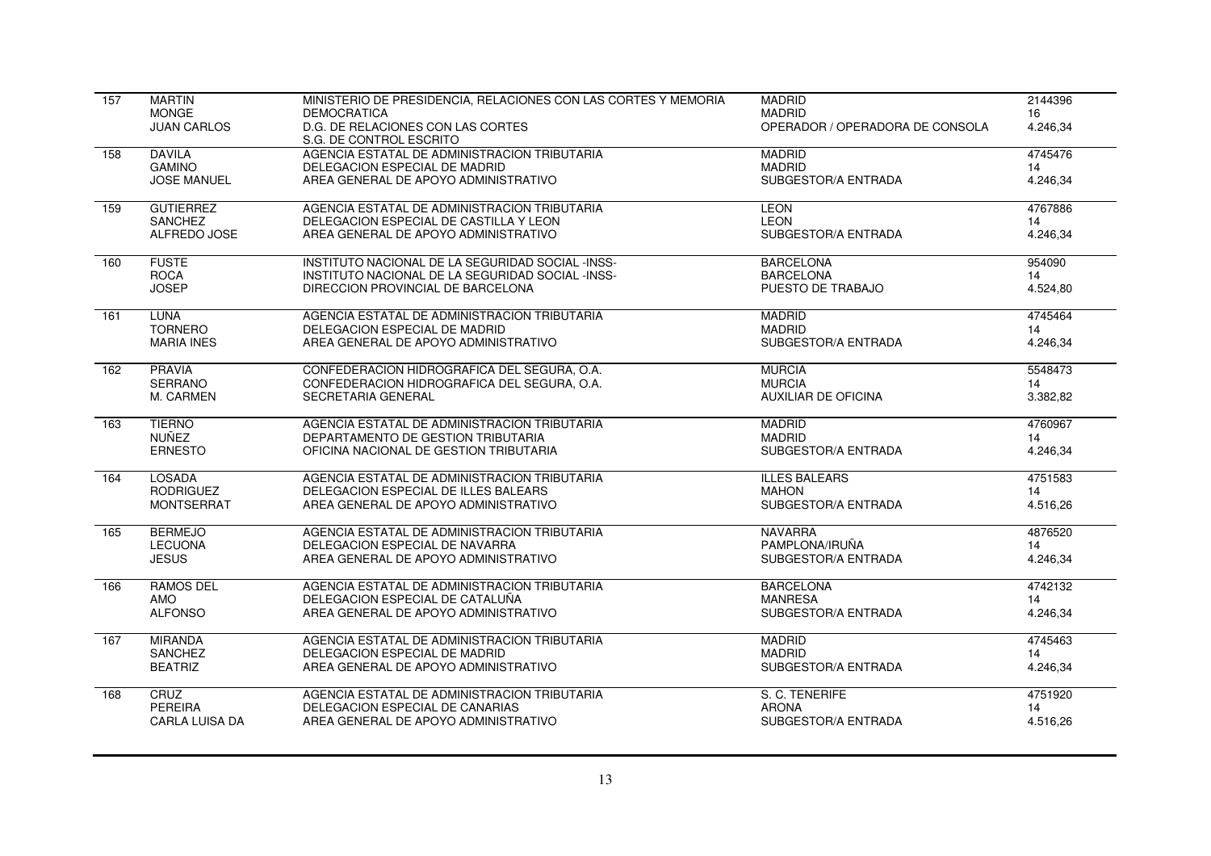| 157 | <b>MARTIN</b>         | MINISTERIO DE PRESIDENCIA, RELACIONES CON LAS CORTES Y MEMORIA | <b>MADRID</b>                   | 2144396  |
|-----|-----------------------|----------------------------------------------------------------|---------------------------------|----------|
|     | <b>MONGE</b>          | <b>DEMOCRATICA</b>                                             | <b>MADRID</b>                   | 16       |
|     | <b>JUAN CARLOS</b>    | D.G. DE RELACIONES CON LAS CORTES<br>S.G. DE CONTROL ESCRITO   | OPERADOR / OPERADORA DE CONSOLA | 4.246,34 |
| 158 | <b>DAVILA</b>         | AGENCIA ESTATAL DE ADMINISTRACION TRIBUTARIA                   | <b>MADRID</b>                   | 4745476  |
|     | <b>GAMINO</b>         | DELEGACION ESPECIAL DE MADRID                                  | <b>MADRID</b>                   | 14       |
|     | <b>JOSE MANUEL</b>    | AREA GENERAL DE APOYO ADMINISTRATIVO                           | SUBGESTOR/A ENTRADA             | 4.246,34 |
| 159 | <b>GUTIERREZ</b>      | AGENCIA ESTATAL DE ADMINISTRACION TRIBUTARIA                   | <b>LEON</b>                     | 4767886  |
|     | <b>SANCHEZ</b>        | DELEGACION ESPECIAL DE CASTILLA Y LEON                         | <b>LEON</b>                     | 14       |
|     | ALFREDO JOSE          | AREA GENERAL DE APOYO ADMINISTRATIVO                           | SUBGESTOR/A ENTRADA             | 4.246,34 |
| 160 | <b>FUSTE</b>          | INSTITUTO NACIONAL DE LA SEGURIDAD SOCIAL -INSS-               | <b>BARCELONA</b>                | 954090   |
|     | <b>ROCA</b>           | INSTITUTO NACIONAL DE LA SEGURIDAD SOCIAL -INSS-               | <b>BARCELONA</b>                | 14       |
|     | <b>JOSEP</b>          | DIRECCION PROVINCIAL DE BARCELONA                              | PUESTO DE TRABAJO               | 4.524,80 |
| 161 | <b>LUNA</b>           | AGENCIA ESTATAL DE ADMINISTRACION TRIBUTARIA                   | <b>MADRID</b>                   | 4745464  |
|     | <b>TORNERO</b>        | DELEGACION ESPECIAL DE MADRID                                  | <b>MADRID</b>                   | 14       |
|     | <b>MARIA INES</b>     | AREA GENERAL DE APOYO ADMINISTRATIVO                           | SUBGESTOR/A ENTRADA             | 4.246,34 |
| 162 | <b>PRAVIA</b>         | CONFEDERACION HIDROGRAFICA DEL SEGURA, O.A.                    | <b>MURCIA</b>                   | 5548473  |
|     | <b>SERRANO</b>        | CONFEDERACION HIDROGRAFICA DEL SEGURA, O.A.                    | <b>MURCIA</b>                   | 14       |
|     | M. CARMEN             | SECRETARIA GENERAL                                             | <b>AUXILIAR DE OFICINA</b>      | 3.382,82 |
| 163 | <b>TIERNO</b>         | AGENCIA ESTATAL DE ADMINISTRACION TRIBUTARIA                   | <b>MADRID</b>                   | 4760967  |
|     | NUÑEZ                 | DEPARTAMENTO DE GESTION TRIBUTARIA                             | <b>MADRID</b>                   | 14       |
|     | <b>ERNESTO</b>        | OFICINA NACIONAL DE GESTION TRIBUTARIA                         | SUBGESTOR/A ENTRADA             | 4.246,34 |
| 164 | LOSADA                | AGENCIA ESTATAL DE ADMINISTRACION TRIBUTARIA                   | <b>ILLES BALEARS</b>            | 4751583  |
|     | <b>RODRIGUEZ</b>      | DELEGACION ESPECIAL DE ILLES BALEARS                           | <b>MAHON</b>                    | 14       |
|     | <b>MONTSERRAT</b>     | AREA GENERAL DE APOYO ADMINISTRATIVO                           | SUBGESTOR/A ENTRADA             | 4.516,26 |
| 165 | <b>BERMEJO</b>        | AGENCIA ESTATAL DE ADMINISTRACION TRIBUTARIA                   | <b>NAVARRA</b>                  | 4876520  |
|     | <b>LECUONA</b>        | DELEGACION ESPECIAL DE NAVARRA                                 | PAMPLONA/IRUÑA                  | 14       |
|     | <b>JESUS</b>          | AREA GENERAL DE APOYO ADMINISTRATIVO                           | SUBGESTOR/A ENTRADA             | 4.246,34 |
| 166 | <b>RAMOS DEL</b>      | AGENCIA ESTATAL DE ADMINISTRACION TRIBUTARIA                   | <b>BARCELONA</b>                | 4742132  |
|     | <b>AMO</b>            | DELEGACION ESPECIAL DE CATALUÑA                                | <b>MANRESA</b>                  | 14       |
|     | <b>ALFONSO</b>        | AREA GENERAL DE APOYO ADMINISTRATIVO                           | SUBGESTOR/A ENTRADA             | 4.246,34 |
| 167 | <b>MIRANDA</b>        | AGENCIA ESTATAL DE ADMINISTRACION TRIBUTARIA                   | <b>MADRID</b>                   | 4745463  |
|     | <b>SANCHEZ</b>        | DELEGACION ESPECIAL DE MADRID                                  | <b>MADRID</b>                   | 14       |
|     | <b>BEATRIZ</b>        | AREA GENERAL DE APOYO ADMINISTRATIVO                           | SUBGESTOR/A ENTRADA             | 4.246,34 |
| 168 | CRUZ                  | AGENCIA ESTATAL DE ADMINISTRACION TRIBUTARIA                   | S. C. TENERIFE                  | 4751920  |
|     | PEREIRA               | DELEGACION ESPECIAL DE CANARIAS                                | <b>ARONA</b>                    | 14       |
|     | <b>CARLA LUISA DA</b> | AREA GENERAL DE APOYO ADMINISTRATIVO                           | SUBGESTOR/A ENTRADA             | 4.516,26 |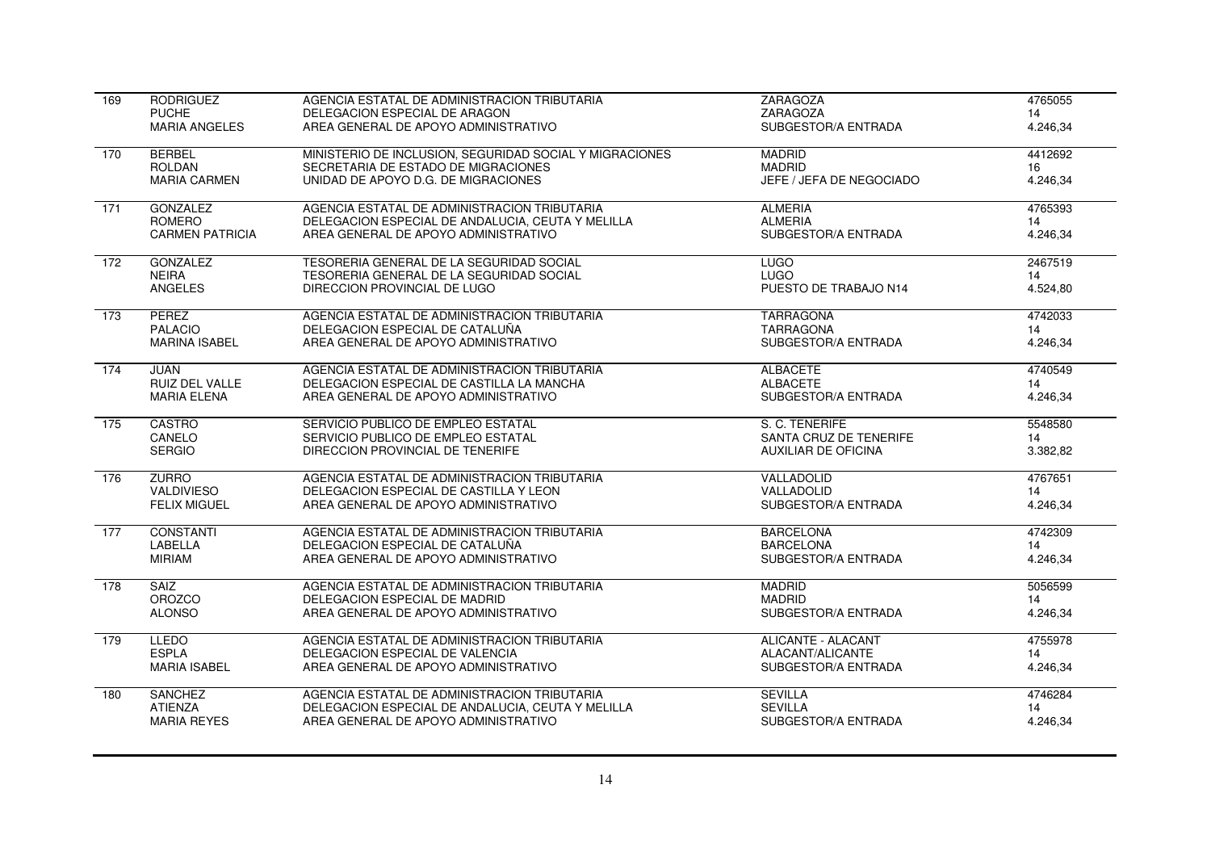| 169              | <b>RODRIGUEZ</b>       | AGENCIA ESTATAL DE ADMINISTRACION TRIBUTARIA            | <b>ZARAGOZA</b>            | 4765055  |
|------------------|------------------------|---------------------------------------------------------|----------------------------|----------|
|                  | <b>PUCHE</b>           | DELEGACION ESPECIAL DE ARAGON                           | ZARAGOZA                   | 14       |
|                  | <b>MARIA ANGELES</b>   | AREA GENERAL DE APOYO ADMINISTRATIVO                    | SUBGESTOR/A ENTRADA        | 4.246,34 |
| 170              | <b>BERBEL</b>          | MINISTERIO DE INCLUSION, SEGURIDAD SOCIAL Y MIGRACIONES | <b>MADRID</b>              | 4412692  |
|                  | <b>ROLDAN</b>          | SECRETARIA DE ESTADO DE MIGRACIONES                     | <b>MADRID</b>              | 16       |
|                  | <b>MARIA CARMEN</b>    | UNIDAD DE APOYO D.G. DE MIGRACIONES                     | JEFE / JEFA DE NEGOCIADO   | 4.246,34 |
| 171              | <b>GONZALEZ</b>        | AGENCIA ESTATAL DE ADMINISTRACION TRIBUTARIA            | <b>ALMERIA</b>             | 4765393  |
|                  | <b>ROMERO</b>          | DELEGACION ESPECIAL DE ANDALUCIA, CEUTA Y MELILLA       | <b>ALMERIA</b>             | 14       |
|                  | <b>CARMEN PATRICIA</b> | AREA GENERAL DE APOYO ADMINISTRATIVO                    | SUBGESTOR/A ENTRADA        | 4.246,34 |
| 172              | <b>GONZALEZ</b>        | TESORERIA GENERAL DE LA SEGURIDAD SOCIAL                | <b>LUGO</b>                | 2467519  |
|                  | <b>NEIRA</b>           | TESORERIA GENERAL DE LA SEGURIDAD SOCIAL                | <b>LUGO</b>                | 14       |
|                  | <b>ANGELES</b>         | DIRECCION PROVINCIAL DE LUGO                            | PUESTO DE TRABAJO N14      | 4.524,80 |
| $\overline{173}$ | <b>PEREZ</b>           | AGENCIA ESTATAL DE ADMINISTRACION TRIBUTARIA            | <b>TARRAGONA</b>           | 4742033  |
|                  | <b>PALACIO</b>         | DELEGACION ESPECIAL DE CATALUÑA                         | <b>TARRAGONA</b>           | 14       |
|                  | <b>MARINA ISABEL</b>   | AREA GENERAL DE APOYO ADMINISTRATIVO                    | SUBGESTOR/A ENTRADA        | 4.246,34 |
| 174              | <b>JUAN</b>            | AGENCIA ESTATAL DE ADMINISTRACION TRIBUTARIA            | <b>ALBACETE</b>            | 4740549  |
|                  | <b>RUIZ DEL VALLE</b>  | DELEGACION ESPECIAL DE CASTILLA LA MANCHA               | <b>ALBACETE</b>            | 14       |
|                  | <b>MARIA ELENA</b>     | AREA GENERAL DE APOYO ADMINISTRATIVO                    | SUBGESTOR/A ENTRADA        | 4.246,34 |
| 175              | <b>CASTRO</b>          | SERVICIO PUBLICO DE EMPLEO ESTATAL                      | S. C. TENERIFE             | 5548580  |
|                  | CANELO                 | SERVICIO PUBLICO DE EMPLEO ESTATAL                      | SANTA CRUZ DE TENERIFE     | 14       |
|                  | <b>SERGIO</b>          | DIRECCION PROVINCIAL DE TENERIFE                        | <b>AUXILIAR DE OFICINA</b> | 3.382,82 |
| 176              | <b>ZURRO</b>           | AGENCIA ESTATAL DE ADMINISTRACION TRIBUTARIA            | VALLADOLID                 | 4767651  |
|                  | <b>VALDIVIESO</b>      | DELEGACION ESPECIAL DE CASTILLA Y LEON                  | VALLADOLID                 | 14       |
|                  | <b>FELIX MIGUEL</b>    | AREA GENERAL DE APOYO ADMINISTRATIVO                    | SUBGESTOR/A ENTRADA        | 4.246,34 |
| 177              | <b>CONSTANTI</b>       | AGENCIA ESTATAL DE ADMINISTRACION TRIBUTARIA            | <b>BARCELONA</b>           | 4742309  |
|                  | LABELLA                | DELEGACION ESPECIAL DE CATALUÑA                         | <b>BARCELONA</b>           | 14       |
|                  | <b>MIRIAM</b>          | AREA GENERAL DE APOYO ADMINISTRATIVO                    | SUBGESTOR/A ENTRADA        | 4.246,34 |
| 178              | <b>SAIZ</b>            | AGENCIA ESTATAL DE ADMINISTRACION TRIBUTARIA            | <b>MADRID</b>              | 5056599  |
|                  | <b>OROZCO</b>          | DELEGACION ESPECIAL DE MADRID                           | <b>MADRID</b>              | 14       |
|                  | <b>ALONSO</b>          | AREA GENERAL DE APOYO ADMINISTRATIVO                    | SUBGESTOR/A ENTRADA        | 4.246,34 |
| 179              | <b>LLEDO</b>           | AGENCIA ESTATAL DE ADMINISTRACION TRIBUTARIA            | <b>ALICANTE - ALACANT</b>  | 4755978  |
|                  | <b>ESPLA</b>           | DELEGACION ESPECIAL DE VALENCIA                         | ALACANT/ALICANTE           | 14       |
|                  | <b>MARIA ISABEL</b>    | AREA GENERAL DE APOYO ADMINISTRATIVO                    | SUBGESTOR/A ENTRADA        | 4.246,34 |
| 180              | <b>SANCHEZ</b>         | AGENCIA ESTATAL DE ADMINISTRACION TRIBUTARIA            | <b>SEVILLA</b>             | 4746284  |
|                  | <b>ATIENZA</b>         | DELEGACION ESPECIAL DE ANDALUCIA, CEUTA Y MELILLA       | <b>SEVILLA</b>             | 14       |
|                  | <b>MARIA REYES</b>     | AREA GENERAL DE APOYO ADMINISTRATIVO                    | SUBGESTOR/A ENTRADA        | 4.246,34 |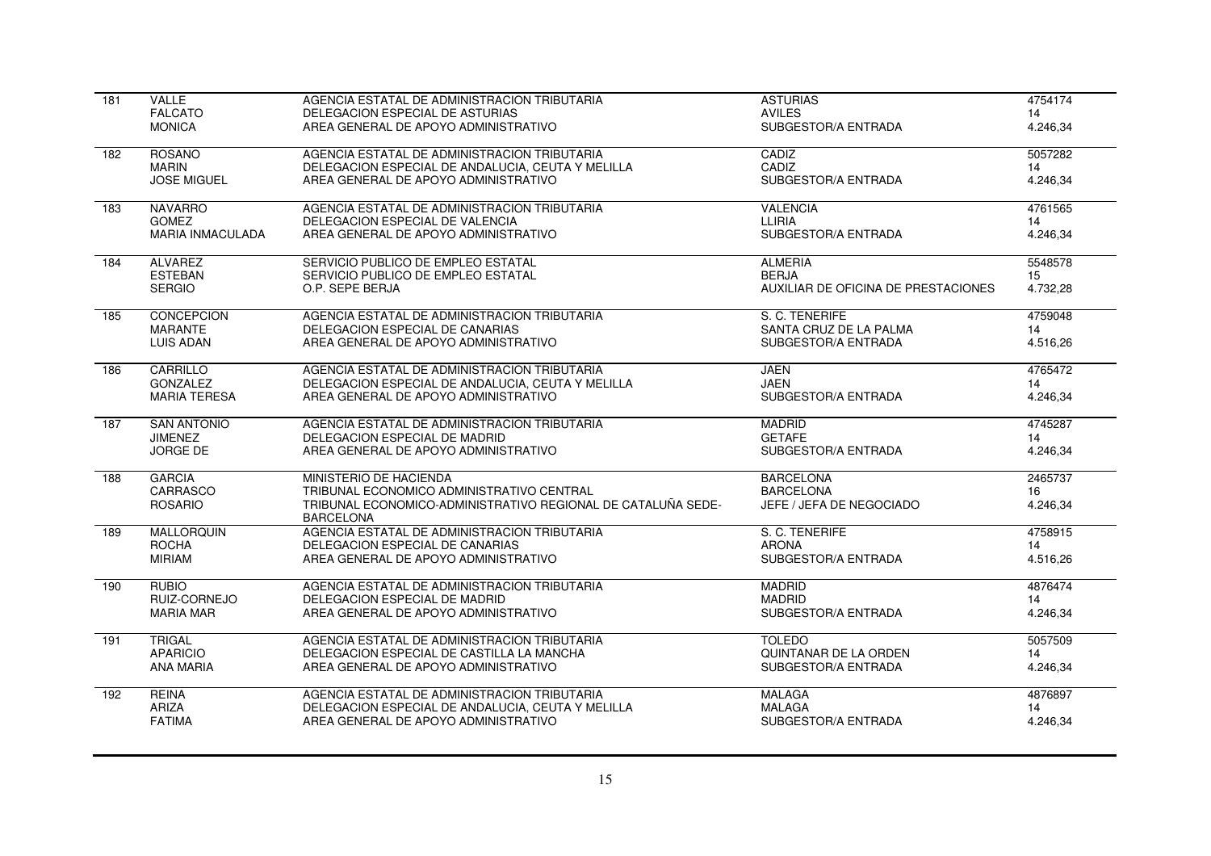| 181 | <b>VALLE</b>            | AGENCIA ESTATAL DE ADMINISTRACION TRIBUTARIA                                     | <b>ASTURIAS</b>                     | 4754174  |
|-----|-------------------------|----------------------------------------------------------------------------------|-------------------------------------|----------|
|     | <b>FALCATO</b>          | DELEGACION ESPECIAL DE ASTURIAS                                                  | <b>AVILES</b>                       | 14       |
|     | <b>MONICA</b>           | AREA GENERAL DE APOYO ADMINISTRATIVO                                             | SUBGESTOR/A ENTRADA                 | 4.246,34 |
| 182 | <b>ROSANO</b>           | AGENCIA ESTATAL DE ADMINISTRACION TRIBUTARIA                                     | CADIZ                               | 5057282  |
|     | <b>MARIN</b>            | DELEGACION ESPECIAL DE ANDALUCIA, CEUTA Y MELILLA                                | CADIZ                               | 14       |
|     | <b>JOSE MIGUEL</b>      | AREA GENERAL DE APOYO ADMINISTRATIVO                                             | SUBGESTOR/A ENTRADA                 | 4.246,34 |
| 183 | <b>NAVARRO</b>          | AGENCIA ESTATAL DE ADMINISTRACION TRIBUTARIA                                     | <b>VALENCIA</b>                     | 4761565  |
|     | <b>GOMEZ</b>            | DELEGACION ESPECIAL DE VALENCIA                                                  | LLIRIA                              | 14       |
|     | <b>MARIA INMACULADA</b> | AREA GENERAL DE APOYO ADMINISTRATIVO                                             | SUBGESTOR/A ENTRADA                 | 4.246,34 |
| 184 | <b>ALVAREZ</b>          | SERVICIO PUBLICO DE EMPLEO ESTATAL                                               | <b>ALMERIA</b>                      | 5548578  |
|     | <b>ESTEBAN</b>          | SERVICIO PUBLICO DE EMPLEO ESTATAL                                               | <b>BERJA</b>                        | 15       |
|     | <b>SERGIO</b>           | O.P. SEPE BERJA                                                                  | AUXILIAR DE OFICINA DE PRESTACIONES | 4.732,28 |
| 185 | <b>CONCEPCION</b>       | AGENCIA ESTATAL DE ADMINISTRACION TRIBUTARIA                                     | S. C. TENERIFE                      | 4759048  |
|     | <b>MARANTE</b>          | DELEGACION ESPECIAL DE CANARIAS                                                  | SANTA CRUZ DE LA PALMA              | 14       |
|     | <b>LUIS ADAN</b>        | AREA GENERAL DE APOYO ADMINISTRATIVO                                             | SUBGESTOR/A ENTRADA                 | 4.516,26 |
| 186 | CARRILLO                | AGENCIA ESTATAL DE ADMINISTRACION TRIBUTARIA                                     | <b>JAEN</b>                         | 4765472  |
|     | <b>GONZALEZ</b>         | DELEGACION ESPECIAL DE ANDALUCIA, CEUTA Y MELILLA                                | <b>JAEN</b>                         | 14       |
|     | <b>MARIA TERESA</b>     | AREA GENERAL DE APOYO ADMINISTRATIVO                                             | SUBGESTOR/A ENTRADA                 | 4.246,34 |
| 187 | <b>SAN ANTONIO</b>      | AGENCIA ESTATAL DE ADMINISTRACION TRIBUTARIA                                     | <b>MADRID</b>                       | 4745287  |
|     | <b>JIMENEZ</b>          | DELEGACION ESPECIAL DE MADRID                                                    | <b>GETAFE</b>                       | 14       |
|     | <b>JORGE DE</b>         | AREA GENERAL DE APOYO ADMINISTRATIVO                                             | SUBGESTOR/A ENTRADA                 | 4.246,34 |
| 188 | <b>GARCIA</b>           | MINISTERIO DE HACIENDA                                                           | <b>BARCELONA</b>                    | 2465737  |
|     | CARRASCO                | TRIBUNAL ECONOMICO ADMINISTRATIVO CENTRAL                                        | <b>BARCELONA</b>                    | 16       |
|     | <b>ROSARIO</b>          | TRIBUNAL ECONOMICO-ADMINISTRATIVO REGIONAL DE CATALUÑA SEDE-<br><b>BARCELONA</b> | JEFE / JEFA DE NEGOCIADO            | 4.246,34 |
| 189 | <b>MALLORQUIN</b>       | AGENCIA ESTATAL DE ADMINISTRACION TRIBUTARIA                                     | S. C. TENERIFE                      | 4758915  |
|     | <b>ROCHA</b>            | DELEGACION ESPECIAL DE CANARIAS                                                  | <b>ARONA</b>                        | 14       |
|     | <b>MIRIAM</b>           | AREA GENERAL DE APOYO ADMINISTRATIVO                                             | SUBGESTOR/A ENTRADA                 | 4.516,26 |
| 190 | <b>RUBIO</b>            | AGENCIA ESTATAL DE ADMINISTRACION TRIBUTARIA                                     | <b>MADRID</b>                       | 4876474  |
|     | RUIZ-CORNEJO            | DELEGACION ESPECIAL DE MADRID                                                    | <b>MADRID</b>                       | 14       |
|     | <b>MARIA MAR</b>        | AREA GENERAL DE APOYO ADMINISTRATIVO                                             | SUBGESTOR/A ENTRADA                 | 4.246,34 |
| 191 | <b>TRIGAL</b>           | AGENCIA ESTATAL DE ADMINISTRACION TRIBUTARIA                                     | <b>TOLEDO</b>                       | 5057509  |
|     | <b>APARICIO</b>         | DELEGACION ESPECIAL DE CASTILLA LA MANCHA                                        | QUINTANAR DE LA ORDEN               | 14       |
|     | <b>ANA MARIA</b>        | AREA GENERAL DE APOYO ADMINISTRATIVO                                             | SUBGESTOR/A ENTRADA                 | 4.246,34 |
| 192 | <b>REINA</b>            | AGENCIA ESTATAL DE ADMINISTRACION TRIBUTARIA                                     | <b>MALAGA</b>                       | 4876897  |
|     | <b>ARIZA</b>            | DELEGACION ESPECIAL DE ANDALUCIA, CEUTA Y MELILLA                                | <b>MALAGA</b>                       | 14       |
|     | <b>FATIMA</b>           | AREA GENERAL DE APOYO ADMINISTRATIVO                                             | SUBGESTOR/A ENTRADA                 | 4.246,34 |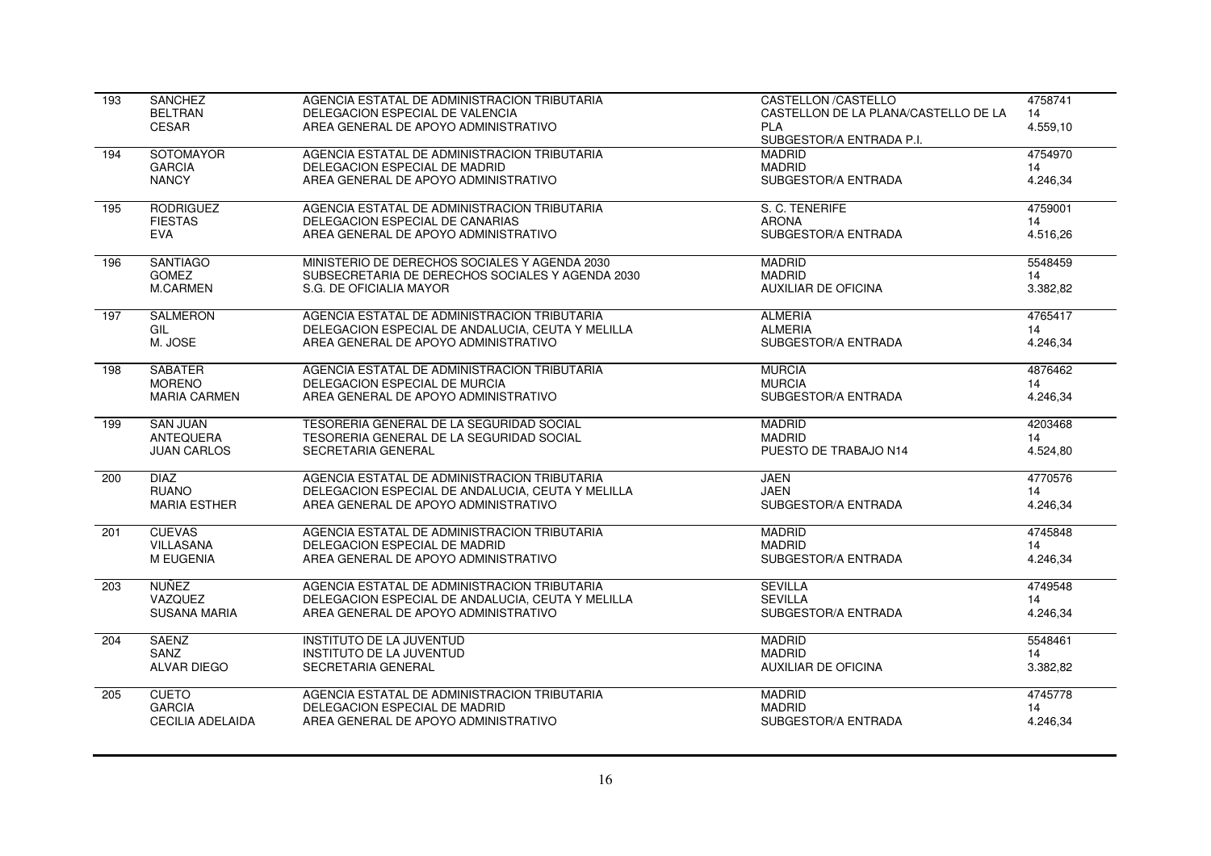| 193 | SANCHEZ                 | AGENCIA ESTATAL DE ADMINISTRACION TRIBUTARIA      | <b>CASTELLON /CASTELLO</b>           | 4758741  |
|-----|-------------------------|---------------------------------------------------|--------------------------------------|----------|
|     | <b>BELTRAN</b>          | DELEGACION ESPECIAL DE VALENCIA                   | CASTELLON DE LA PLANA/CASTELLO DE LA | 14       |
|     | <b>CESAR</b>            | AREA GENERAL DE APOYO ADMINISTRATIVO              | <b>PLA</b>                           | 4.559,10 |
|     |                         |                                                   | SUBGESTOR/A ENTRADA P.I.             |          |
| 194 | SOTOMAYOR               | AGENCIA ESTATAL DE ADMINISTRACION TRIBUTARIA      | <b>MADRID</b>                        | 4754970  |
|     | <b>GARCIA</b>           | DELEGACION ESPECIAL DE MADRID                     | <b>MADRID</b>                        | 14       |
|     | <b>NANCY</b>            | AREA GENERAL DE APOYO ADMINISTRATIVO              | SUBGESTOR/A ENTRADA                  | 4.246,34 |
| 195 | <b>RODRIGUEZ</b>        | AGENCIA ESTATAL DE ADMINISTRACION TRIBUTARIA      | S. C. TENERIFE                       | 4759001  |
|     | <b>FIESTAS</b>          | DELEGACION ESPECIAL DE CANARIAS                   | <b>ARONA</b>                         | 14       |
|     | <b>EVA</b>              | AREA GENERAL DE APOYO ADMINISTRATIVO              | SUBGESTOR/A ENTRADA                  | 4.516,26 |
| 196 | <b>SANTIAGO</b>         | MINISTERIO DE DERECHOS SOCIALES Y AGENDA 2030     | <b>MADRID</b>                        | 5548459  |
|     | <b>GOMEZ</b>            | SUBSECRETARIA DE DERECHOS SOCIALES Y AGENDA 2030  | <b>MADRID</b>                        | 14       |
|     | M.CARMEN                | S.G. DE OFICIALIA MAYOR                           | <b>AUXILIAR DE OFICINA</b>           | 3.382,82 |
| 197 | <b>SALMERON</b>         | AGENCIA ESTATAL DE ADMINISTRACION TRIBUTARIA      | <b>ALMERIA</b>                       | 4765417  |
|     | GIL                     | DELEGACION ESPECIAL DE ANDALUCIA, CEUTA Y MELILLA | <b>ALMERIA</b>                       | 14       |
|     | M. JOSE                 | AREA GENERAL DE APOYO ADMINISTRATIVO              | SUBGESTOR/A ENTRADA                  | 4.246,34 |
| 198 | <b>SABATER</b>          | AGENCIA ESTATAL DE ADMINISTRACION TRIBUTARIA      | <b>MURCIA</b>                        | 4876462  |
|     | <b>MORENO</b>           | DELEGACION ESPECIAL DE MURCIA                     | <b>MURCIA</b>                        | 14       |
|     | <b>MARIA CARMEN</b>     | AREA GENERAL DE APOYO ADMINISTRATIVO              | SUBGESTOR/A ENTRADA                  | 4.246,34 |
| 199 | <b>SAN JUAN</b>         | TESORERIA GENERAL DE LA SEGURIDAD SOCIAL          | <b>MADRID</b>                        | 4203468  |
|     | ANTEQUERA               | TESORERIA GENERAL DE LA SEGURIDAD SOCIAL          | <b>MADRID</b>                        | 14       |
|     | <b>JUAN CARLOS</b>      | SECRETARIA GENERAL                                | PUESTO DE TRABAJO N14                | 4.524,80 |
| 200 | <b>DIAZ</b>             | AGENCIA ESTATAL DE ADMINISTRACION TRIBUTARIA      | <b>JAEN</b>                          | 4770576  |
|     | <b>RUANO</b>            | DELEGACION ESPECIAL DE ANDALUCIA. CEUTA Y MELILLA | <b>JAEN</b>                          | 14       |
|     | <b>MARIA ESTHER</b>     | AREA GENERAL DE APOYO ADMINISTRATIVO              | SUBGESTOR/A ENTRADA                  | 4.246,34 |
| 201 | <b>CUEVAS</b>           | AGENCIA ESTATAL DE ADMINISTRACION TRIBUTARIA      | <b>MADRID</b>                        | 4745848  |
|     | VILLASANA               | DELEGACION ESPECIAL DE MADRID                     | <b>MADRID</b>                        | 14       |
|     | M EUGENIA               | AREA GENERAL DE APOYO ADMINISTRATIVO              | SUBGESTOR/A ENTRADA                  | 4.246,34 |
| 203 | NUÑEZ                   | AGENCIA ESTATAL DE ADMINISTRACION TRIBUTARIA      | <b>SEVILLA</b>                       | 4749548  |
|     | VAZQUEZ                 | DELEGACION ESPECIAL DE ANDALUCIA, CEUTA Y MELILLA | <b>SEVILLA</b>                       | 14       |
|     | <b>SUSANA MARIA</b>     | AREA GENERAL DE APOYO ADMINISTRATIVO              | SUBGESTOR/A ENTRADA                  | 4.246,34 |
| 204 | <b>SAENZ</b>            | <b>INSTITUTO DE LA JUVENTUD</b>                   | <b>MADRID</b>                        | 5548461  |
|     | SANZ                    | <b>INSTITUTO DE LA JUVENTUD</b>                   | <b>MADRID</b>                        | 14       |
|     | <b>ALVAR DIEGO</b>      | SECRETARIA GENERAL                                | <b>AUXILIAR DE OFICINA</b>           | 3.382,82 |
| 205 | <b>CUETO</b>            | AGENCIA ESTATAL DE ADMINISTRACION TRIBUTARIA      | <b>MADRID</b>                        | 4745778  |
|     | <b>GARCIA</b>           | DELEGACION ESPECIAL DE MADRID                     | <b>MADRID</b>                        | 14       |
|     | <b>CECILIA ADELAIDA</b> | AREA GENERAL DE APOYO ADMINISTRATIVO              | SUBGESTOR/A ENTRADA                  | 4.246,34 |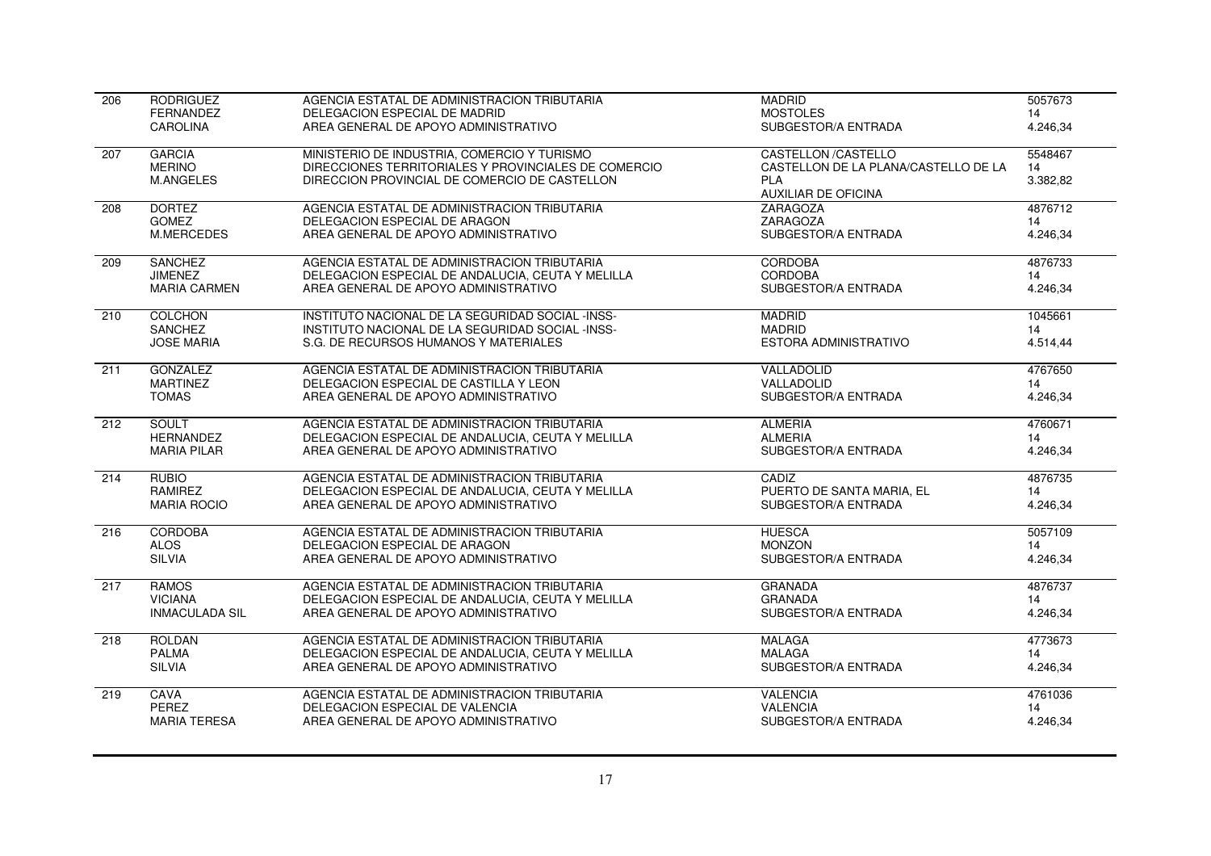| 206              | <b>RODRIGUEZ</b>      | AGENCIA ESTATAL DE ADMINISTRACION TRIBUTARIA         | <b>MADRID</b>                        | 5057673  |
|------------------|-----------------------|------------------------------------------------------|--------------------------------------|----------|
|                  | <b>FERNANDEZ</b>      | DELEGACION ESPECIAL DE MADRID                        | <b>MOSTOLES</b>                      | 14       |
|                  | <b>CAROLINA</b>       | AREA GENERAL DE APOYO ADMINISTRATIVO                 | SUBGESTOR/A ENTRADA                  | 4.246,34 |
| 207              | <b>GARCIA</b>         | MINISTERIO DE INDUSTRIA, COMERCIO Y TURISMO          | <b>CASTELLON /CASTELLO</b>           | 5548467  |
|                  | <b>MERINO</b>         | DIRECCIONES TERRITORIALES Y PROVINCIALES DE COMERCIO | CASTELLON DE LA PLANA/CASTELLO DE LA | 14       |
|                  | <b>M.ANGELES</b>      | DIRECCION PROVINCIAL DE COMERCIO DE CASTELLON        | <b>PLA</b>                           | 3.382,82 |
|                  |                       |                                                      | <b>AUXILIAR DE OFICINA</b>           |          |
| 208              | <b>DORTEZ</b>         | AGENCIA ESTATAL DE ADMINISTRACION TRIBUTARIA         | <b>ZARAGOZA</b>                      | 4876712  |
|                  | <b>GOMEZ</b>          | DELEGACION ESPECIAL DE ARAGON                        | ZARAGOZA                             | 14       |
|                  | M.MERCEDES            | AREA GENERAL DE APOYO ADMINISTRATIVO                 | SUBGESTOR/A ENTRADA                  | 4.246,34 |
| $\overline{209}$ | <b>SANCHEZ</b>        | AGENCIA ESTATAL DE ADMINISTRACION TRIBUTARIA         | <b>CORDOBA</b>                       | 4876733  |
|                  | <b>JIMENEZ</b>        | DELEGACION ESPECIAL DE ANDALUCIA. CEUTA Y MELILLA    | <b>CORDOBA</b>                       | 14       |
|                  | <b>MARIA CARMEN</b>   | AREA GENERAL DE APOYO ADMINISTRATIVO                 | SUBGESTOR/A ENTRADA                  | 4.246,34 |
| 210              | <b>COLCHON</b>        | INSTITUTO NACIONAL DE LA SEGURIDAD SOCIAL -INSS-     | <b>MADRID</b>                        | 1045661  |
|                  | SANCHEZ               | INSTITUTO NACIONAL DE LA SEGURIDAD SOCIAL -INSS-     | <b>MADRID</b>                        | 14       |
|                  | <b>JOSE MARIA</b>     | S.G. DE RECURSOS HUMANOS Y MATERIALES                | ESTORA ADMINISTRATIVO                | 4.514,44 |
| 211              | <b>GONZALEZ</b>       | AGENCIA ESTATAL DE ADMINISTRACION TRIBUTARIA         | VALLADOLID                           | 4767650  |
|                  | <b>MARTINEZ</b>       | DELEGACION ESPECIAL DE CASTILLA Y LEON               | VALLADOLID                           | 14       |
|                  | <b>TOMAS</b>          | AREA GENERAL DE APOYO ADMINISTRATIVO                 | SUBGESTOR/A ENTRADA                  | 4.246,34 |
|                  |                       |                                                      |                                      |          |
| 212              | <b>SOULT</b>          | AGENCIA ESTATAL DE ADMINISTRACION TRIBUTARIA         | <b>ALMERIA</b>                       | 4760671  |
|                  | <b>HERNANDEZ</b>      | DELEGACION ESPECIAL DE ANDALUCIA, CEUTA Y MELILLA    | <b>ALMERIA</b>                       | 14       |
|                  | <b>MARIA PILAR</b>    | AREA GENERAL DE APOYO ADMINISTRATIVO                 | SUBGESTOR/A ENTRADA                  | 4.246,34 |
| 214              | <b>RUBIO</b>          | AGENCIA ESTATAL DE ADMINISTRACION TRIBUTARIA         | CADIZ                                | 4876735  |
|                  | RAMIREZ               | DELEGACION ESPECIAL DE ANDALUCIA, CEUTA Y MELILLA    | PUERTO DE SANTA MARIA, EL            | 14       |
|                  | <b>MARIA ROCIO</b>    | AREA GENERAL DE APOYO ADMINISTRATIVO                 | SUBGESTOR/A ENTRADA                  | 4.246,34 |
| 216              | <b>CORDOBA</b>        | AGENCIA ESTATAL DE ADMINISTRACION TRIBUTARIA         | <b>HUESCA</b>                        | 5057109  |
|                  | <b>ALOS</b>           | DELEGACION ESPECIAL DE ARAGON                        | <b>MONZON</b>                        | 14       |
|                  | <b>SILVIA</b>         | AREA GENERAL DE APOYO ADMINISTRATIVO                 | SUBGESTOR/A ENTRADA                  | 4.246,34 |
| $\overline{217}$ | <b>RAMOS</b>          | AGENCIA ESTATAL DE ADMINISTRACION TRIBUTARIA         | <b>GRANADA</b>                       | 4876737  |
|                  | <b>VICIANA</b>        | DELEGACION ESPECIAL DE ANDALUCIA, CEUTA Y MELILLA    | <b>GRANADA</b>                       | 14       |
|                  | <b>INMACULADA SIL</b> | AREA GENERAL DE APOYO ADMINISTRATIVO                 | SUBGESTOR/A ENTRADA                  | 4.246,34 |
| 218              | <b>ROLDAN</b>         | AGENCIA ESTATAL DE ADMINISTRACION TRIBUTARIA         | <b>MALAGA</b>                        | 4773673  |
|                  | <b>PALMA</b>          | DELEGACION ESPECIAL DE ANDALUCIA. CEUTA Y MELILLA    | <b>MALAGA</b>                        | 14       |
|                  | <b>SILVIA</b>         | AREA GENERAL DE APOYO ADMINISTRATIVO                 | SUBGESTOR/A ENTRADA                  | 4.246,34 |
|                  |                       |                                                      |                                      |          |
| 219              | CAVA                  | AGENCIA ESTATAL DE ADMINISTRACION TRIBUTARIA         | <b>VALENCIA</b>                      | 4761036  |
|                  | PEREZ                 | DELEGACION ESPECIAL DE VALENCIA                      | <b>VALENCIA</b>                      | 14       |
|                  | <b>MARIA TERESA</b>   | AREA GENERAL DE APOYO ADMINISTRATIVO                 | SUBGESTOR/A ENTRADA                  | 4.246,34 |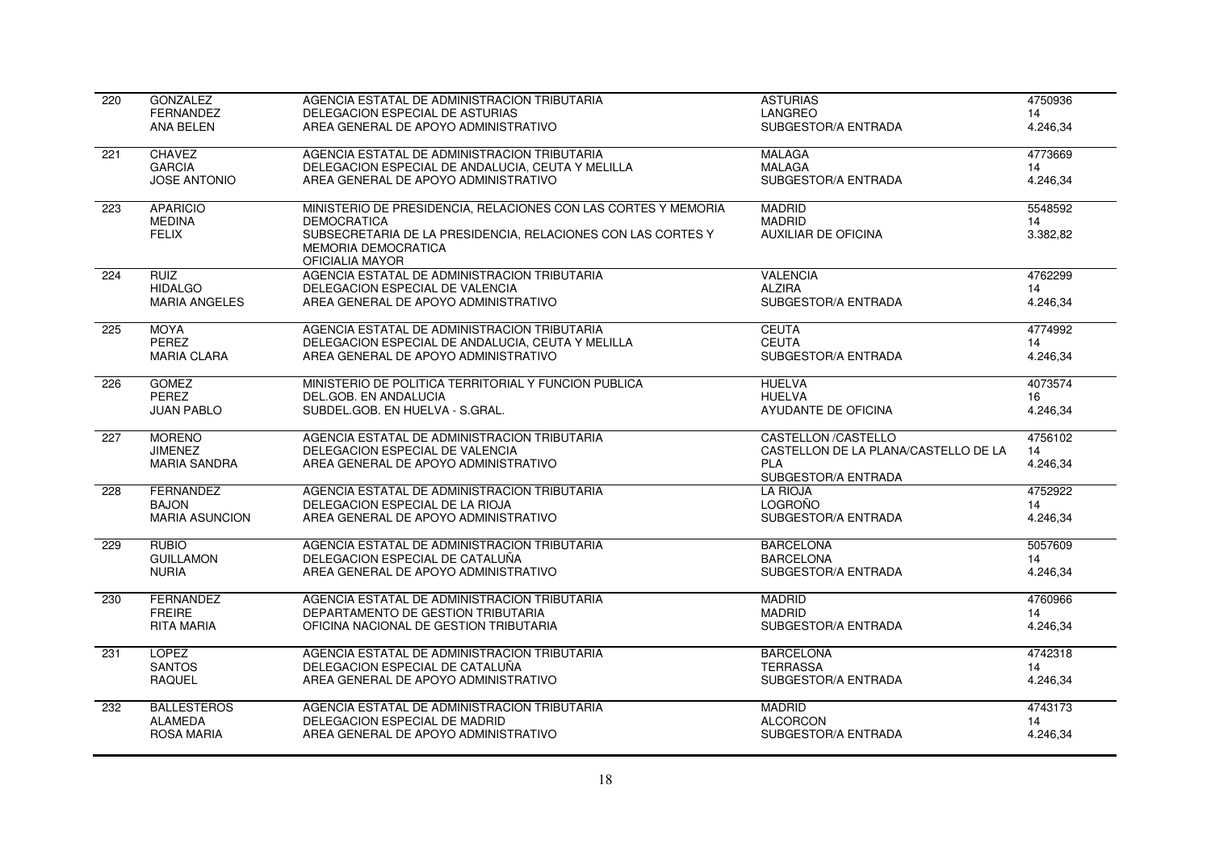| 220              | <b>GONZALEZ</b>       | AGENCIA ESTATAL DE ADMINISTRACION TRIBUTARIA                                                                  | <b>ASTURIAS</b>                      | 4750936  |
|------------------|-----------------------|---------------------------------------------------------------------------------------------------------------|--------------------------------------|----------|
|                  | <b>FERNANDEZ</b>      | DELEGACION ESPECIAL DE ASTURIAS                                                                               | LANGREO                              | 14       |
|                  | <b>ANA BELEN</b>      | AREA GENERAL DE APOYO ADMINISTRATIVO                                                                          | SUBGESTOR/A ENTRADA                  | 4.246,34 |
| 221              | <b>CHAVEZ</b>         | AGENCIA ESTATAL DE ADMINISTRACION TRIBUTARIA                                                                  | <b>MALAGA</b>                        | 4773669  |
|                  | <b>GARCIA</b>         | DELEGACION ESPECIAL DE ANDALUCIA, CEUTA Y MELILLA                                                             | <b>MALAGA</b>                        | 14       |
|                  | <b>JOSE ANTONIO</b>   | AREA GENERAL DE APOYO ADMINISTRATIVO                                                                          | SUBGESTOR/A ENTRADA                  | 4.246,34 |
| 223              | <b>APARICIO</b>       | MINISTERIO DE PRESIDENCIA, RELACIONES CON LAS CORTES Y MEMORIA                                                | <b>MADRID</b>                        | 5548592  |
|                  | <b>MEDINA</b>         | <b>DEMOCRATICA</b>                                                                                            | <b>MADRID</b>                        | 14       |
|                  | <b>FELIX</b>          | SUBSECRETARIA DE LA PRESIDENCIA, RELACIONES CON LAS CORTES Y<br><b>MEMORIA DEMOCRATICA</b><br>OFICIALIA MAYOR | <b>AUXILIAR DE OFICINA</b>           | 3.382,82 |
| 224              | <b>RUIZ</b>           | AGENCIA ESTATAL DE ADMINISTRACION TRIBUTARIA                                                                  | <b>VALENCIA</b>                      | 4762299  |
|                  | <b>HIDALGO</b>        | DELEGACION ESPECIAL DE VALENCIA                                                                               | <b>ALZIRA</b>                        | 14       |
|                  | <b>MARIA ANGELES</b>  | AREA GENERAL DE APOYO ADMINISTRATIVO                                                                          | SUBGESTOR/A ENTRADA                  | 4.246.34 |
| 225              | <b>MOYA</b>           | AGENCIA ESTATAL DE ADMINISTRACION TRIBUTARIA                                                                  | <b>CEUTA</b>                         | 4774992  |
|                  | PEREZ                 | DELEGACION ESPECIAL DE ANDALUCIA, CEUTA Y MELILLA                                                             | <b>CEUTA</b>                         | 14       |
|                  | <b>MARIA CLARA</b>    | AREA GENERAL DE APOYO ADMINISTRATIVO                                                                          | SUBGESTOR/A ENTRADA                  | 4.246,34 |
| 226              | <b>GOMEZ</b>          | MINISTERIO DE POLITICA TERRITORIAL Y FUNCION PUBLICA                                                          | <b>HUELVA</b>                        | 4073574  |
|                  | PEREZ                 | DEL.GOB. EN ANDALUCIA                                                                                         | <b>HUELVA</b>                        | 16       |
|                  | <b>JUAN PABLO</b>     | SUBDEL.GOB. EN HUELVA - S.GRAL.                                                                               | AYUDANTE DE OFICINA                  | 4.246,34 |
| $\overline{227}$ | <b>MORENO</b>         | AGENCIA ESTATAL DE ADMINISTRACION TRIBUTARIA                                                                  | <b>CASTELLON /CASTELLO</b>           | 4756102  |
|                  | <b>JIMENEZ</b>        | DELEGACION ESPECIAL DE VALENCIA                                                                               | CASTELLON DE LA PLANA/CASTELLO DE LA | 14       |
|                  | <b>MARIA SANDRA</b>   | AREA GENERAL DE APOYO ADMINISTRATIVO                                                                          | <b>PLA</b><br>SUBGESTOR/A ENTRADA    | 4.246,34 |
| 228              | <b>FERNANDEZ</b>      | AGENCIA ESTATAL DE ADMINISTRACION TRIBUTARIA                                                                  | <b>LA RIOJA</b>                      | 4752922  |
|                  | <b>BAJON</b>          | DELEGACION ESPECIAL DE LA RIOJA                                                                               | <b>LOGROÑO</b>                       | 14       |
|                  | <b>MARIA ASUNCION</b> | AREA GENERAL DE APOYO ADMINISTRATIVO                                                                          | SUBGESTOR/A ENTRADA                  | 4.246,34 |
| 229              | <b>RUBIO</b>          | AGENCIA ESTATAL DE ADMINISTRACION TRIBUTARIA                                                                  | <b>BARCELONA</b>                     | 5057609  |
|                  | <b>GUILLAMON</b>      | DELEGACION ESPECIAL DE CATALUÑA                                                                               | <b>BARCELONA</b>                     | 14       |
|                  | <b>NURIA</b>          | AREA GENERAL DE APOYO ADMINISTRATIVO                                                                          | SUBGESTOR/A ENTRADA                  | 4.246,34 |
| 230              | <b>FERNANDEZ</b>      | AGENCIA ESTATAL DE ADMINISTRACION TRIBUTARIA                                                                  | <b>MADRID</b>                        | 4760966  |
|                  | <b>FREIRE</b>         | DEPARTAMENTO DE GESTION TRIBUTARIA                                                                            | <b>MADRID</b>                        | 14       |
|                  | <b>RITA MARIA</b>     | OFICINA NACIONAL DE GESTION TRIBUTARIA                                                                        | SUBGESTOR/A ENTRADA                  | 4.246,34 |
| 231              | <b>LOPEZ</b>          | AGENCIA ESTATAL DE ADMINISTRACION TRIBUTARIA                                                                  | <b>BARCELONA</b>                     | 4742318  |
|                  | <b>SANTOS</b>         | DELEGACION ESPECIAL DE CATALUÑA                                                                               | <b>TERRASSA</b>                      | 14       |
|                  | <b>RAQUEL</b>         | AREA GENERAL DE APOYO ADMINISTRATIVO                                                                          | SUBGESTOR/A ENTRADA                  | 4.246,34 |
| 232              | <b>BALLESTEROS</b>    | AGENCIA ESTATAL DE ADMINISTRACION TRIBUTARIA                                                                  | <b>MADRID</b>                        | 4743173  |
|                  | <b>ALAMEDA</b>        | DELEGACION ESPECIAL DE MADRID                                                                                 | <b>ALCORCON</b>                      | 14       |
|                  | <b>ROSA MARIA</b>     | AREA GENERAL DE APOYO ADMINISTRATIVO                                                                          | SUBGESTOR/A ENTRADA                  | 4.246,34 |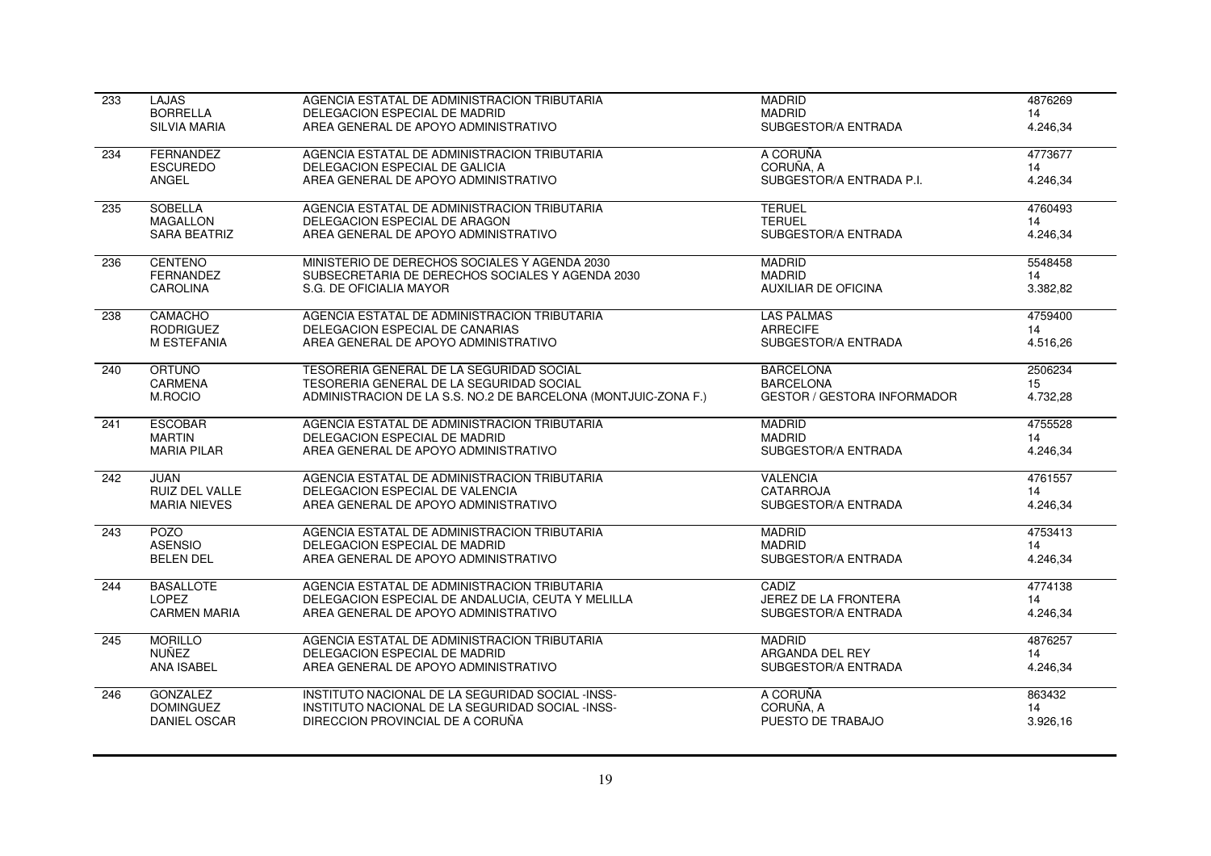| 233 | <b>LAJAS</b>          | AGENCIA ESTATAL DE ADMINISTRACION TRIBUTARIA                   | <b>MADRID</b>                      | 4876269  |
|-----|-----------------------|----------------------------------------------------------------|------------------------------------|----------|
|     | <b>BORRELLA</b>       | DELEGACION ESPECIAL DE MADRID                                  | <b>MADRID</b>                      | 14       |
|     | <b>SILVIA MARIA</b>   | AREA GENERAL DE APOYO ADMINISTRATIVO                           | SUBGESTOR/A ENTRADA                | 4.246,34 |
| 234 | FERNANDEZ             | AGENCIA ESTATAL DE ADMINISTRACION TRIBUTARIA                   | A CORUÑA                           | 4773677  |
|     | <b>ESCUREDO</b>       | DELEGACION ESPECIAL DE GALICIA                                 | CORUÑA, A                          | 14       |
|     | ANGEL                 | AREA GENERAL DE APOYO ADMINISTRATIVO                           | SUBGESTOR/A ENTRADA P.I.           | 4.246.34 |
| 235 | <b>SOBELLA</b>        | AGENCIA ESTATAL DE ADMINISTRACION TRIBUTARIA                   | <b>TERUEL</b>                      | 4760493  |
|     | <b>MAGALLON</b>       | DELEGACION ESPECIAL DE ARAGON                                  | <b>TERUEL</b>                      | 14       |
|     | <b>SARA BEATRIZ</b>   | AREA GENERAL DE APOYO ADMINISTRATIVO                           | SUBGESTOR/A ENTRADA                | 4.246,34 |
| 236 | <b>CENTENO</b>        | MINISTERIO DE DERECHOS SOCIALES Y AGENDA 2030                  | <b>MADRID</b>                      | 5548458  |
|     | <b>FERNANDEZ</b>      | SUBSECRETARIA DE DERECHOS SOCIALES Y AGENDA 2030               | <b>MADRID</b>                      | 14       |
|     | <b>CAROLINA</b>       | S.G. DE OFICIALIA MAYOR                                        | <b>AUXILIAR DE OFICINA</b>         | 3.382.82 |
| 238 | CAMACHO               | AGENCIA ESTATAL DE ADMINISTRACION TRIBUTARIA                   | <b>LAS PALMAS</b>                  | 4759400  |
|     | <b>RODRIGUEZ</b>      | DELEGACION ESPECIAL DE CANARIAS                                | <b>ARRECIFE</b>                    | 14       |
|     | M ESTEFANIA           | AREA GENERAL DE APOYO ADMINISTRATIVO                           | SUBGESTOR/A ENTRADA                | 4.516,26 |
| 240 | ORTUÑO                | TESORERIA GENERAL DE LA SEGURIDAD SOCIAL                       | <b>BARCELONA</b>                   | 2506234  |
|     | CARMENA               | TESORERIA GENERAL DE LA SEGURIDAD SOCIAL                       | <b>BARCELONA</b>                   | 15       |
|     | M.ROCIO               | ADMINISTRACION DE LA S.S. NO.2 DE BARCELONA (MONTJUIC-ZONA F.) | <b>GESTOR / GESTORA INFORMADOR</b> | 4.732,28 |
| 241 | <b>ESCOBAR</b>        | AGENCIA ESTATAL DE ADMINISTRACION TRIBUTARIA                   | <b>MADRID</b>                      | 4755528  |
|     | <b>MARTIN</b>         | DELEGACION ESPECIAL DE MADRID                                  | <b>MADRID</b>                      | 14       |
|     | <b>MARIA PILAR</b>    | AREA GENERAL DE APOYO ADMINISTRATIVO                           | SUBGESTOR/A ENTRADA                | 4.246,34 |
| 242 | <b>JUAN</b>           | AGENCIA ESTATAL DE ADMINISTRACION TRIBUTARIA                   | <b>VALENCIA</b>                    | 4761557  |
|     | <b>RUIZ DEL VALLE</b> | DELEGACION ESPECIAL DE VALENCIA                                | <b>CATARROJA</b>                   | 14       |
|     | <b>MARIA NIEVES</b>   | AREA GENERAL DE APOYO ADMINISTRATIVO                           | SUBGESTOR/A ENTRADA                | 4.246,34 |
| 243 | <b>POZO</b>           | AGENCIA ESTATAL DE ADMINISTRACION TRIBUTARIA                   | <b>MADRID</b>                      | 4753413  |
|     | <b>ASENSIO</b>        | DELEGACION ESPECIAL DE MADRID                                  | <b>MADRID</b>                      | 14       |
|     | <b>BELEN DEL</b>      | AREA GENERAL DE APOYO ADMINISTRATIVO                           | SUBGESTOR/A ENTRADA                | 4.246,34 |
| 244 | <b>BASALLOTE</b>      | AGENCIA ESTATAL DE ADMINISTRACION TRIBUTARIA                   | CADIZ                              | 4774138  |
|     | <b>LOPEZ</b>          | DELEGACION ESPECIAL DE ANDALUCIA, CEUTA Y MELILLA              | JEREZ DE LA FRONTERA               | 14       |
|     | <b>CARMEN MARIA</b>   | AREA GENERAL DE APOYO ADMINISTRATIVO                           | SUBGESTOR/A ENTRADA                | 4.246,34 |
| 245 | <b>MORILLO</b>        | AGENCIA ESTATAL DE ADMINISTRACION TRIBUTARIA                   | <b>MADRID</b>                      | 4876257  |
|     | NUÑEZ                 | DELEGACION ESPECIAL DE MADRID                                  | ARGANDA DEL REY                    | 14       |
|     | ANA ISABEL            | AREA GENERAL DE APOYO ADMINISTRATIVO                           | SUBGESTOR/A ENTRADA                | 4.246,34 |
| 246 | <b>GONZALEZ</b>       | INSTITUTO NACIONAL DE LA SEGURIDAD SOCIAL -INSS-               | A CORUÑA                           | 863432   |
|     | <b>DOMINGUEZ</b>      | INSTITUTO NACIONAL DE LA SEGURIDAD SOCIAL -INSS-               | CORUÑA, A                          | 14       |
|     | DANIEL OSCAR          | DIRECCION PROVINCIAL DE A CORUÑA                               | PUESTO DE TRABAJO                  | 3.926,16 |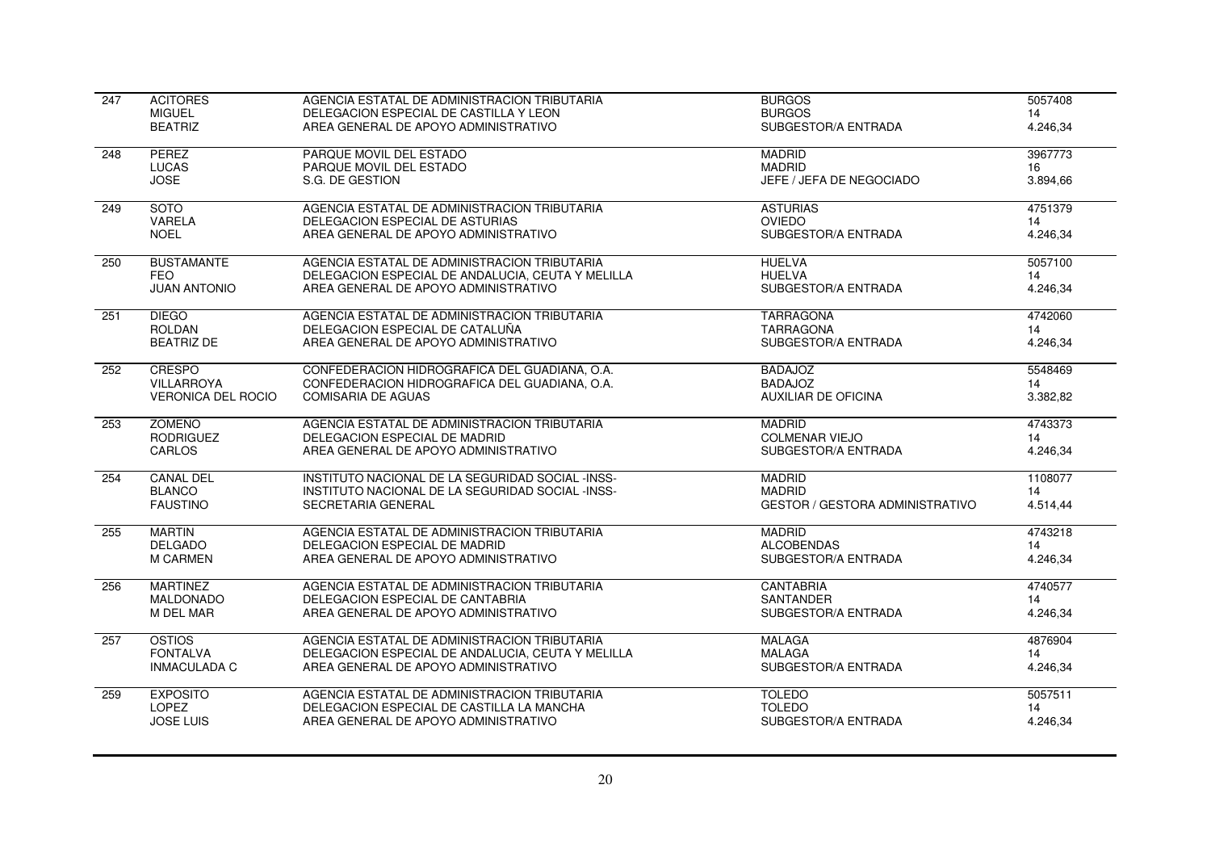| $\overline{247}$ | <b>ACITORES</b>           | AGENCIA ESTATAL DE ADMINISTRACION TRIBUTARIA      | <b>BURGOS</b>                   | 5057408  |
|------------------|---------------------------|---------------------------------------------------|---------------------------------|----------|
|                  | <b>MIGUEL</b>             | DELEGACION ESPECIAL DE CASTILLA Y LEON            | <b>BURGOS</b>                   | 14       |
|                  | <b>BEATRIZ</b>            | AREA GENERAL DE APOYO ADMINISTRATIVO              | SUBGESTOR/A ENTRADA             | 4.246,34 |
| 248              | <b>PEREZ</b>              | PARQUE MOVIL DEL ESTADO                           | <b>MADRID</b>                   | 3967773  |
|                  | <b>LUCAS</b>              | PARQUE MOVIL DEL ESTADO                           | <b>MADRID</b>                   | 16       |
|                  | <b>JOSE</b>               | S.G. DE GESTION                                   | JEFE / JEFA DE NEGOCIADO        | 3.894,66 |
| 249              | <b>SOTO</b>               | AGENCIA ESTATAL DE ADMINISTRACION TRIBUTARIA      | <b>ASTURIAS</b>                 | 4751379  |
|                  | VARELA                    | DELEGACION ESPECIAL DE ASTURIAS                   | <b>OVIEDO</b>                   | 14       |
|                  | <b>NOEL</b>               | AREA GENERAL DE APOYO ADMINISTRATIVO              | SUBGESTOR/A ENTRADA             | 4.246,34 |
| 250              | <b>BUSTAMANTE</b>         | AGENCIA ESTATAL DE ADMINISTRACION TRIBUTARIA      | <b>HUELVA</b>                   | 5057100  |
|                  | <b>FEO</b>                | DELEGACION ESPECIAL DE ANDALUCIA, CEUTA Y MELILLA | <b>HUELVA</b>                   | 14       |
|                  | <b>JUAN ANTONIO</b>       | AREA GENERAL DE APOYO ADMINISTRATIVO              | SUBGESTOR/A ENTRADA             | 4.246,34 |
| 251              | <b>DIEGO</b>              | AGENCIA ESTATAL DE ADMINISTRACION TRIBUTARIA      | <b>TARRAGONA</b>                | 4742060  |
|                  | <b>ROLDAN</b>             | DELEGACION ESPECIAL DE CATALUÑA                   | <b>TARRAGONA</b>                | 14       |
|                  | <b>BEATRIZ DE</b>         | AREA GENERAL DE APOYO ADMINISTRATIVO              | SUBGESTOR/A ENTRADA             | 4.246,34 |
| 252              | <b>CRESPO</b>             | CONFEDERACION HIDROGRAFICA DEL GUADIANA, O.A.     | <b>BADAJOZ</b>                  | 5548469  |
|                  | <b>VILLARROYA</b>         | CONFEDERACION HIDROGRAFICA DEL GUADIANA, O.A.     | <b>BADAJOZ</b>                  | 14       |
|                  | <b>VERONICA DEL ROCIO</b> | <b>COMISARIA DE AGUAS</b>                         | <b>AUXILIAR DE OFICINA</b>      | 3.382,82 |
| 253              | <b>ZOMEÑO</b>             | AGENCIA ESTATAL DE ADMINISTRACION TRIBUTARIA      | <b>MADRID</b>                   | 4743373  |
|                  | <b>RODRIGUEZ</b>          | DELEGACION ESPECIAL DE MADRID                     | <b>COLMENAR VIEJO</b>           | 14       |
|                  | CARLOS                    | AREA GENERAL DE APOYO ADMINISTRATIVO              | SUBGESTOR/A ENTRADA             | 4.246,34 |
| 254              | <b>CANAL DEL</b>          | INSTITUTO NACIONAL DE LA SEGURIDAD SOCIAL -INSS-  | <b>MADRID</b>                   | 1108077  |
|                  | <b>BLANCO</b>             | INSTITUTO NACIONAL DE LA SEGURIDAD SOCIAL -INSS-  | <b>MADRID</b>                   | 14       |
|                  | <b>FAUSTINO</b>           | SECRETARIA GENERAL                                | GESTOR / GESTORA ADMINISTRATIVO | 4.514,44 |
| 255              | <b>MARTIN</b>             | AGENCIA ESTATAL DE ADMINISTRACION TRIBUTARIA      | <b>MADRID</b>                   | 4743218  |
|                  | <b>DELGADO</b>            | DELEGACION ESPECIAL DE MADRID                     | <b>ALCOBENDAS</b>               | 14       |
|                  | <b>M CARMEN</b>           | AREA GENERAL DE APOYO ADMINISTRATIVO              | SUBGESTOR/A ENTRADA             | 4.246,34 |
| 256              | <b>MARTINEZ</b>           | AGENCIA ESTATAL DE ADMINISTRACION TRIBUTARIA      | <b>CANTABRIA</b>                | 4740577  |
|                  | <b>MALDONADO</b>          | DELEGACION ESPECIAL DE CANTABRIA                  | <b>SANTANDER</b>                | 14       |
|                  | <b>M DEL MAR</b>          | AREA GENERAL DE APOYO ADMINISTRATIVO              | SUBGESTOR/A ENTRADA             | 4.246,34 |
| 257              | <b>OSTIOS</b>             | AGENCIA ESTATAL DE ADMINISTRACION TRIBUTARIA      | <b>MALAGA</b>                   | 4876904  |
|                  | <b>FONTALVA</b>           | DELEGACION ESPECIAL DE ANDALUCIA, CEUTA Y MELILLA | <b>MALAGA</b>                   | 14       |
|                  | <b>INMACULADA C</b>       | AREA GENERAL DE APOYO ADMINISTRATIVO              | SUBGESTOR/A ENTRADA             | 4.246,34 |
| 259              | <b>EXPOSITO</b>           | AGENCIA ESTATAL DE ADMINISTRACION TRIBUTARIA      | <b>TOLEDO</b>                   | 5057511  |
|                  | <b>LOPEZ</b>              | DELEGACION ESPECIAL DE CASTILLA LA MANCHA         | <b>TOLEDO</b>                   | 14       |
|                  | <b>JOSE LUIS</b>          | AREA GENERAL DE APOYO ADMINISTRATIVO              | SUBGESTOR/A ENTRADA             | 4.246,34 |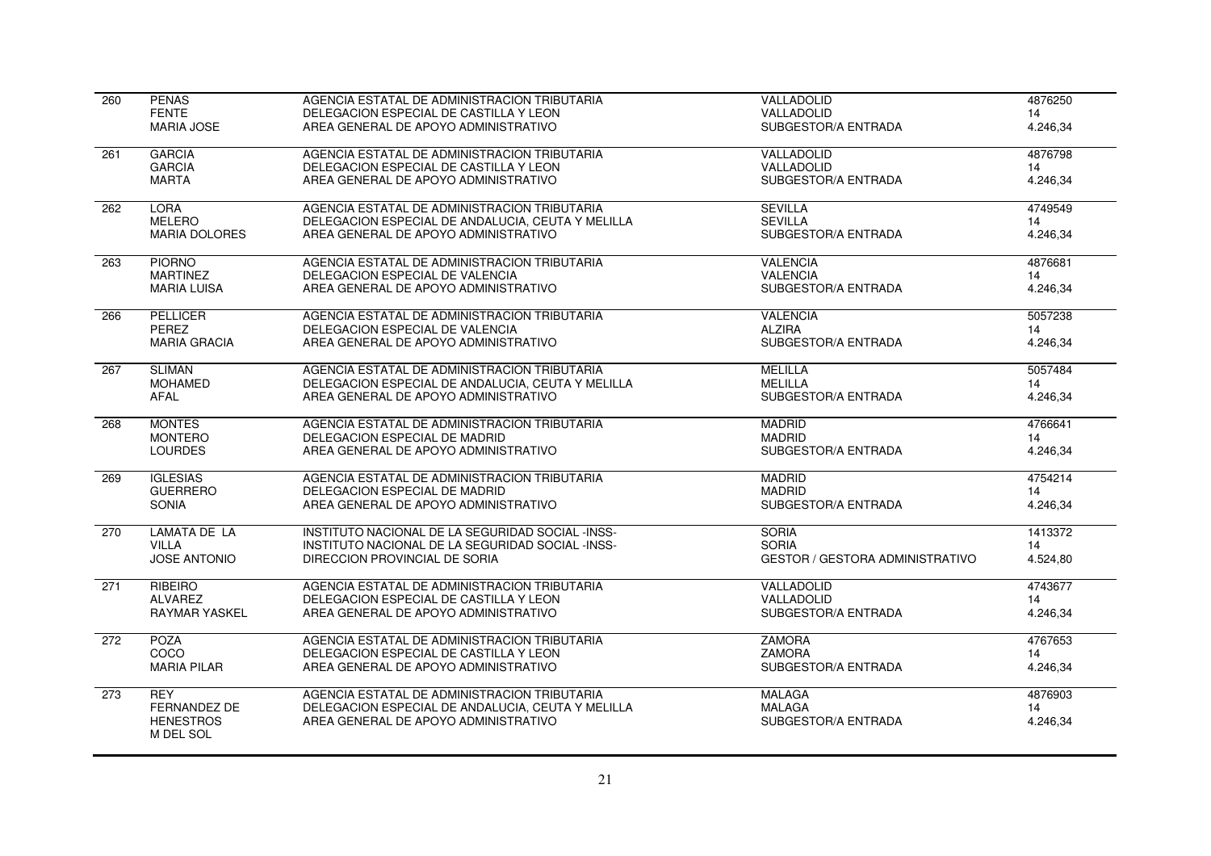| 260 | <b>PENAS</b>                  | AGENCIA ESTATAL DE ADMINISTRACION TRIBUTARIA      | VALLADOLID                             | 4876250  |
|-----|-------------------------------|---------------------------------------------------|----------------------------------------|----------|
|     | <b>FENTE</b>                  | DELEGACION ESPECIAL DE CASTILLA Y LEON            | VALLADOLID                             | 14       |
|     | <b>MARIA JOSE</b>             | AREA GENERAL DE APOYO ADMINISTRATIVO              | SUBGESTOR/A ENTRADA                    | 4.246,34 |
| 261 | <b>GARCIA</b>                 | AGENCIA ESTATAL DE ADMINISTRACION TRIBUTARIA      | VALLADOLID                             | 4876798  |
|     | <b>GARCIA</b>                 | DELEGACION ESPECIAL DE CASTILLA Y LEON            | VALLADOLID                             | 14       |
|     | <b>MARTA</b>                  | AREA GENERAL DE APOYO ADMINISTRATIVO              | SUBGESTOR/A ENTRADA                    | 4.246,34 |
| 262 | <b>LORA</b>                   | AGENCIA ESTATAL DE ADMINISTRACION TRIBUTARIA      | <b>SEVILLA</b>                         | 4749549  |
|     | <b>MELERO</b>                 | DELEGACION ESPECIAL DE ANDALUCIA, CEUTA Y MELILLA | <b>SEVILLA</b>                         | 14       |
|     | <b>MARIA DOLORES</b>          | AREA GENERAL DE APOYO ADMINISTRATIVO              | SUBGESTOR/A ENTRADA                    | 4.246,34 |
| 263 | <b>PIORNO</b>                 | AGENCIA ESTATAL DE ADMINISTRACION TRIBUTARIA      | <b>VALENCIA</b>                        | 4876681  |
|     | <b>MARTINEZ</b>               | DELEGACION ESPECIAL DE VALENCIA                   | <b>VALENCIA</b>                        | 14       |
|     | <b>MARIA LUISA</b>            | AREA GENERAL DE APOYO ADMINISTRATIVO              | SUBGESTOR/A ENTRADA                    | 4.246,34 |
| 266 | <b>PELLICER</b>               | AGENCIA ESTATAL DE ADMINISTRACION TRIBUTARIA      | <b>VALENCIA</b>                        | 5057238  |
|     | PEREZ                         | DELEGACION ESPECIAL DE VALENCIA                   | <b>ALZIRA</b>                          | 14       |
|     | <b>MARIA GRACIA</b>           | AREA GENERAL DE APOYO ADMINISTRATIVO              | SUBGESTOR/A ENTRADA                    | 4.246,34 |
| 267 | <b>SLIMAN</b>                 | AGENCIA ESTATAL DE ADMINISTRACION TRIBUTARIA      | <b>MELILLA</b>                         | 5057484  |
|     | <b>MOHAMED</b>                | DELEGACION ESPECIAL DE ANDALUCIA, CEUTA Y MELILLA | <b>MELILLA</b>                         | 14       |
|     | <b>AFAL</b>                   | AREA GENERAL DE APOYO ADMINISTRATIVO              | SUBGESTOR/A ENTRADA                    | 4.246,34 |
| 268 | <b>MONTES</b>                 | AGENCIA ESTATAL DE ADMINISTRACION TRIBUTARIA      | <b>MADRID</b>                          | 4766641  |
|     | <b>MONTERO</b>                | DELEGACION ESPECIAL DE MADRID                     | <b>MADRID</b>                          | 14       |
|     | <b>LOURDES</b>                | AREA GENERAL DE APOYO ADMINISTRATIVO              | SUBGESTOR/A ENTRADA                    | 4.246,34 |
| 269 | <b>IGLESIAS</b>               | AGENCIA ESTATAL DE ADMINISTRACION TRIBUTARIA      | <b>MADRID</b>                          | 4754214  |
|     | <b>GUERRERO</b>               | DELEGACION ESPECIAL DE MADRID                     | <b>MADRID</b>                          | 14       |
|     | SONIA                         | AREA GENERAL DE APOYO ADMINISTRATIVO              | SUBGESTOR/A ENTRADA                    | 4.246,34 |
| 270 | LAMATA DE LA                  | INSTITUTO NACIONAL DE LA SEGURIDAD SOCIAL -INSS-  | <b>SORIA</b>                           | 1413372  |
|     | <b>VILLA</b>                  | INSTITUTO NACIONAL DE LA SEGURIDAD SOCIAL -INSS-  | <b>SORIA</b>                           | 14       |
|     | <b>JOSE ANTONIO</b>           | DIRECCION PROVINCIAL DE SORIA                     | <b>GESTOR / GESTORA ADMINISTRATIVO</b> | 4.524,80 |
| 271 | <b>RIBEIRO</b>                | AGENCIA ESTATAL DE ADMINISTRACION TRIBUTARIA      | VALLADOLID                             | 4743677  |
|     | <b>ALVAREZ</b>                | DELEGACION ESPECIAL DE CASTILLA Y LEON            | VALLADOLID                             | 14       |
|     | <b>RAYMAR YASKEL</b>          | AREA GENERAL DE APOYO ADMINISTRATIVO              | SUBGESTOR/A ENTRADA                    | 4.246,34 |
| 272 | <b>POZA</b>                   | AGENCIA ESTATAL DE ADMINISTRACION TRIBUTARIA      | <b>ZAMORA</b>                          | 4767653  |
|     | COCO                          | DELEGACION ESPECIAL DE CASTILLA Y LEON            | <b>ZAMORA</b>                          | 14       |
|     | <b>MARIA PILAR</b>            | AREA GENERAL DE APOYO ADMINISTRATIVO              | SUBGESTOR/A ENTRADA                    | 4.246.34 |
| 273 | <b>REY</b>                    | AGENCIA ESTATAL DE ADMINISTRACION TRIBUTARIA      | <b>MALAGA</b>                          | 4876903  |
|     | <b>FERNANDEZ DE</b>           | DELEGACION ESPECIAL DE ANDALUCIA, CEUTA Y MELILLA | <b>MALAGA</b>                          | 14       |
|     | <b>HENESTROS</b><br>M DEL SOL | AREA GENERAL DE APOYO ADMINISTRATIVO              | SUBGESTOR/A ENTRADA                    | 4.246,34 |
|     |                               |                                                   |                                        |          |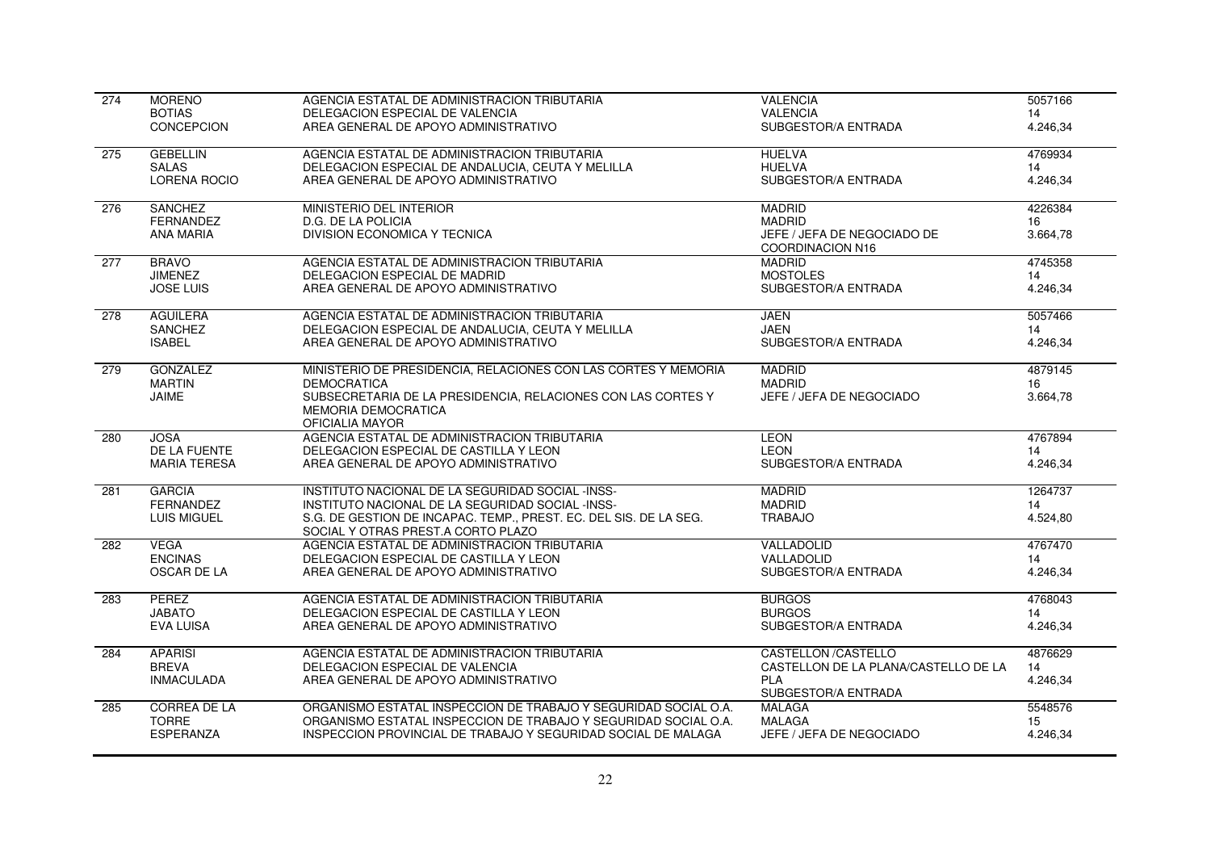| <b>BOTIAS</b><br>DELEGACION ESPECIAL DE VALENCIA<br><b>VALENCIA</b><br>14<br>AREA GENERAL DE APOYO ADMINISTRATIVO<br>SUBGESTOR/A ENTRADA<br>CONCEPCION<br>4.246,34<br><b>HUELVA</b><br><b>GEBELLIN</b><br>AGENCIA ESTATAL DE ADMINISTRACION TRIBUTARIA<br>4769934<br>275<br><b>HUELVA</b><br><b>SALAS</b><br>DELEGACION ESPECIAL DE ANDALUCIA, CEUTA Y MELILLA<br>14<br><b>LORENA ROCIO</b><br>AREA GENERAL DE APOYO ADMINISTRATIVO<br>SUBGESTOR/A ENTRADA<br>4.246,34<br><b>SANCHEZ</b><br><b>MADRID</b><br>4226384<br>276<br>MINISTERIO DEL INTERIOR<br><b>FERNANDEZ</b><br><b>MADRID</b><br>D.G. DE LA POLICIA<br>16<br>DIVISION ECONOMICA Y TECNICA<br>3.664,78<br><b>ANA MARIA</b><br>JEFE / JEFA DE NEGOCIADO DE |
|------------------------------------------------------------------------------------------------------------------------------------------------------------------------------------------------------------------------------------------------------------------------------------------------------------------------------------------------------------------------------------------------------------------------------------------------------------------------------------------------------------------------------------------------------------------------------------------------------------------------------------------------------------------------------------------------------------------------|
|                                                                                                                                                                                                                                                                                                                                                                                                                                                                                                                                                                                                                                                                                                                        |
|                                                                                                                                                                                                                                                                                                                                                                                                                                                                                                                                                                                                                                                                                                                        |
|                                                                                                                                                                                                                                                                                                                                                                                                                                                                                                                                                                                                                                                                                                                        |
|                                                                                                                                                                                                                                                                                                                                                                                                                                                                                                                                                                                                                                                                                                                        |
|                                                                                                                                                                                                                                                                                                                                                                                                                                                                                                                                                                                                                                                                                                                        |
|                                                                                                                                                                                                                                                                                                                                                                                                                                                                                                                                                                                                                                                                                                                        |
|                                                                                                                                                                                                                                                                                                                                                                                                                                                                                                                                                                                                                                                                                                                        |
| COORDINACION N16                                                                                                                                                                                                                                                                                                                                                                                                                                                                                                                                                                                                                                                                                                       |
| 4745358<br><b>BRAVO</b><br>AGENCIA ESTATAL DE ADMINISTRACION TRIBUTARIA<br><b>MADRID</b><br>277                                                                                                                                                                                                                                                                                                                                                                                                                                                                                                                                                                                                                        |
| <b>JIMENEZ</b><br>DELEGACION ESPECIAL DE MADRID<br><b>MOSTOLES</b><br>14                                                                                                                                                                                                                                                                                                                                                                                                                                                                                                                                                                                                                                               |
| <b>JOSE LUIS</b><br>AREA GENERAL DE APOYO ADMINISTRATIVO<br>SUBGESTOR/A ENTRADA<br>4.246,34                                                                                                                                                                                                                                                                                                                                                                                                                                                                                                                                                                                                                            |
| <b>AGUILERA</b><br>5057466<br>278<br>AGENCIA ESTATAL DE ADMINISTRACION TRIBUTARIA<br><b>JAEN</b>                                                                                                                                                                                                                                                                                                                                                                                                                                                                                                                                                                                                                       |
| <b>SANCHEZ</b><br>DELEGACION ESPECIAL DE ANDALUCIA, CEUTA Y MELILLA<br><b>JAEN</b><br>14                                                                                                                                                                                                                                                                                                                                                                                                                                                                                                                                                                                                                               |
| SUBGESTOR/A ENTRADA<br>4.246,34<br><b>ISABEL</b><br>AREA GENERAL DE APOYO ADMINISTRATIVO                                                                                                                                                                                                                                                                                                                                                                                                                                                                                                                                                                                                                               |
| <b>GONZALEZ</b><br>MINISTERIO DE PRESIDENCIA, RELACIONES CON LAS CORTES Y MEMORIA<br><b>MADRID</b><br>4879145<br>279                                                                                                                                                                                                                                                                                                                                                                                                                                                                                                                                                                                                   |
| <b>MARTIN</b><br><b>MADRID</b><br><b>DEMOCRATICA</b><br>16                                                                                                                                                                                                                                                                                                                                                                                                                                                                                                                                                                                                                                                             |
| SUBSECRETARIA DE LA PRESIDENCIA, RELACIONES CON LAS CORTES Y<br>JAIME<br>JEFE / JEFA DE NEGOCIADO<br>3.664,78<br><b>MEMORIA DEMOCRATICA</b>                                                                                                                                                                                                                                                                                                                                                                                                                                                                                                                                                                            |
| OFICIALIA MAYOR                                                                                                                                                                                                                                                                                                                                                                                                                                                                                                                                                                                                                                                                                                        |
| 4767894<br>AGENCIA ESTATAL DE ADMINISTRACION TRIBUTARIA<br><b>LEON</b><br>280<br><b>JOSA</b>                                                                                                                                                                                                                                                                                                                                                                                                                                                                                                                                                                                                                           |
| DE LA FUENTE<br>DELEGACION ESPECIAL DE CASTILLA Y LEON<br><b>LEON</b><br>14                                                                                                                                                                                                                                                                                                                                                                                                                                                                                                                                                                                                                                            |
| <b>MARIA TERESA</b><br>AREA GENERAL DE APOYO ADMINISTRATIVO<br>SUBGESTOR/A ENTRADA<br>4.246,34                                                                                                                                                                                                                                                                                                                                                                                                                                                                                                                                                                                                                         |
| <b>GARCIA</b><br>INSTITUTO NACIONAL DE LA SEGURIDAD SOCIAL -INSS-<br><b>MADRID</b><br>1264737<br>281                                                                                                                                                                                                                                                                                                                                                                                                                                                                                                                                                                                                                   |
| <b>MADRID</b><br><b>FERNANDEZ</b><br>INSTITUTO NACIONAL DE LA SEGURIDAD SOCIAL -INSS-<br>14                                                                                                                                                                                                                                                                                                                                                                                                                                                                                                                                                                                                                            |
| <b>LUIS MIGUEL</b><br>S.G. DE GESTION DE INCAPAC. TEMP., PREST. EC. DEL SIS. DE LA SEG.<br>4.524,80<br><b>TRABAJO</b><br>SOCIAL Y OTRAS PREST.A CORTO PLAZO                                                                                                                                                                                                                                                                                                                                                                                                                                                                                                                                                            |
| 4767470<br><b>VEGA</b><br>AGENCIA ESTATAL DE ADMINISTRACION TRIBUTARIA<br>VALLADOLID<br>282                                                                                                                                                                                                                                                                                                                                                                                                                                                                                                                                                                                                                            |
| <b>ENCINAS</b><br>DELEGACION ESPECIAL DE CASTILLA Y LEON<br>VALLADOLID<br>14                                                                                                                                                                                                                                                                                                                                                                                                                                                                                                                                                                                                                                           |
| OSCAR DE LA<br>AREA GENERAL DE APOYO ADMINISTRATIVO<br>SUBGESTOR/A ENTRADA<br>4.246,34                                                                                                                                                                                                                                                                                                                                                                                                                                                                                                                                                                                                                                 |
| PEREZ<br>AGENCIA ESTATAL DE ADMINISTRACION TRIBUTARIA<br><b>BURGOS</b><br>4768043<br>283                                                                                                                                                                                                                                                                                                                                                                                                                                                                                                                                                                                                                               |
| <b>JABATO</b><br><b>BURGOS</b><br>DELEGACION ESPECIAL DE CASTILLA Y LEON<br>14                                                                                                                                                                                                                                                                                                                                                                                                                                                                                                                                                                                                                                         |
| <b>EVA LUISA</b><br>AREA GENERAL DE APOYO ADMINISTRATIVO<br>SUBGESTOR/A ENTRADA<br>4.246,34                                                                                                                                                                                                                                                                                                                                                                                                                                                                                                                                                                                                                            |
| <b>APARISI</b><br>AGENCIA ESTATAL DE ADMINISTRACION TRIBUTARIA<br>CASTELLON /CASTELLO<br>4876629<br>284                                                                                                                                                                                                                                                                                                                                                                                                                                                                                                                                                                                                                |
| <b>BREVA</b><br>CASTELLON DE LA PLANA/CASTELLO DE LA<br>DELEGACION ESPECIAL DE VALENCIA<br>14                                                                                                                                                                                                                                                                                                                                                                                                                                                                                                                                                                                                                          |
| AREA GENERAL DE APOYO ADMINISTRATIVO<br><b>PLA</b><br>4.246,34<br><b>INMACULADA</b><br>SUBGESTOR/A ENTRADA                                                                                                                                                                                                                                                                                                                                                                                                                                                                                                                                                                                                             |
| <b>CORREA DE LA</b><br>ORGANISMO ESTATAL INSPECCION DE TRABAJO Y SEGURIDAD SOCIAL O.A.<br>5548576<br>MALAGA<br>285                                                                                                                                                                                                                                                                                                                                                                                                                                                                                                                                                                                                     |
| <b>TORRE</b><br>ORGANISMO ESTATAL INSPECCION DE TRABAJO Y SEGURIDAD SOCIAL O.A.<br><b>MALAGA</b><br>15                                                                                                                                                                                                                                                                                                                                                                                                                                                                                                                                                                                                                 |
| <b>ESPERANZA</b><br>INSPECCION PROVINCIAL DE TRABAJO Y SEGURIDAD SOCIAL DE MALAGA<br>JEFE / JEFA DE NEGOCIADO<br>4.246,34                                                                                                                                                                                                                                                                                                                                                                                                                                                                                                                                                                                              |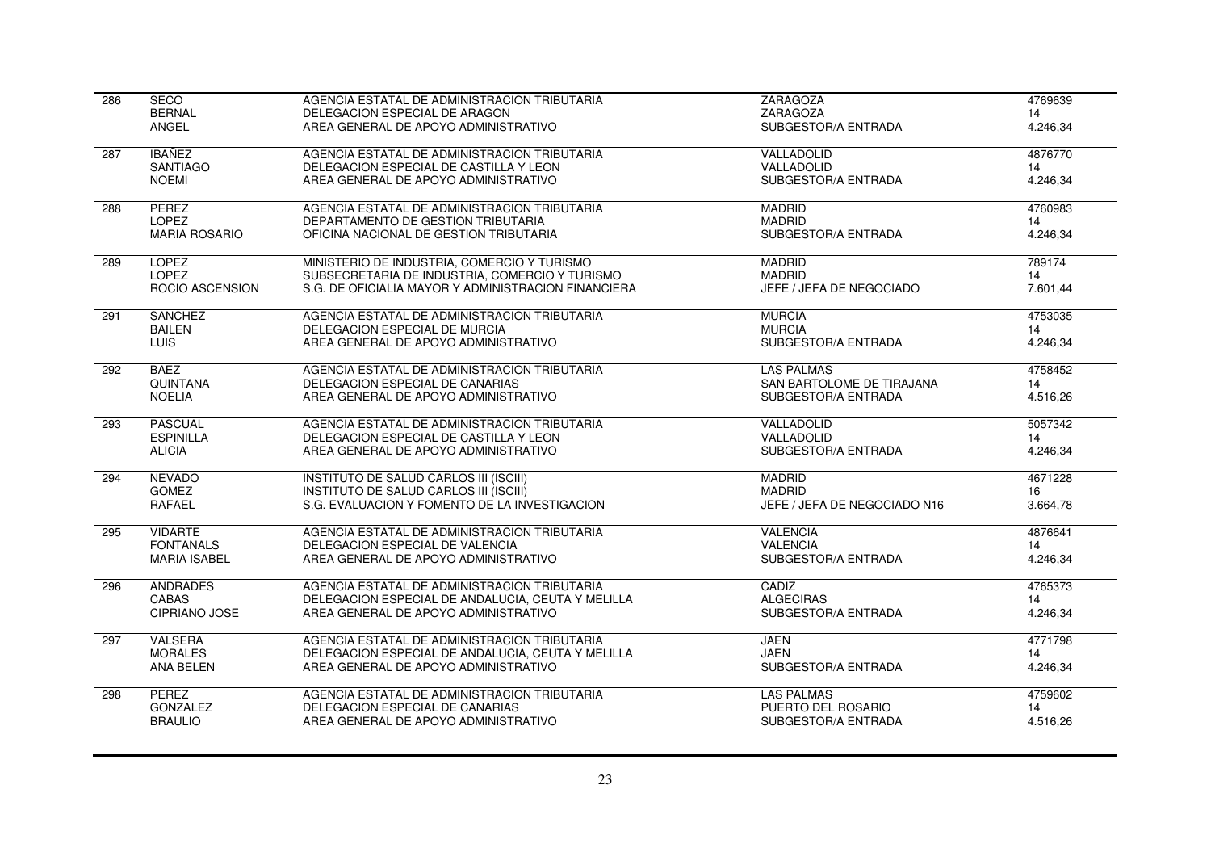| 286 | <b>SECO</b>            | AGENCIA ESTATAL DE ADMINISTRACION TRIBUTARIA        | <b>ZARAGOZA</b>              | 4769639  |
|-----|------------------------|-----------------------------------------------------|------------------------------|----------|
|     | <b>BERNAL</b>          | DELEGACION ESPECIAL DE ARAGON                       | ZARAGOZA                     | 14       |
|     | ANGEL                  | AREA GENERAL DE APOYO ADMINISTRATIVO                | SUBGESTOR/A ENTRADA          | 4.246,34 |
| 287 | <b>IBAÑEZ</b>          | AGENCIA ESTATAL DE ADMINISTRACION TRIBUTARIA        | VALLADOLID                   | 4876770  |
|     | <b>SANTIAGO</b>        | DELEGACION ESPECIAL DE CASTILLA Y LEON              | VALLADOLID                   | 14       |
|     | <b>NOEMI</b>           | AREA GENERAL DE APOYO ADMINISTRATIVO                | SUBGESTOR/A ENTRADA          | 4.246.34 |
| 288 | <b>PEREZ</b>           | AGENCIA ESTATAL DE ADMINISTRACION TRIBUTARIA        | <b>MADRID</b>                | 4760983  |
|     | <b>LOPEZ</b>           | DEPARTAMENTO DE GESTION TRIBUTARIA                  | <b>MADRID</b>                | 14       |
|     | <b>MARIA ROSARIO</b>   | OFICINA NACIONAL DE GESTION TRIBUTARIA              | SUBGESTOR/A ENTRADA          | 4.246,34 |
| 289 | <b>LOPEZ</b>           | MINISTERIO DE INDUSTRIA, COMERCIO Y TURISMO         | <b>MADRID</b>                | 789174   |
|     | <b>LOPEZ</b>           | SUBSECRETARIA DE INDUSTRIA, COMERCIO Y TURISMO      | <b>MADRID</b>                | 14       |
|     | <b>ROCIO ASCENSION</b> | S.G. DE OFICIALIA MAYOR Y ADMINISTRACION FINANCIERA | JEFE / JEFA DE NEGOCIADO     | 7.601,44 |
| 291 | <b>SANCHEZ</b>         | AGENCIA ESTATAL DE ADMINISTRACION TRIBUTARIA        | <b>MURCIA</b>                | 4753035  |
|     | <b>BAILEN</b>          | DELEGACION ESPECIAL DE MURCIA                       | <b>MURCIA</b>                | 14       |
|     | <b>LUIS</b>            | AREA GENERAL DE APOYO ADMINISTRATIVO                | SUBGESTOR/A ENTRADA          | 4.246,34 |
| 292 | <b>BAEZ</b>            | AGENCIA ESTATAL DE ADMINISTRACION TRIBUTARIA        | <b>LAS PALMAS</b>            | 4758452  |
|     | <b>QUINTANA</b>        | DELEGACION ESPECIAL DE CANARIAS                     | SAN BARTOLOME DE TIRAJANA    | 14       |
|     | <b>NOELIA</b>          | AREA GENERAL DE APOYO ADMINISTRATIVO                | SUBGESTOR/A ENTRADA          | 4.516,26 |
| 293 | <b>PASCUAL</b>         | AGENCIA ESTATAL DE ADMINISTRACION TRIBUTARIA        | VALLADOLID                   | 5057342  |
|     | <b>ESPINILLA</b>       | DELEGACION ESPECIAL DE CASTILLA Y LEON              | VALLADOLID                   | 14       |
|     | <b>ALICIA</b>          | AREA GENERAL DE APOYO ADMINISTRATIVO                | SUBGESTOR/A ENTRADA          | 4.246,34 |
| 294 | <b>NEVADO</b>          | INSTITUTO DE SALUD CARLOS III (ISCIII)              | <b>MADRID</b>                | 4671228  |
|     | <b>GOMEZ</b>           | INSTITUTO DE SALUD CARLOS III (ISCIII)              | <b>MADRID</b>                | 16       |
|     | <b>RAFAEL</b>          | S.G. EVALUACION Y FOMENTO DE LA INVESTIGACION       | JEFE / JEFA DE NEGOCIADO N16 | 3.664,78 |
| 295 | <b>VIDARTE</b>         | AGENCIA ESTATAL DE ADMINISTRACION TRIBUTARIA        | <b>VALENCIA</b>              | 4876641  |
|     | <b>FONTANALS</b>       | DELEGACION ESPECIAL DE VALENCIA                     | <b>VALENCIA</b>              | 14       |
|     | <b>MARIA ISABEL</b>    | AREA GENERAL DE APOYO ADMINISTRATIVO                | SUBGESTOR/A ENTRADA          | 4.246,34 |
| 296 | <b>ANDRADES</b>        | AGENCIA ESTATAL DE ADMINISTRACION TRIBUTARIA        | CADIZ                        | 4765373  |
|     | <b>CABAS</b>           | DELEGACION ESPECIAL DE ANDALUCIA, CEUTA Y MELILLA   | <b>ALGECIRAS</b>             | 14       |
|     | CIPRIANO JOSE          | AREA GENERAL DE APOYO ADMINISTRATIVO                | SUBGESTOR/A ENTRADA          | 4.246,34 |
| 297 | <b>VALSERA</b>         | AGENCIA ESTATAL DE ADMINISTRACION TRIBUTARIA        | <b>JAEN</b>                  | 4771798  |
|     | <b>MORALES</b>         | DELEGACION ESPECIAL DE ANDALUCIA, CEUTA Y MELILLA   | <b>JAEN</b>                  | 14       |
|     | ANA BELEN              | AREA GENERAL DE APOYO ADMINISTRATIVO                | SUBGESTOR/A ENTRADA          | 4.246,34 |
| 298 | <b>PEREZ</b>           | AGENCIA ESTATAL DE ADMINISTRACION TRIBUTARIA        | <b>LAS PALMAS</b>            | 4759602  |
|     | <b>GONZALEZ</b>        | DELEGACION ESPECIAL DE CANARIAS                     | PUERTO DEL ROSARIO           | 14       |
|     | <b>BRAULIO</b>         | AREA GENERAL DE APOYO ADMINISTRATIVO                | SUBGESTOR/A ENTRADA          | 4.516,26 |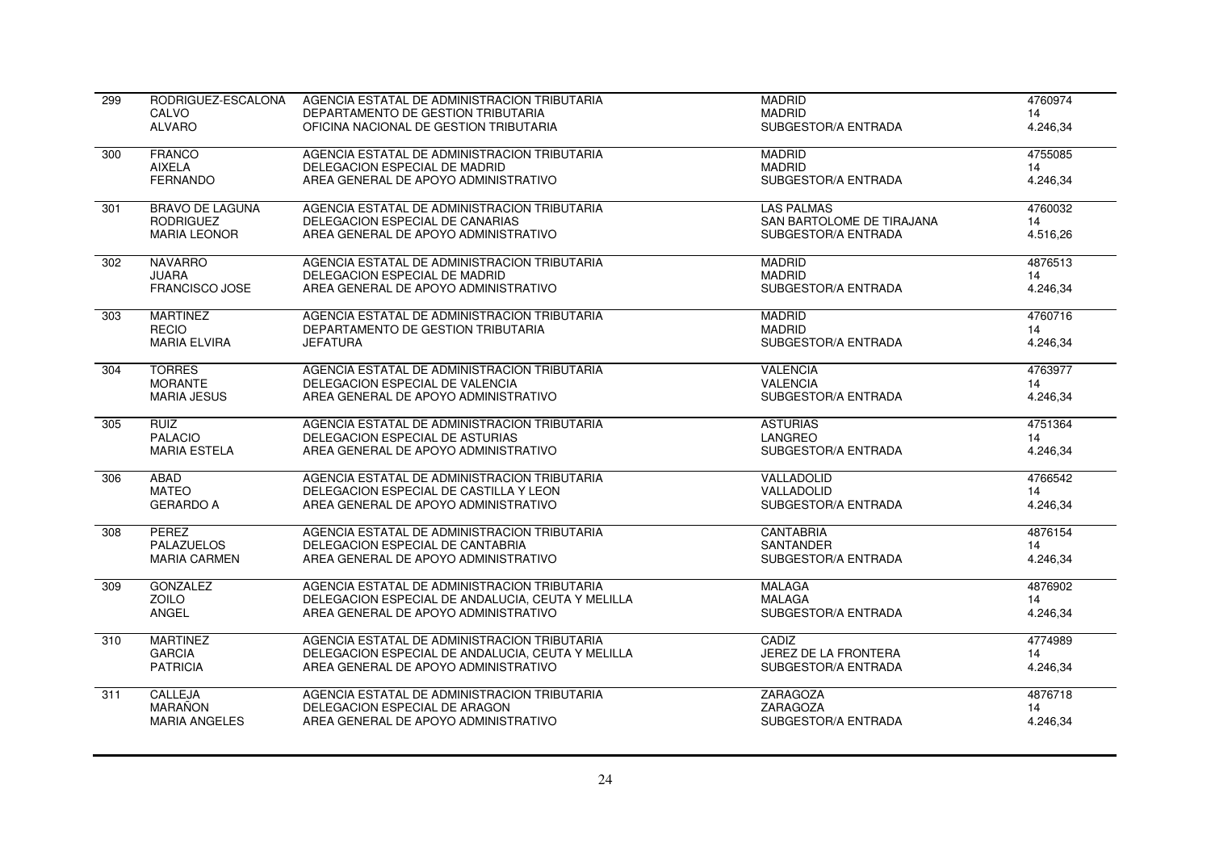| 299 | RODRIGUEZ-ESCALONA     | AGENCIA ESTATAL DE ADMINISTRACION TRIBUTARIA      | <b>MADRID</b>               | 4760974  |
|-----|------------------------|---------------------------------------------------|-----------------------------|----------|
|     | CALVO                  | DEPARTAMENTO DE GESTION TRIBUTARIA                | <b>MADRID</b>               | 14       |
|     | <b>ALVARO</b>          | OFICINA NACIONAL DE GESTION TRIBUTARIA            | SUBGESTOR/A ENTRADA         | 4.246,34 |
| 300 | <b>FRANCO</b>          | AGENCIA ESTATAL DE ADMINISTRACION TRIBUTARIA      | <b>MADRID</b>               | 4755085  |
|     | AIXELA                 | DELEGACION ESPECIAL DE MADRID                     | <b>MADRID</b>               | 14       |
|     | <b>FERNANDO</b>        | AREA GENERAL DE APOYO ADMINISTRATIVO              | SUBGESTOR/A ENTRADA         | 4.246,34 |
| 301 | <b>BRAVO DE LAGUNA</b> | AGENCIA ESTATAL DE ADMINISTRACION TRIBUTARIA      | <b>LAS PALMAS</b>           | 4760032  |
|     | <b>RODRIGUEZ</b>       | DELEGACION ESPECIAL DE CANARIAS                   | SAN BARTOLOME DE TIRAJANA   | 14       |
|     | <b>MARIA LEONOR</b>    | AREA GENERAL DE APOYO ADMINISTRATIVO              | SUBGESTOR/A ENTRADA         | 4.516,26 |
| 302 | <b>NAVARRO</b>         | AGENCIA ESTATAL DE ADMINISTRACION TRIBUTARIA      | <b>MADRID</b>               | 4876513  |
|     | <b>JUARA</b>           | DELEGACION ESPECIAL DE MADRID                     | <b>MADRID</b>               | 14       |
|     | FRANCISCO JOSE         | AREA GENERAL DE APOYO ADMINISTRATIVO              | SUBGESTOR/A ENTRADA         | 4.246,34 |
| 303 | <b>MARTINEZ</b>        | AGENCIA ESTATAL DE ADMINISTRACION TRIBUTARIA      | <b>MADRID</b>               | 4760716  |
|     | <b>RECIO</b>           | DEPARTAMENTO DE GESTION TRIBUTARIA                | <b>MADRID</b>               | 14       |
|     | <b>MARIA ELVIRA</b>    | <b>JEFATURA</b>                                   | SUBGESTOR/A ENTRADA         | 4.246,34 |
| 304 | <b>TORRES</b>          | AGENCIA ESTATAL DE ADMINISTRACION TRIBUTARIA      | <b>VALENCIA</b>             | 4763977  |
|     | <b>MORANTE</b>         | DELEGACION ESPECIAL DE VALENCIA                   | <b>VALENCIA</b>             | 14       |
|     | <b>MARIA JESUS</b>     | AREA GENERAL DE APOYO ADMINISTRATIVO              | SUBGESTOR/A ENTRADA         | 4.246,34 |
| 305 | <b>RUIZ</b>            | AGENCIA ESTATAL DE ADMINISTRACION TRIBUTARIA      | <b>ASTURIAS</b>             | 4751364  |
|     | <b>PALACIO</b>         | DELEGACION ESPECIAL DE ASTURIAS                   | <b>LANGREO</b>              | 14       |
|     | <b>MARIA ESTELA</b>    | AREA GENERAL DE APOYO ADMINISTRATIVO              | SUBGESTOR/A ENTRADA         | 4.246,34 |
| 306 | ABAD                   | AGENCIA ESTATAL DE ADMINISTRACION TRIBUTARIA      | VALLADOLID                  | 4766542  |
|     | <b>MATEO</b>           | DELEGACION ESPECIAL DE CASTILLA Y LEON            | VALLADOLID                  | 14       |
|     | <b>GERARDO A</b>       | AREA GENERAL DE APOYO ADMINISTRATIVO              | SUBGESTOR/A ENTRADA         | 4.246,34 |
| 308 | PEREZ                  | AGENCIA ESTATAL DE ADMINISTRACION TRIBUTARIA      | <b>CANTABRIA</b>            | 4876154  |
|     | <b>PALAZUELOS</b>      | DELEGACION ESPECIAL DE CANTABRIA                  | <b>SANTANDER</b>            | 14       |
|     | <b>MARIA CARMEN</b>    | AREA GENERAL DE APOYO ADMINISTRATIVO              | SUBGESTOR/A ENTRADA         | 4.246,34 |
| 309 | <b>GONZALEZ</b>        | AGENCIA ESTATAL DE ADMINISTRACION TRIBUTARIA      | <b>MALAGA</b>               | 4876902  |
|     | <b>ZOILO</b>           | DELEGACION ESPECIAL DE ANDALUCIA, CEUTA Y MELILLA | <b>MALAGA</b>               | 14       |
|     | ANGEL                  | AREA GENERAL DE APOYO ADMINISTRATIVO              | SUBGESTOR/A ENTRADA         | 4.246,34 |
| 310 | <b>MARTINEZ</b>        | AGENCIA ESTATAL DE ADMINISTRACION TRIBUTARIA      | CADIZ                       | 4774989  |
|     | <b>GARCIA</b>          | DELEGACION ESPECIAL DE ANDALUCIA, CEUTA Y MELILLA | <b>JEREZ DE LA FRONTERA</b> | 14       |
|     | <b>PATRICIA</b>        | AREA GENERAL DE APOYO ADMINISTRATIVO              | SUBGESTOR/A ENTRADA         | 4.246,34 |
| 311 | CALLEJA                | AGENCIA ESTATAL DE ADMINISTRACION TRIBUTARIA      | <b>ZARAGOZA</b>             | 4876718  |
|     | MARAÑON                | DELEGACION ESPECIAL DE ARAGON                     | ZARAGOZA                    | 14       |
|     | <b>MARIA ANGELES</b>   | AREA GENERAL DE APOYO ADMINISTRATIVO              | SUBGESTOR/A ENTRADA         | 4.246,34 |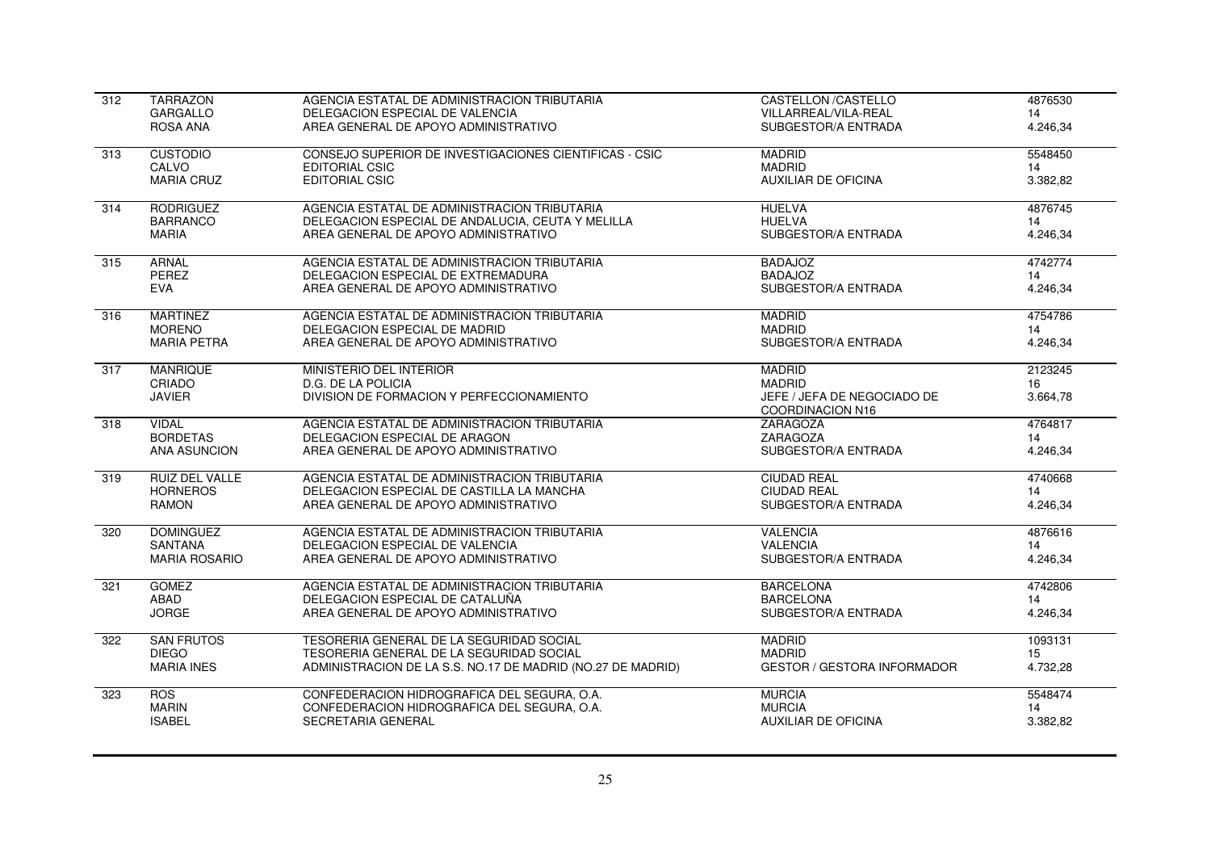| 312              | <b>TARRAZON</b>       | AGENCIA ESTATAL DE ADMINISTRACION TRIBUTARIA                | <b>CASTELLON /CASTELLO</b>                             | 4876530  |
|------------------|-----------------------|-------------------------------------------------------------|--------------------------------------------------------|----------|
|                  | <b>GARGALLO</b>       | DELEGACION ESPECIAL DE VALENCIA                             | VILLARREAL/VILA-REAL                                   | 14       |
|                  | ROSA ANA              | AREA GENERAL DE APOYO ADMINISTRATIVO                        | SUBGESTOR/A ENTRADA                                    | 4.246,34 |
| 313              | <b>CUSTODIO</b>       | CONSEJO SUPERIOR DE INVESTIGACIONES CIENTIFICAS - CSIC      | <b>MADRID</b>                                          | 5548450  |
|                  | CALVO                 | <b>EDITORIAL CSIC</b>                                       | <b>MADRID</b>                                          | 14       |
|                  | <b>MARIA CRUZ</b>     | <b>EDITORIAL CSIC</b>                                       | <b>AUXILIAR DE OFICINA</b>                             | 3.382,82 |
| $\overline{314}$ | <b>RODRIGUEZ</b>      | AGENCIA ESTATAL DE ADMINISTRACION TRIBUTARIA                | <b>HUELVA</b>                                          | 4876745  |
|                  | <b>BARRANCO</b>       | DELEGACION ESPECIAL DE ANDALUCIA, CEUTA Y MELILLA           | <b>HUELVA</b>                                          | 14       |
|                  | <b>MARIA</b>          | AREA GENERAL DE APOYO ADMINISTRATIVO                        | SUBGESTOR/A ENTRADA                                    | 4.246,34 |
| 315              | <b>ARNAL</b>          | AGENCIA ESTATAL DE ADMINISTRACION TRIBUTARIA                | <b>BADAJOZ</b>                                         | 4742774  |
|                  | PEREZ                 | DELEGACION ESPECIAL DE EXTREMADURA                          | <b>BADAJOZ</b>                                         | 14       |
|                  | <b>EVA</b>            | AREA GENERAL DE APOYO ADMINISTRATIVO                        | SUBGESTOR/A ENTRADA                                    | 4.246,34 |
| 316              | <b>MARTINEZ</b>       | AGENCIA ESTATAL DE ADMINISTRACION TRIBUTARIA                | <b>MADRID</b>                                          | 4754786  |
|                  | <b>MORENO</b>         | DELEGACION ESPECIAL DE MADRID                               | <b>MADRID</b>                                          | 14       |
|                  | <b>MARIA PETRA</b>    | AREA GENERAL DE APOYO ADMINISTRATIVO                        | SUBGESTOR/A ENTRADA                                    | 4.246,34 |
| 317              | <b>MANRIQUE</b>       | MINISTERIO DEL INTERIOR                                     | <b>MADRID</b>                                          | 2123245  |
|                  | CRIADO                | D.G. DE LA POLICIA                                          | <b>MADRID</b>                                          | 16       |
|                  | <b>JAVIER</b>         | DIVISION DE FORMACION Y PERFECCIONAMIENTO                   | JEFE / JEFA DE NEGOCIADO DE<br><b>COORDINACION N16</b> | 3.664,78 |
| 318              | <b>VIDAL</b>          | AGENCIA ESTATAL DE ADMINISTRACION TRIBUTARIA                | ZARAGOZA                                               | 4764817  |
|                  | <b>BORDETAS</b>       | DELEGACION ESPECIAL DE ARAGON                               | ZARAGOZA                                               | 14       |
|                  | <b>ANA ASUNCION</b>   | AREA GENERAL DE APOYO ADMINISTRATIVO                        | SUBGESTOR/A ENTRADA                                    | 4.246,34 |
| 319              | <b>RUIZ DEL VALLE</b> | AGENCIA ESTATAL DE ADMINISTRACION TRIBUTARIA                | <b>CIUDAD REAL</b>                                     | 4740668  |
|                  | <b>HORNEROS</b>       | DELEGACION ESPECIAL DE CASTILLA LA MANCHA                   | <b>CIUDAD REAL</b>                                     | 14       |
|                  | <b>RAMON</b>          | AREA GENERAL DE APOYO ADMINISTRATIVO                        | SUBGESTOR/A ENTRADA                                    | 4.246,34 |
| 320              | <b>DOMINGUEZ</b>      | AGENCIA ESTATAL DE ADMINISTRACION TRIBUTARIA                | <b>VALENCIA</b>                                        | 4876616  |
|                  | <b>SANTANA</b>        | DELEGACION ESPECIAL DE VALENCIA                             | <b>VALENCIA</b>                                        | 14       |
|                  | <b>MARIA ROSARIO</b>  | AREA GENERAL DE APOYO ADMINISTRATIVO                        | SUBGESTOR/A ENTRADA                                    | 4.246,34 |
| 321              | <b>GOMEZ</b>          | AGENCIA ESTATAL DE ADMINISTRACION TRIBUTARIA                | <b>BARCELONA</b>                                       | 4742806  |
|                  | ABAD                  | DELEGACION ESPECIAL DE CATALUÑA                             | <b>BARCELONA</b>                                       | 14       |
|                  | <b>JORGE</b>          | AREA GENERAL DE APOYO ADMINISTRATIVO                        | SUBGESTOR/A ENTRADA                                    | 4.246,34 |
| 322              | <b>SAN FRUTOS</b>     | TESORERIA GENERAL DE LA SEGURIDAD SOCIAL                    | <b>MADRID</b>                                          | 1093131  |
|                  | <b>DIEGO</b>          | TESORERIA GENERAL DE LA SEGURIDAD SOCIAL                    | <b>MADRID</b>                                          | 15       |
|                  | <b>MARIA INES</b>     | ADMINISTRACION DE LA S.S. NO.17 DE MADRID (NO.27 DE MADRID) | <b>GESTOR / GESTORA INFORMADOR</b>                     | 4.732,28 |
| 323              | <b>ROS</b>            | CONFEDERACION HIDROGRAFICA DEL SEGURA, O.A.                 | <b>MURCIA</b>                                          | 5548474  |
|                  | <b>MARIN</b>          | CONFEDERACION HIDROGRAFICA DEL SEGURA, O.A.                 | <b>MURCIA</b>                                          | 14       |
|                  | <b>ISABEL</b>         | SECRETARIA GENERAL                                          | <b>AUXILIAR DE OFICINA</b>                             | 3.382,82 |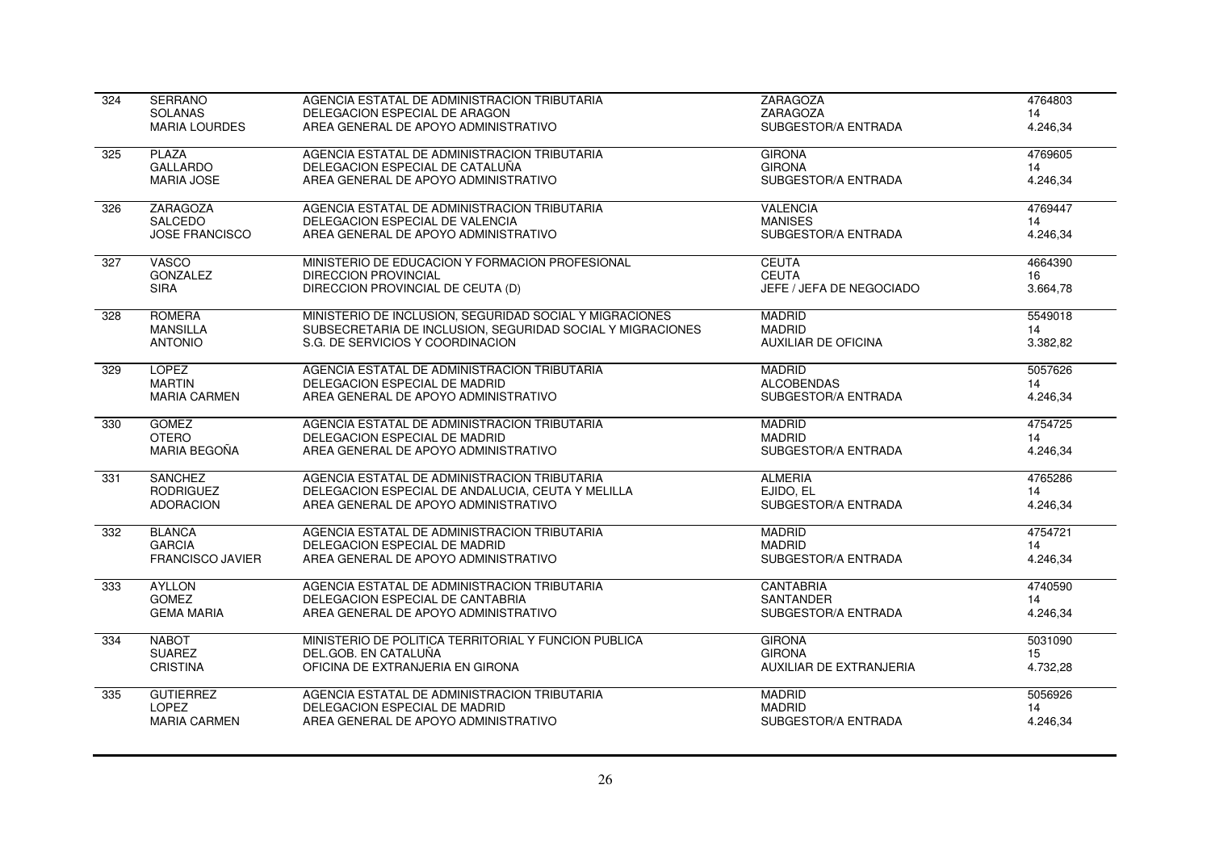| 324              | <b>SERRANO</b>          | AGENCIA ESTATAL DE ADMINISTRACION TRIBUTARIA               | <b>ZARAGOZA</b>            | 4764803  |
|------------------|-------------------------|------------------------------------------------------------|----------------------------|----------|
|                  | <b>SOLANAS</b>          | DELEGACION ESPECIAL DE ARAGON                              | ZARAGOZA                   | 14       |
|                  | <b>MARIA LOURDES</b>    | AREA GENERAL DE APOYO ADMINISTRATIVO                       | SUBGESTOR/A ENTRADA        | 4.246,34 |
| 325              | <b>PLAZA</b>            | AGENCIA ESTATAL DE ADMINISTRACION TRIBUTARIA               | <b>GIRONA</b>              | 4769605  |
|                  | <b>GALLARDO</b>         | DELEGACION ESPECIAL DE CATALUÑA                            | <b>GIRONA</b>              | 14       |
|                  | <b>MARIA JOSE</b>       | AREA GENERAL DE APOYO ADMINISTRATIVO                       | SUBGESTOR/A ENTRADA        | 4.246,34 |
| $\overline{326}$ | <b>ZARAGOZA</b>         | AGENCIA ESTATAL DE ADMINISTRACION TRIBUTARIA               | <b>VALENCIA</b>            | 4769447  |
|                  | <b>SALCEDO</b>          | DELEGACION ESPECIAL DE VALENCIA                            | <b>MANISES</b>             | 14       |
|                  | <b>JOSE FRANCISCO</b>   | AREA GENERAL DE APOYO ADMINISTRATIVO                       | SUBGESTOR/A ENTRADA        | 4.246,34 |
| 327              | <b>VASCO</b>            | MINISTERIO DE EDUCACION Y FORMACION PROFESIONAL            | <b>CEUTA</b>               | 4664390  |
|                  | <b>GONZALEZ</b>         | <b>DIRECCION PROVINCIAL</b>                                | <b>CEUTA</b>               | 16       |
|                  | <b>SIRA</b>             | DIRECCION PROVINCIAL DE CEUTA (D)                          | JEFE / JEFA DE NEGOCIADO   | 3.664,78 |
| $\overline{328}$ | <b>ROMERA</b>           | MINISTERIO DE INCLUSION, SEGURIDAD SOCIAL Y MIGRACIONES    | <b>MADRID</b>              | 5549018  |
|                  | <b>MANSILLA</b>         | SUBSECRETARIA DE INCLUSION, SEGURIDAD SOCIAL Y MIGRACIONES | <b>MADRID</b>              | 14       |
|                  | <b>ANTONIO</b>          | S.G. DE SERVICIOS Y COORDINACION                           | <b>AUXILIAR DE OFICINA</b> | 3.382,82 |
| 329              | <b>LOPEZ</b>            | AGENCIA ESTATAL DE ADMINISTRACION TRIBUTARIA               | <b>MADRID</b>              | 5057626  |
|                  | <b>MARTIN</b>           | DELEGACION ESPECIAL DE MADRID                              | <b>ALCOBENDAS</b>          | 14       |
|                  | <b>MARIA CARMEN</b>     | AREA GENERAL DE APOYO ADMINISTRATIVO                       | SUBGESTOR/A ENTRADA        | 4.246,34 |
| 330              | <b>GOMEZ</b>            | AGENCIA ESTATAL DE ADMINISTRACION TRIBUTARIA               | <b>MADRID</b>              | 4754725  |
|                  | <b>OTERO</b>            | DELEGACION ESPECIAL DE MADRID                              | <b>MADRID</b>              | 14       |
|                  | MARIA BEGOÑA            | AREA GENERAL DE APOYO ADMINISTRATIVO                       | SUBGESTOR/A ENTRADA        | 4.246,34 |
| 331              | <b>SANCHEZ</b>          | AGENCIA ESTATAL DE ADMINISTRACION TRIBUTARIA               | <b>ALMERIA</b>             | 4765286  |
|                  | <b>RODRIGUEZ</b>        | DELEGACION ESPECIAL DE ANDALUCIA, CEUTA Y MELILLA          | EJIDO, EL                  | 14       |
|                  | <b>ADORACION</b>        | AREA GENERAL DE APOYO ADMINISTRATIVO                       | SUBGESTOR/A ENTRADA        | 4.246,34 |
| 332              | <b>BLANCA</b>           | AGENCIA ESTATAL DE ADMINISTRACION TRIBUTARIA               | <b>MADRID</b>              | 4754721  |
|                  | <b>GARCIA</b>           | DELEGACION ESPECIAL DE MADRID                              | <b>MADRID</b>              | 14       |
|                  | <b>FRANCISCO JAVIER</b> | AREA GENERAL DE APOYO ADMINISTRATIVO                       | SUBGESTOR/A ENTRADA        | 4.246,34 |
| 333              | <b>AYLLON</b>           | AGENCIA ESTATAL DE ADMINISTRACION TRIBUTARIA               | <b>CANTABRIA</b>           | 4740590  |
|                  | <b>GOMEZ</b>            | DELEGACION ESPECIAL DE CANTABRIA                           | <b>SANTANDER</b>           | 14       |
|                  | <b>GEMA MARIA</b>       | AREA GENERAL DE APOYO ADMINISTRATIVO                       | SUBGESTOR/A ENTRADA        | 4.246,34 |
| 334              | <b>NABOT</b>            | MINISTERIO DE POLITICA TERRITORIAL Y FUNCION PUBLICA       | <b>GIRONA</b>              | 5031090  |
|                  | <b>SUAREZ</b>           | DEL.GOB. EN CATALUÑA                                       | <b>GIRONA</b>              | 15       |
|                  | <b>CRISTINA</b>         | OFICINA DE EXTRANJERIA EN GIRONA                           | AUXILIAR DE EXTRANJERIA    | 4.732,28 |
| 335              | <b>GUTIERREZ</b>        | AGENCIA ESTATAL DE ADMINISTRACION TRIBUTARIA               | <b>MADRID</b>              | 5056926  |
|                  | <b>LOPEZ</b>            | DELEGACION ESPECIAL DE MADRID                              | <b>MADRID</b>              | 14       |
|                  | <b>MARIA CARMEN</b>     | AREA GENERAL DE APOYO ADMINISTRATIVO                       | SUBGESTOR/A ENTRADA        | 4.246,34 |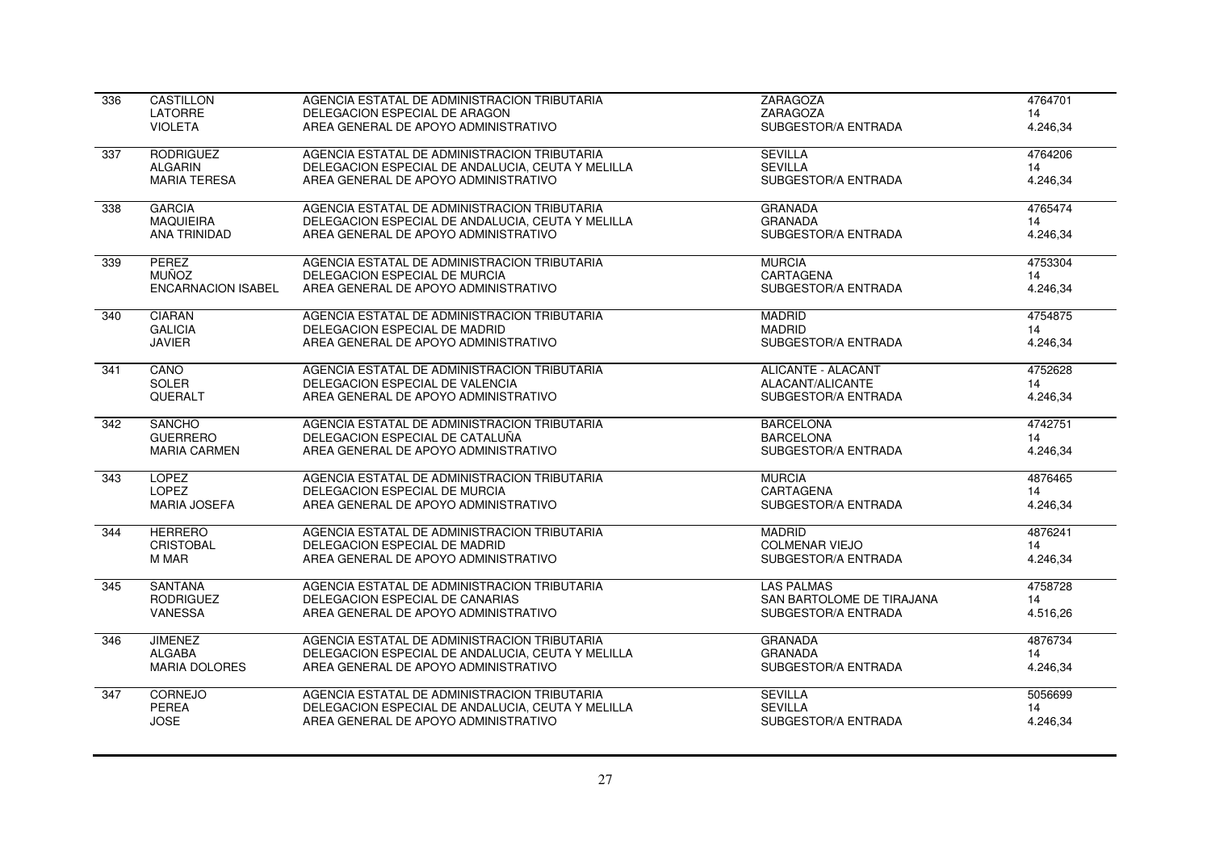| 336              | <b>CASTILLON</b>          | AGENCIA ESTATAL DE ADMINISTRACION TRIBUTARIA      | <b>ZARAGOZA</b>           | 4764701  |
|------------------|---------------------------|---------------------------------------------------|---------------------------|----------|
|                  | LATORRE                   | DELEGACION ESPECIAL DE ARAGON                     | ZARAGOZA                  | 14       |
|                  | <b>VIOLETA</b>            | AREA GENERAL DE APOYO ADMINISTRATIVO              | SUBGESTOR/A ENTRADA       | 4.246,34 |
| 337              | <b>RODRIGUEZ</b>          | AGENCIA ESTATAL DE ADMINISTRACION TRIBUTARIA      | <b>SEVILLA</b>            | 4764206  |
|                  | <b>ALGARIN</b>            | DELEGACION ESPECIAL DE ANDALUCIA, CEUTA Y MELILLA | <b>SEVILLA</b>            | 14       |
|                  | <b>MARIA TERESA</b>       | AREA GENERAL DE APOYO ADMINISTRATIVO              | SUBGESTOR/A ENTRADA       | 4.246,34 |
| 338              | <b>GARCIA</b>             | AGENCIA ESTATAL DE ADMINISTRACION TRIBUTARIA      | <b>GRANADA</b>            | 4765474  |
|                  | <b>MAQUIEIRA</b>          | DELEGACION ESPECIAL DE ANDALUCIA, CEUTA Y MELILLA | <b>GRANADA</b>            | 14       |
|                  | ANA TRINIDAD              | AREA GENERAL DE APOYO ADMINISTRATIVO              | SUBGESTOR/A ENTRADA       | 4.246,34 |
| 339              | PEREZ                     | AGENCIA ESTATAL DE ADMINISTRACION TRIBUTARIA      | <b>MURCIA</b>             | 4753304  |
|                  | MUÑOZ.                    | DELEGACION ESPECIAL DE MURCIA                     | CARTAGENA                 | 14       |
|                  | <b>ENCARNACION ISABEL</b> | AREA GENERAL DE APOYO ADMINISTRATIVO              | SUBGESTOR/A ENTRADA       | 4.246,34 |
| 340              | <b>CIARAN</b>             | AGENCIA ESTATAL DE ADMINISTRACION TRIBUTARIA      | <b>MADRID</b>             | 4754875  |
|                  | <b>GALICIA</b>            | DELEGACION ESPECIAL DE MADRID                     | <b>MADRID</b>             | 14       |
|                  | <b>JAVIER</b>             | AREA GENERAL DE APOYO ADMINISTRATIVO              | SUBGESTOR/A ENTRADA       | 4.246,34 |
| 341              | CANO                      | AGENCIA ESTATAL DE ADMINISTRACION TRIBUTARIA      | <b>ALICANTE - ALACANT</b> | 4752628  |
|                  | SOLER                     | DELEGACION ESPECIAL DE VALENCIA                   | ALACANT/ALICANTE          | 14       |
|                  | QUERALT                   | AREA GENERAL DE APOYO ADMINISTRATIVO              | SUBGESTOR/A ENTRADA       | 4.246,34 |
| 342              | <b>SANCHO</b>             | AGENCIA ESTATAL DE ADMINISTRACION TRIBUTARIA      | <b>BARCELONA</b>          | 4742751  |
|                  | <b>GUERRERO</b>           | DELEGACION ESPECIAL DE CATALUÑA                   | <b>BARCELONA</b>          | 14       |
|                  | <b>MARIA CARMEN</b>       | AREA GENERAL DE APOYO ADMINISTRATIVO              | SUBGESTOR/A ENTRADA       | 4.246.34 |
| 343              | <b>LOPEZ</b>              | AGENCIA ESTATAL DE ADMINISTRACION TRIBUTARIA      | <b>MURCIA</b>             | 4876465  |
|                  | <b>LOPEZ</b>              | DELEGACION ESPECIAL DE MURCIA                     | CARTAGENA                 | 14       |
|                  | <b>MARIA JOSEFA</b>       | AREA GENERAL DE APOYO ADMINISTRATIVO              | SUBGESTOR/A ENTRADA       | 4.246,34 |
| 344              | <b>HERRERO</b>            | AGENCIA ESTATAL DE ADMINISTRACION TRIBUTARIA      | <b>MADRID</b>             | 4876241  |
|                  | <b>CRISTOBAL</b>          | DELEGACION ESPECIAL DE MADRID                     | <b>COLMENAR VIEJO</b>     | 14       |
|                  | M MAR                     | AREA GENERAL DE APOYO ADMINISTRATIVO              | SUBGESTOR/A ENTRADA       | 4.246,34 |
| 345              | <b>SANTANA</b>            | AGENCIA ESTATAL DE ADMINISTRACION TRIBUTARIA      | <b>LAS PALMAS</b>         | 4758728  |
|                  | <b>RODRIGUEZ</b>          | DELEGACION ESPECIAL DE CANARIAS                   | SAN BARTOLOME DE TIRAJANA | 14       |
|                  | <b>VANESSA</b>            | AREA GENERAL DE APOYO ADMINISTRATIVO              | SUBGESTOR/A ENTRADA       | 4.516,26 |
| $\overline{346}$ | <b>JIMENEZ</b>            | AGENCIA ESTATAL DE ADMINISTRACION TRIBUTARIA      | <b>GRANADA</b>            | 4876734  |
|                  | <b>ALGABA</b>             | DELEGACION ESPECIAL DE ANDALUCIA. CEUTA Y MELILLA | <b>GRANADA</b>            | 14       |
|                  | <b>MARIA DOLORES</b>      | AREA GENERAL DE APOYO ADMINISTRATIVO              | SUBGESTOR/A ENTRADA       | 4.246,34 |
| 347              | <b>CORNEJO</b>            | AGENCIA ESTATAL DE ADMINISTRACION TRIBUTARIA      | <b>SEVILLA</b>            | 5056699  |
|                  | PEREA                     | DELEGACION ESPECIAL DE ANDALUCIA, CEUTA Y MELILLA | <b>SEVILLA</b>            | 14       |
|                  | <b>JOSE</b>               | AREA GENERAL DE APOYO ADMINISTRATIVO              | SUBGESTOR/A ENTRADA       | 4.246,34 |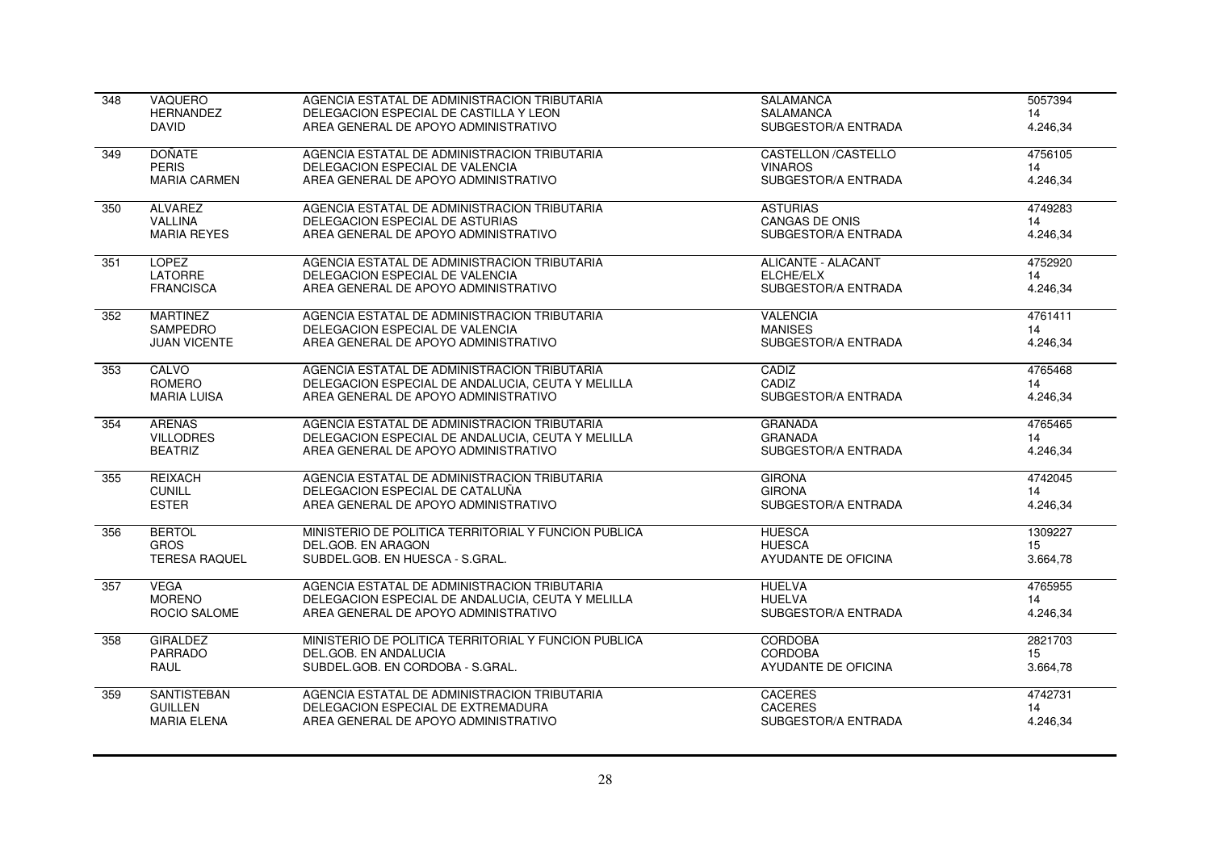| 348 | VAQUERO              | AGENCIA ESTATAL DE ADMINISTRACION TRIBUTARIA         | <b>SALAMANCA</b>           | 5057394  |
|-----|----------------------|------------------------------------------------------|----------------------------|----------|
|     | <b>HERNANDEZ</b>     | DELEGACION ESPECIAL DE CASTILLA Y LEON               | <b>SALAMANCA</b>           | 14       |
|     | <b>DAVID</b>         | AREA GENERAL DE APOYO ADMINISTRATIVO                 | SUBGESTOR/A ENTRADA        | 4.246,34 |
| 349 | <b>DOÑATE</b>        | AGENCIA ESTATAL DE ADMINISTRACION TRIBUTARIA         | <b>CASTELLON /CASTELLO</b> | 4756105  |
|     | <b>PERIS</b>         | DELEGACION ESPECIAL DE VALENCIA                      | <b>VINAROS</b>             | 14       |
|     | <b>MARIA CARMEN</b>  | AREA GENERAL DE APOYO ADMINISTRATIVO                 | SUBGESTOR/A ENTRADA        | 4.246,34 |
| 350 | <b>ALVAREZ</b>       | AGENCIA ESTATAL DE ADMINISTRACION TRIBUTARIA         | <b>ASTURIAS</b>            | 4749283  |
|     | <b>VALLINA</b>       | DELEGACION ESPECIAL DE ASTURIAS                      | <b>CANGAS DE ONIS</b>      | 14       |
|     | <b>MARIA REYES</b>   | AREA GENERAL DE APOYO ADMINISTRATIVO                 | SUBGESTOR/A ENTRADA        | 4.246,34 |
| 351 | <b>LOPEZ</b>         | AGENCIA ESTATAL DE ADMINISTRACION TRIBUTARIA         | <b>ALICANTE - ALACANT</b>  | 4752920  |
|     | LATORRE              | DELEGACION ESPECIAL DE VALENCIA                      | ELCHE/ELX                  | 14       |
|     | <b>FRANCISCA</b>     | AREA GENERAL DE APOYO ADMINISTRATIVO                 | SUBGESTOR/A ENTRADA        | 4.246,34 |
| 352 | <b>MARTINEZ</b>      | AGENCIA ESTATAL DE ADMINISTRACION TRIBUTARIA         | <b>VALENCIA</b>            | 4761411  |
|     | <b>SAMPEDRO</b>      | DELEGACION ESPECIAL DE VALENCIA                      | <b>MANISES</b>             | 14       |
|     | <b>JUAN VICENTE</b>  | AREA GENERAL DE APOYO ADMINISTRATIVO                 | SUBGESTOR/A ENTRADA        | 4.246,34 |
| 353 | CALVO                | AGENCIA ESTATAL DE ADMINISTRACION TRIBUTARIA         | CADIZ                      | 4765468  |
|     | ROMERO               | DELEGACION ESPECIAL DE ANDALUCIA, CEUTA Y MELILLA    | CADIZ                      | 14       |
|     | <b>MARIA LUISA</b>   | AREA GENERAL DE APOYO ADMINISTRATIVO                 | SUBGESTOR/A ENTRADA        | 4.246,34 |
| 354 | <b>ARENAS</b>        | AGENCIA ESTATAL DE ADMINISTRACION TRIBUTARIA         | <b>GRANADA</b>             | 4765465  |
|     | <b>VILLODRES</b>     | DELEGACION ESPECIAL DE ANDALUCIA, CEUTA Y MELILLA    | <b>GRANADA</b>             | 14       |
|     | <b>BEATRIZ</b>       | AREA GENERAL DE APOYO ADMINISTRATIVO                 | SUBGESTOR/A ENTRADA        | 4.246,34 |
| 355 | REIXACH              | AGENCIA ESTATAL DE ADMINISTRACION TRIBUTARIA         | <b>GIRONA</b>              | 4742045  |
|     | <b>CUNILL</b>        | DELEGACION ESPECIAL DE CATALUÑA                      | <b>GIRONA</b>              | 14       |
|     | <b>ESTER</b>         | AREA GENERAL DE APOYO ADMINISTRATIVO                 | SUBGESTOR/A ENTRADA        | 4.246,34 |
| 356 | <b>BERTOL</b>        | MINISTERIO DE POLITICA TERRITORIAL Y FUNCION PUBLICA | <b>HUESCA</b>              | 1309227  |
|     | <b>GROS</b>          | DEL.GOB. EN ARAGON                                   | <b>HUESCA</b>              | 15       |
|     | <b>TERESA RAQUEL</b> | SUBDEL.GOB. EN HUESCA - S.GRAL.                      | AYUDANTE DE OFICINA        | 3.664,78 |
| 357 | <b>VEGA</b>          | AGENCIA ESTATAL DE ADMINISTRACION TRIBUTARIA         | <b>HUELVA</b>              | 4765955  |
|     | <b>MORENO</b>        | DELEGACION ESPECIAL DE ANDALUCIA, CEUTA Y MELILLA    | <b>HUELVA</b>              | 14       |
|     | ROCIO SALOME         | AREA GENERAL DE APOYO ADMINISTRATIVO                 | SUBGESTOR/A ENTRADA        | 4.246,34 |
| 358 | <b>GIRALDEZ</b>      | MINISTERIO DE POLITICA TERRITORIAL Y FUNCION PUBLICA | <b>CORDOBA</b>             | 2821703  |
|     | PARRADO              | DEL.GOB. EN ANDALUCIA                                | <b>CORDOBA</b>             | 15       |
|     | RAUL                 | SUBDEL.GOB. EN CORDOBA - S.GRAL.                     | AYUDANTE DE OFICINA        | 3.664,78 |
| 359 | <b>SANTISTEBAN</b>   | AGENCIA ESTATAL DE ADMINISTRACION TRIBUTARIA         | <b>CACERES</b>             | 4742731  |
|     | <b>GUILLEN</b>       | DELEGACION ESPECIAL DE EXTREMADURA                   | <b>CACERES</b>             | 14       |
|     | <b>MARIA ELENA</b>   | AREA GENERAL DE APOYO ADMINISTRATIVO                 | SUBGESTOR/A ENTRADA        | 4.246,34 |